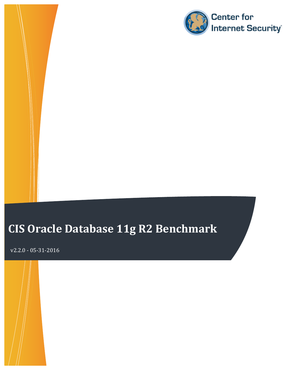

# **CIS Oracle Database 11g R2 Benchmark**

v2.2.0 - 05-31-2016 

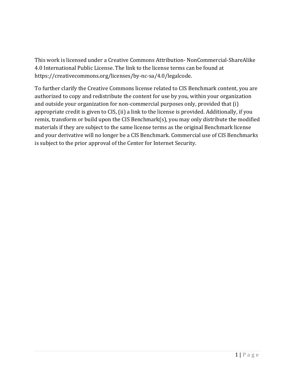This work is licensed under a Creative Commons Attribution- NonCommercial-ShareAlike 4.0 International Public License. The link to the license terms can be found at https://creativecommons.org/licenses/by-nc-sa/4.0/legalcode. 

To further clarify the Creative Commons license related to CIS Benchmark content, you are authorized to copy and redistribute the content for use by you, within your organization and outside your organization for non-commercial purposes only, provided that (i) appropriate credit is given to CIS, (ii) a link to the license is provided. Additionally, if you remix, transform or build upon the CIS Benchmark(s), you may only distribute the modified materials if they are subject to the same license terms as the original Benchmark license and your derivative will no longer be a CIS Benchmark. Commercial use of CIS Benchmarks is subject to the prior approval of the Center for Internet Security.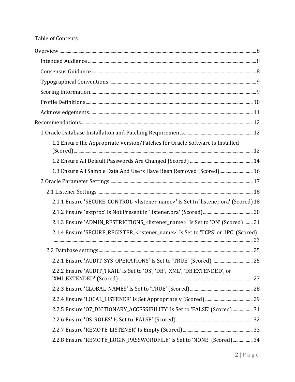### Table of Contents

| 1.1 Ensure the Appropriate Version/Patches for Oracle Software Is Installed                         |
|-----------------------------------------------------------------------------------------------------|
|                                                                                                     |
| 1.3 Ensure All Sample Data And Users Have Been Removed (Scored) 16                                  |
|                                                                                                     |
|                                                                                                     |
| 2.1.1 Ensure 'SECURE_CONTROL_ <listener_name>' Is Set In 'listener.ora' (Scored) 18</listener_name> |
|                                                                                                     |
| 2.1.3 Ensure 'ADMIN_RESTRICTIONS_ <listener_name>' Is Set to 'ON' (Scored) 21</listener_name>       |
| 2.1.4 Ensure 'SECURE_REGISTER_ <listener_name>' Is Set to 'TCPS' or 'IPC' (Scored)</listener_name>  |
|                                                                                                     |
|                                                                                                     |
| 2.2.2 Ensure 'AUDIT_TRAIL' Is Set to 'OS', 'DB', 'XML', 'DB, EXTENDED', or                          |
|                                                                                                     |
|                                                                                                     |
| 2.2.5 Ensure '07_DICTIONARY_ACCESSIBILITY' Is Set to 'FALSE' (Scored)  31                           |
|                                                                                                     |
|                                                                                                     |
| 2.2.8 Ensure 'REMOTE_LOGIN_PASSWORDFILE' Is Set to 'NONE' (Scored) 34                               |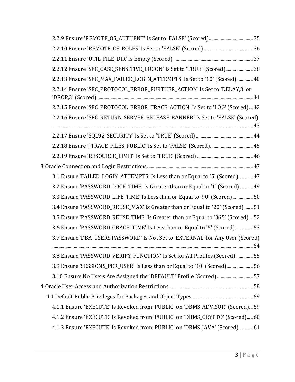| 2.2.12 Ensure 'SEC_CASE_SENSITIVE_LOGON' Is Set to 'TRUE' (Scored) 38          |  |
|--------------------------------------------------------------------------------|--|
| 2.2.13 Ensure 'SEC_MAX_FAILED_LOGIN_ATTEMPTS' Is Set to '10' (Scored)  40      |  |
| 2.2.14 Ensure 'SEC_PROTOCOL_ERROR_FURTHER_ACTION' Is Set to 'DELAY,3' or       |  |
| 2.2.15 Ensure 'SEC_PROTOCOL_ERROR_TRACE_ACTION' Is Set to 'LOG' (Scored) 42    |  |
| 2.2.16 Ensure 'SEC_RETURN_SERVER_RELEASE_BANNER' Is Set to 'FALSE' (Scored)    |  |
|                                                                                |  |
|                                                                                |  |
|                                                                                |  |
|                                                                                |  |
| 3.1 Ensure 'FAILED_LOGIN_ATTEMPTS' Is Less than or Equal to '5' (Scored) 47    |  |
| 3.2 Ensure 'PASSWORD_LOCK_TIME' Is Greater than or Equal to '1' (Scored)  49   |  |
| 3.3 Ensure 'PASSWORD_LIFE_TIME' Is Less than or Equal to '90' (Scored)  50     |  |
| 3.4 Ensure 'PASSWORD_REUSE_MAX' Is Greater than or Equal to '20' (Scored)  51  |  |
| 3.5 Ensure 'PASSWORD_REUSE_TIME' Is Greater than or Equal to '365' (Scored) 52 |  |
| 3.6 Ensure 'PASSWORD_GRACE_TIME' Is Less than or Equal to '5' (Scored) 53      |  |
| 3.7 Ensure 'DBA_USERS.PASSWORD' Is Not Set to 'EXTERNAL' for Any User (Scored) |  |
| 3.8 Ensure 'PASSWORD_VERIFY_FUNCTION' Is Set for All Profiles (Scored)  55     |  |
| 3.9 Ensure 'SESSIONS_PER_USER' Is Less than or Equal to '10' (Scored) 56       |  |
| 3.10 Ensure No Users Are Assigned the 'DEFAULT' Profile (Scored)  57           |  |
|                                                                                |  |
|                                                                                |  |
| 4.1.1 Ensure 'EXECUTE' Is Revoked from 'PUBLIC' on 'DBMS_ADVISOR' (Scored) 59  |  |
| 4.1.2 Ensure 'EXECUTE' Is Revoked from 'PUBLIC' on 'DBMS_CRYPTO' (Scored) 60   |  |
| 4.1.3 Ensure 'EXECUTE' Is Revoked from 'PUBLIC' on 'DBMS_JAVA' (Scored) 61     |  |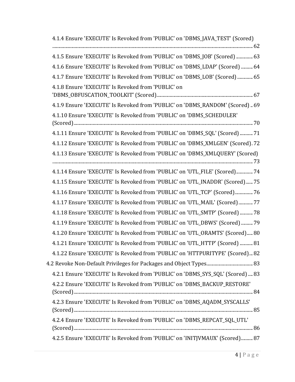| 4.1.4 Ensure 'EXECUTE' Is Revoked from 'PUBLIC' on 'DBMS_JAVA_TEST' (Scored)   |
|--------------------------------------------------------------------------------|
| 4.1.5 Ensure 'EXECUTE' Is Revoked from 'PUBLIC' on 'DBMS_JOB' (Scored)  63     |
| 4.1.6 Ensure 'EXECUTE' Is Revoked from 'PUBLIC' on 'DBMS_LDAP' (Scored)  64    |
| 4.1.7 Ensure 'EXECUTE' Is Revoked from 'PUBLIC' on 'DBMS_LOB' (Scored)  65     |
| 4.1.8 Ensure 'EXECUTE' Is Revoked from 'PUBLIC' on                             |
| 4.1.9 Ensure 'EXECUTE' Is Revoked from 'PUBLIC' on 'DBMS_RANDOM' (Scored)69    |
| 4.1.10 Ensure 'EXECUTE' Is Revoked from 'PUBLIC' on 'DBMS_SCHEDULER'           |
| 4.1.11 Ensure 'EXECUTE' Is Revoked from 'PUBLIC' on 'DBMS_SQL' (Scored)  71    |
| 4.1.12 Ensure 'EXECUTE' Is Revoked from 'PUBLIC' on 'DBMS_XMLGEN' (Scored). 72 |
| 4.1.13 Ensure 'EXECUTE' Is Revoked from 'PUBLIC' on 'DBMS_XMLQUERY' (Scored)   |
| 4.1.14 Ensure 'EXECUTE' Is Revoked from 'PUBLIC' on 'UTL_FILE' (Scored) 74     |
| 4.1.15 Ensure 'EXECUTE' Is Revoked from 'PUBLIC' on 'UTL_INADDR' (Scored)75    |
| 4.1.16 Ensure 'EXECUTE' Is Revoked from 'PUBLIC' on 'UTL_TCP' (Scored)  76     |
| 4.1.17 Ensure 'EXECUTE' Is Revoked from 'PUBLIC' on 'UTL_MAIL' (Scored)  77    |
| 4.1.18 Ensure 'EXECUTE' Is Revoked from 'PUBLIC' on 'UTL_SMTP' (Scored)  78    |
| 4.1.19 Ensure 'EXECUTE' Is Revoked from 'PUBLIC' on 'UTL_DBWS' (Scored)  79    |
| 4.1.20 Ensure 'EXECUTE' Is Revoked from 'PUBLIC' on 'UTL_ORAMTS' (Scored) 80   |
| 4.1.21 Ensure 'EXECUTE' Is Revoked from 'PUBLIC' on 'UTL_HTTP' (Scored)  81    |
| 4.1.22 Ensure 'EXECUTE' Is Revoked from 'PUBLIC' on 'HTTPURITYPE' (Scored) 82  |
|                                                                                |
| 4.2.1 Ensure 'EXECUTE' Is Revoked from 'PUBLIC' on 'DBMS_SYS_SQL' (Scored)  83 |
| 4.2.2 Ensure 'EXECUTE' Is Revoked from 'PUBLIC' on 'DBMS_BACKUP_RESTORE'       |
| 4.2.3 Ensure 'EXECUTE' Is Revoked from 'PUBLIC' on 'DBMS_AQADM_SYSCALLS'       |
| 4.2.4 Ensure 'EXECUTE' Is Revoked from 'PUBLIC' on 'DBMS_REPCAT_SQL_UTL'       |
| 4.2.5 Ensure 'EXECUTE' Is Revoked from 'PUBLIC' on 'INITJVMAUX' (Scored) 87    |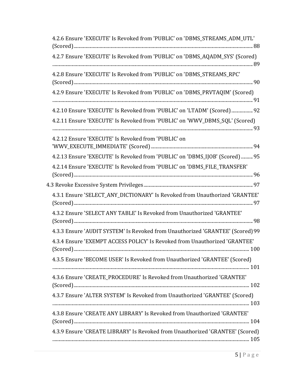| 4.2.6 Ensure 'EXECUTE' Is Revoked from 'PUBLIC' on 'DBMS STREAMS ADM UTL'      |
|--------------------------------------------------------------------------------|
| 4.2.7 Ensure 'EXECUTE' Is Revoked from 'PUBLIC' on 'DBMS_AQADM_SYS' (Scored)   |
| 4.2.8 Ensure 'EXECUTE' Is Revoked from 'PUBLIC' on 'DBMS_STREAMS_RPC'          |
| 4.2.9 Ensure 'EXECUTE' Is Revoked from 'PUBLIC' on 'DBMS_PRVTAQIM' (Scored)    |
| 4.2.10 Ensure 'EXECUTE' Is Revoked from 'PUBLIC' on 'LTADM' (Scored)  92       |
| 4.2.11 Ensure 'EXECUTE' Is Revoked from 'PUBLIC' on 'WWV_DBMS_SQL' (Scored)    |
| 4.2.12 Ensure 'EXECUTE' Is Revoked from 'PUBLIC' on                            |
| 4.2.13 Ensure 'EXECUTE' Is Revoked from 'PUBLIC' on 'DBMS_IJOB' (Scored)  95   |
| 4.2.14 Ensure 'EXECUTE' Is Revoked from 'PUBLIC' on 'DBMS_FILE_TRANSFER'       |
|                                                                                |
| 4.3.1 Ensure 'SELECT_ANY_DICTIONARY' Is Revoked from Unauthorized 'GRANTEE'    |
| 4.3.2 Ensure 'SELECT ANY TABLE' Is Revoked from Unauthorized 'GRANTEE'         |
| 4.3.3 Ensure 'AUDIT SYSTEM' Is Revoked from Unauthorized 'GRANTEE' (Scored) 99 |
| 4.3.4 Ensure 'EXEMPT ACCESS POLICY' Is Revoked from Unauthorized 'GRANTEE'     |
| 4.3.5 Ensure 'BECOME USER' Is Revoked from Unauthorized 'GRANTEE' (Scored)     |
| 4.3.6 Ensure 'CREATE_PROCEDURE' Is Revoked from Unauthorized 'GRANTEE'         |
| 4.3.7 Ensure 'ALTER SYSTEM' Is Revoked from Unauthorized 'GRANTEE' (Scored)    |
| 4.3.8 Ensure 'CREATE ANY LIBRARY' Is Revoked from Unauthorized 'GRANTEE'       |
| 4.3.9 Ensure 'CREATE LIBRARY' Is Revoked from Unauthorized 'GRANTEE' (Scored)  |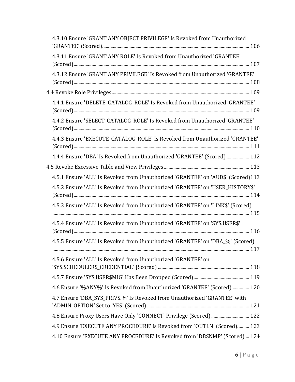| 4.3.10 Ensure 'GRANT ANY OBJECT PRIVILEGE' Is Revoked from Unauthorized          |  |
|----------------------------------------------------------------------------------|--|
| 4.3.11 Ensure 'GRANT ANY ROLE' Is Revoked from Unauthorized 'GRANTEE'            |  |
| 4.3.12 Ensure 'GRANT ANY PRIVILEGE' Is Revoked from Unauthorized 'GRANTEE'       |  |
|                                                                                  |  |
| 4.4.1 Ensure 'DELETE_CATALOG_ROLE' Is Revoked from Unauthorized 'GRANTEE'        |  |
| 4.4.2 Ensure 'SELECT_CATALOG_ROLE' Is Revoked from Unauthorized 'GRANTEE'        |  |
| 4.4.3 Ensure 'EXECUTE_CATALOG_ROLE' Is Revoked from Unauthorized 'GRANTEE'       |  |
| 4.4.4 Ensure 'DBA' Is Revoked from Unauthorized 'GRANTEE' (Scored)  112          |  |
|                                                                                  |  |
| 4.5.1 Ensure 'ALL' Is Revoked from Unauthorized 'GRANTEE' on 'AUD\$' (Scored)113 |  |
| 4.5.2 Ensure 'ALL' Is Revoked from Unauthorized 'GRANTEE' on 'USER HISTORY\$'    |  |
| 4.5.3 Ensure 'ALL' Is Revoked from Unauthorized 'GRANTEE' on 'LINK\$' (Scored)   |  |
| 4.5.4 Ensure 'ALL' Is Revoked from Unauthorized 'GRANTEE' on 'SYS.USER\$'        |  |
| 4.5.5 Ensure 'ALL' Is Revoked from Unauthorized 'GRANTEE' on 'DBA_%' (Scored)    |  |
| 4.5.6 Ensure 'ALL' Is Revoked from Unauthorized 'GRANTEE' on                     |  |
|                                                                                  |  |
| 4.6 Ensure '%ANY%' Is Revoked from Unauthorized 'GRANTEE' (Scored)  120          |  |
| 4.7 Ensure 'DBA_SYS_PRIVS.%' Is Revoked from Unauthorized 'GRANTEE' with         |  |
| 4.8 Ensure Proxy Users Have Only 'CONNECT' Privilege (Scored)  122               |  |
| 4.9 Ensure 'EXECUTE ANY PROCEDURE' Is Revoked from 'OUTLN' (Scored) 123          |  |
| 4.10 Ensure 'EXECUTE ANY PROCEDURE' Is Revoked from 'DBSNMP' (Scored)  124       |  |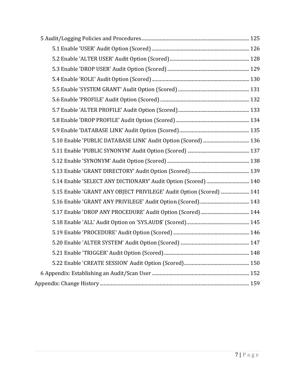| 5.15 Enable 'GRANT ANY OBJECT PRIVILEGE' Audit Option (Scored)  141 |  |
|---------------------------------------------------------------------|--|
|                                                                     |  |
|                                                                     |  |
|                                                                     |  |
|                                                                     |  |
|                                                                     |  |
|                                                                     |  |
|                                                                     |  |
|                                                                     |  |
|                                                                     |  |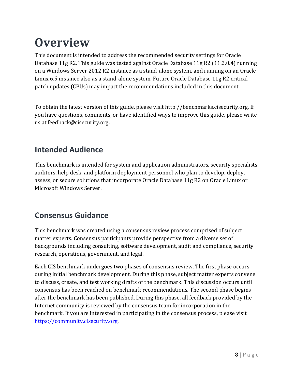# **Overview**

This document is intended to address the recommended security settings for Oracle Database 11g R2. This guide was tested against Oracle Database 11g R2 (11.2.0.4) running on a Windows Server 2012 R2 instance as a stand-alone system, and running on an Oracle Linux 6.5 instance also as a stand-alone system. Future Oracle Database 11g R2 critical patch updates (CPUs) may impact the recommendations included in this document.

To obtain the latest version of this guide, please visit http://benchmarks.cisecurity.org. If you have questions, comments, or have identified ways to improve this guide, please write us at feedback@cisecurity.org.

# **Intended Audience**

This benchmark is intended for system and application administrators, security specialists, auditors, help desk, and platform deployment personnel who plan to develop, deploy, assess, or secure solutions that incorporate Oracle Database 11g R2 on Oracle Linux or Microsoft Windows Server.

# **Consensus Guidance**

This benchmark was created using a consensus review process comprised of subject matter experts. Consensus participants provide perspective from a diverse set of backgrounds including consulting, software development, audit and compliance, security research, operations, government, and legal.

Each CIS benchmark undergoes two phases of consensus review. The first phase occurs during initial benchmark development. During this phase, subject matter experts convene to discuss, create, and test working drafts of the benchmark. This discussion occurs until consensus has been reached on benchmark recommendations. The second phase begins after the benchmark has been published. During this phase, all feedback provided by the Internet community is reviewed by the consensus team for incorporation in the benchmark. If you are interested in participating in the consensus process, please visit https://community.cisecurity.org.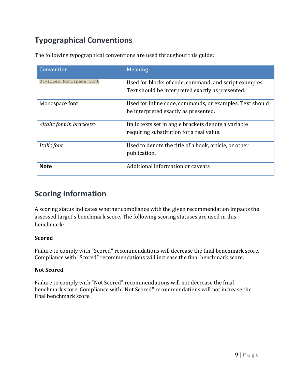# **Typographical Conventions**

The following typographical conventions are used throughout this guide:

| Convention                                  | Meaning                                                                                                    |
|---------------------------------------------|------------------------------------------------------------------------------------------------------------|
| Stylized Monospace font                     | Used for blocks of code, command, and script examples.<br>Text should be interpreted exactly as presented. |
| Monospace font                              | Used for inline code, commands, or examples. Text should<br>be interpreted exactly as presented.           |
| <italic brackets="" font="" in=""></italic> | Italic texts set in angle brackets denote a variable<br>requiring substitution for a real value.           |
| Italic font                                 | Used to denote the title of a book, article, or other<br>publication.                                      |
| <b>Note</b>                                 | Additional information or caveats                                                                          |

## **Scoring Information**

A scoring status indicates whether compliance with the given recommendation impacts the assessed target's benchmark score. The following scoring statuses are used in this benchmark:

#### **Scored**

Failure to comply with "Scored" recommendations will decrease the final benchmark score. Compliance with "Scored" recommendations will increase the final benchmark score.

#### **Not Scored**

Failure to comply with "Not Scored" recommendations will not decrease the final benchmark score. Compliance with "Not Scored" recommendations will not increase the final benchmark score.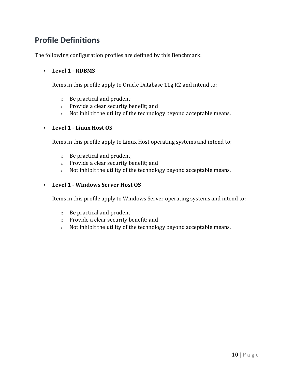# **Profile Definitions**

The following configuration profiles are defined by this Benchmark:

#### • **Level 1 - RDBMS**

Items in this profile apply to Oracle Database 11g R2 and intend to:

- $\circ$  Be practical and prudent;
- $\circ$  Provide a clear security benefit; and
- $\circ$  Not inhibit the utility of the technology beyond acceptable means.

#### • **Level 1 - Linux Host OS**

Items in this profile apply to Linux Host operating systems and intend to:

- $\circ$  Be practical and prudent;
- $\circ$  Provide a clear security benefit; and
- $\circ$  Not inhibit the utility of the technology beyond acceptable means.

#### • **Level 1 - Windows Server Host OS**

Items in this profile apply to Windows Server operating systems and intend to:

- $\circ$  Be practical and prudent;
- $\circ$  Provide a clear security benefit; and
- $\circ$  Not inhibit the utility of the technology beyond acceptable means.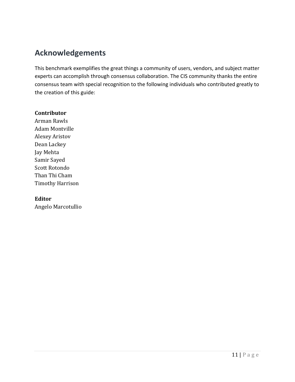# **Acknowledgements**

This benchmark exemplifies the great things a community of users, vendors, and subject matter experts can accomplish through consensus collaboration. The CIS community thanks the entire consensus team with special recognition to the following individuals who contributed greatly to the creation of this guide:

#### **Contributor**

Arman Rawls Adam Montville Alexey Aristov Dean Lackey Jay Mehta Samir Sayed Scott Rotondo Than Thi Cham Timothy Harrison

#### **Editor**

Angelo Marcotullio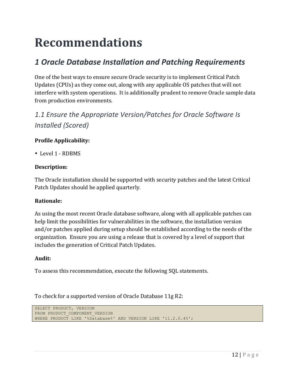# **Recommendations**

# *1 Oracle Database Installation and Patching Requirements*

One of the best ways to ensure secure Oracle security is to implement Critical Patch Updates (CPUs) as they come out, along with any applicable OS patches that will not interfere with system operations. It is additionally prudent to remove Oracle sample data from production environments.

# 1.1 Ensure the Appropriate Version/Patches for Oracle Software Is *Installed (Scored)*

#### **Profile Applicability:**

• Level 1 - RDBMS

#### **Description:**

The Oracle installation should be supported with security patches and the latest Critical Patch Updates should be applied quarterly.

#### **Rationale:**

As using the most recent Oracle database software, along with all applicable patches can help limit the possibilities for vulnerabilities in the software, the installation version and/or patches applied during setup should be established according to the needs of the organization. Ensure you are using a release that is covered by a level of support that includes the generation of Critical Patch Updates.

#### **Audit:**

To assess this recommendation, execute the following SQL statements.

To check for a supported version of Oracle Database 11g R2:

SELECT PRODUCT, VERSION FROM PRODUCT COMPONENT VERSION WHERE PRODUCT LIKE '%Database%' AND VERSION LIKE '11.2.0.4%';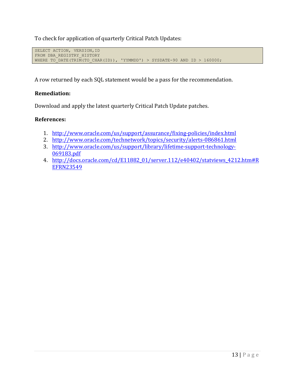To check for application of quarterly Critical Patch Updates:

```
SELECT ACTION, VERSION, ID
FROM DBA REGISTRY HISTORY
WHERE TO DATE(TRIM(TO CHAR(ID)), 'YYMMDD') > SYSDATE-90 AND ID > 160000;
```
A row returned by each SQL statement would be a pass for the recommendation.

#### **Remediation:**

Download and apply the latest quarterly Critical Patch Update patches.

#### **References:**

- 1. http://www.oracle.com/us/support/assurance/fixing-policies/index.html
- 2. http://www.oracle.com/technetwork/topics/security/alerts-086861.html
- 3. http://www.oracle.com/us/support/library/lifetime-support-technology-069183.pdf
- 4. http://docs.oracle.com/cd/E11882\_01/server.112/e40402/statviews\_4212.htm#R EFRN23549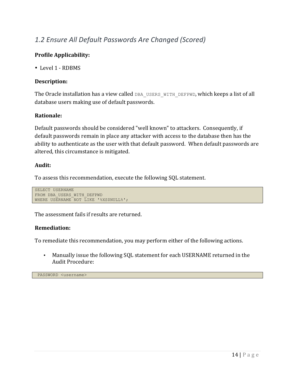### *1.2 Ensure All Default Passwords Are Changed (Scored)*

#### **Profile Applicability:**

• Level 1 - RDBMS

#### **Description:**

The Oracle installation has a view called DBA\_USERS\_WITH\_DEFPWD, which keeps a list of all database users making use of default passwords.

#### **Rationale:**

Default passwords should be considered "well known" to attackers. Consequently, if default passwords remain in place any attacker with access to the database then has the ability to authenticate as the user with that default password. When default passwords are altered, this circumstance is mitigated.

#### **Audit:**

To assess this recommendation, execute the following SQL statement.

```
SELECT USERNAME
FROM DBA_USERS_WITH_DEFPWD
WHERE USERNAME NOT LIKE '%XS$NULL%';
```
The assessment fails if results are returned.

#### **Remediation:**

To remediate this recommendation, you may perform either of the following actions.

• Manually issue the following SQL statement for each USERNAME returned in the Audit Procedure:

PASSWORD <username>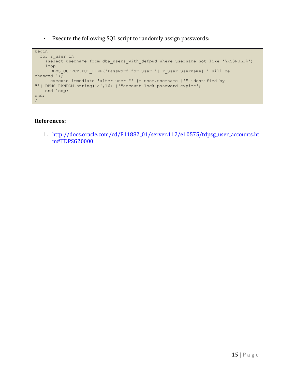• Execute the following SQL script to randomly assign passwords:

```
begin
 for r user in
     (select username from dba_users_with_defpwd where username not like '%XS$NULL%')
    loop
     DBMS_OUTPUT.PUT_LINE('Password for user '||r_user.username||' will be
changed.');
       execute immediate 'alter user "'||r_user.username||'" identified by 
"'||DBMS_RANDOM.string('a',16)||'"account lock password expire';
   end loop;
end;
/
```
#### **References:**

1. http://docs.oracle.com/cd/E11882\_01/server.112/e10575/tdpsg\_user\_accounts.ht m#TDPSG20000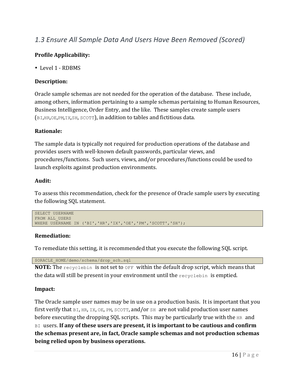### *1.3 Ensure All Sample Data And Users Have Been Removed (Scored)*

#### **Profile Applicability:**

• Level 1 - RDBMS

#### **Description:**

Oracle sample schemas are not needed for the operation of the database. These include, among others, information pertaining to a sample schemas pertaining to Human Resources, Business Intelligence, Order Entry, and the like. These samples create sample users (BI, HR, OE, PM, IX, SH, SCOTT), in addition to tables and fictitious data.

#### **Rationale:**

The sample data is typically not required for production operations of the database and provides users with well-known default passwords, particular views, and procedures/functions. Such users, views, and/or procedures/functions could be used to launch exploits against production environments.

#### **Audit:**

To assess this recommendation, check for the presence of Oracle sample users by executing the following SQL statement.

```
SELECT USERNAME
FROM ALL USERS
WHERE USERNAME IN ('BI','HR','IX','OE','PM','SCOTT','SH');
```
#### **Remediation:**

To remediate this setting, it is recommended that you execute the following SQL script.

```
$ORACLE_HOME/demo/schema/drop_sch.sql
```
**NOTE:** The recyclebin is not set to OFF within the default drop script, which means that the data will still be present in your environment until the recyclebin is emptied.

#### **Impact:**

The Oracle sample user names may be in use on a production basis. It is important that you first verify that  $BI$ ,  $HR$ ,  $IX$ ,  $OE$ ,  $PM$ ,  $SCOTT$ , and/or  $SH$  are not valid production user names before executing the dropping SQL scripts. This may be particularly true with the  $HR$  and BI users. If any of these users are present, it is important to be cautious and confirm **the schemas present are, in fact, Oracle sample schemas and not production schemas** being relied upon by business operations.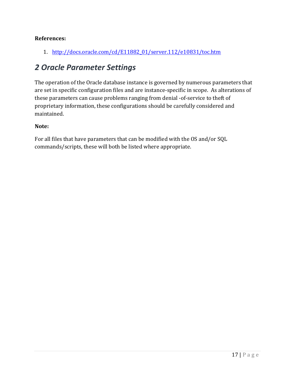#### **References:**

1. http://docs.oracle.com/cd/E11882\_01/server.112/e10831/toc.htm

### *2 Oracle Parameter Settings*

The operation of the Oracle database instance is governed by numerous parameters that are set in specific configuration files and are instance-specific in scope. As alterations of these parameters can cause problems ranging from denial -of-service to theft of proprietary information, these configurations should be carefully considered and maintained.

#### **Note:**

For all files that have parameters that can be modified with the OS and/or SQL commands/scripts, these will both be listed where appropriate.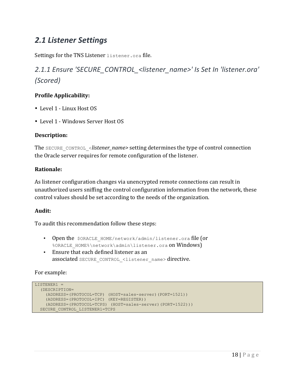## *2.1 Listener Settings*

Settings for the TNS Listener listener.ora file.

2.1.1 Ensure 'SECURE\_CONTROL\_<listener\_name>' Is Set In 'listener.ora' *(Scored)*

#### **Profile Applicability:**

- Level 1 Linux Host OS
- Level 1 Windows Server Host OS

#### **Description:**

The SECURE CONTROL <*listener\_name>* setting determines the type of control connection the Oracle server requires for remote configuration of the listener.

#### **Rationale:**

As listener configuration changes via unencrypted remote connections can result in unauthorized users sniffing the control configuration information from the network, these control values should be set according to the needs of the organization.

#### **Audit:**

To audit this recommendation follow these steps:

- Open the \$ORACLE HOME/network/admin/listener.ora file (or %ORACLE HOME%\network\admin\listener.ora on Windows)
- Ensure that each defined listener as an associated SECURE\_CONTROL\_<listener\_name> directive.

#### For example:

```
LISTENER1 =
   (DESCRIPTION=
     (ADDRESS=(PROTOCOL=TCP) (HOST=sales-server)(PORT=1521))
    (ADDRESS=(PROTOCOL=IPC) (KEY=REGISTER))
    (ADDRESS=(PROTOCOL=TCPS) (HOST=sales-server)(PORT=1522)))
  SECURE CONTROL LISTENER1=TCPS
```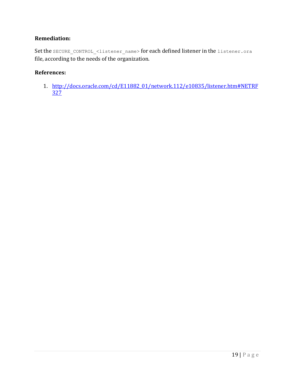#### **Remediation:**

Set the SECURE\_CONTROL\_<listener\_name> for each defined listener in the listener.ora file, according to the needs of the organization.

#### **References:**

1. http://docs.oracle.com/cd/E11882\_01/network.112/e10835/listener.htm#NETRF 327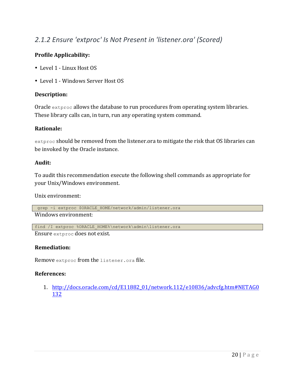### 2.1.2 Ensure 'extproc' Is Not Present in 'listener.ora' (Scored)

#### **Profile Applicability:**

- Level 1 Linux Host OS
- Level 1 Windows Server Host OS

#### **Description:**

Oracle extproc allows the database to run procedures from operating system libraries. These library calls can, in turn, run any operating system command.

#### **Rationale:**

extproc should be removed from the listener.ora to mitigate the risk that OS libraries can be invoked by the Oracle instance.

#### **Audit:**

To audit this recommendation execute the following shell commands as appropriate for your Unix/Windows environment.

Unix environment:

grep -i extproc \$ORACLE HOME/network/admin/listener.ora

Windows environment:

find /I extproc %ORACLE HOME%\network\admin\listener.ora

Ensure extproc does not exist.

#### **Remediation:**

Remove extproc from the listener.ora file.

#### **References:**

1. http://docs.oracle.com/cd/E11882\_01/network.112/e10836/advcfg.htm#NETAG0 132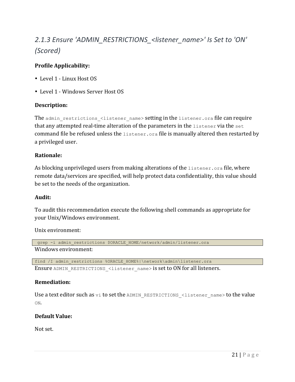# 2.1.3 Ensure 'ADMIN\_RESTRICTIONS\_<listener\_name>' Is Set to 'ON' *(Scored)*

#### **Profile Applicability:**

- Level 1 Linux Host OS
- Level 1 Windows Server Host OS

#### **Description:**

The admin restrictions <listener name> setting in the listener.ora file can require that any attempted real-time alteration of the parameters in the  $l$  istener via the set command file be refused unless the listener. ora file is manually altered then restarted by a privileged user.

#### **Rationale:**

As blocking unprivileged users from making alterations of the listener. ora file, where remote data/services are specified, will help protect data confidentiality, this value should be set to the needs of the organization.

#### **Audit:**

To audit this recommendation execute the following shell commands as appropriate for your Unix/Windows environment.

#### Unix environment:

```
grep -i admin restrictions $ORACLE HOME/network/admin/listener.ora
Windows environment:
```

```
find /I admin restrictions %ORACLE_HOME%|\network\admin\listener.ora
```
Ensure ADMIN\_RESTRICTIONS <listener\_name> is set to ON for all listeners.

#### **Remediation:**

Use a text editor such as  $v_i$  to set the ADMIN\_RESTRICTIONS\_<listener\_name> to the value ON.

#### **Default Value:**

Not set.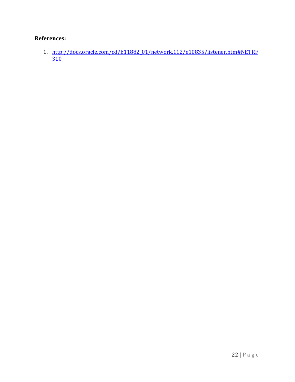#### **References:**

1. http://docs.oracle.com/cd/E11882\_01/network.112/e10835/listener.htm#NETRF  $310$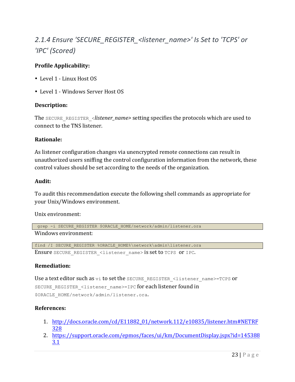# 2.1.4 Ensure 'SECURE\_REGISTER\_<listener\_name>' Is Set to 'TCPS' or *'IPC' (Scored)*

#### **Profile Applicability:**

- Level 1 Linux Host OS
- Level 1 Windows Server Host OS

#### **Description:**

The SECURE\_REGISTER\_<*listener\_name>* setting specifies the protocols which are used to connect to the TNS listener.

#### **Rationale:**

As listener configuration changes via unencrypted remote connections can result in unauthorized users sniffing the control configuration information from the network, these control values should be set according to the needs of the organization.

#### **Audit:**

To audit this recommendation execute the following shell commands as appropriate for your Unix/Windows environment.

Unix environment:

```
grep -i SECURE REGISTER $ORACLE HOME/network/admin/listener.ora
Windows environment:
```

```
find /I SECURE REGISTER %ORACLE HOME%\network\admin\listener.ora
Ensure SECURE_REGISTER_<listener_name> is set to TCPS or IPC.
```
#### **Remediation:**

Use a text editor such as vi to set the SECURE\_REGISTER\_<listener\_name>=TCPS or SECURE\_REGISTER\_<listener\_name>=IPC for each listener found in \$ORACLE\_HOME/network/admin/listener.ora.

#### **References:**

- 1. http://docs.oracle.com/cd/E11882\_01/network.112/e10835/listener.htm#NETRF 328
- 2. https://support.oracle.com/epmos/faces/ui/km/DocumentDisplay.jspx?id=145388 3.1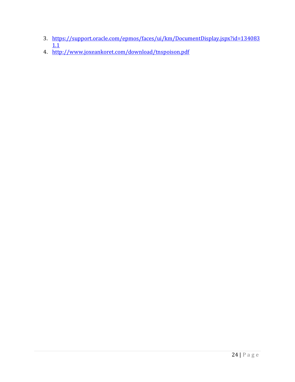- 3. https://support.oracle.com/epmos/faces/ui/km/DocumentDisplay.jspx?id=134083  $\overline{1.1}$
- 4. http://www.joxeankoret.com/download/tnspoison.pdf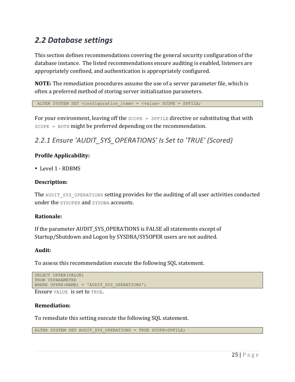# *2.2 Database settings*

This section defines recommendations covering the general security configuration of the database instance. The listed recommendations ensure auditing is enabled, listeners are appropriately confined, and authentication is appropriately configured.

**NOTE:** The remediation procedures assume the use of a server parameter file, which is often a preferred method of storing server initialization parameters.

ALTER SYSTEM SET <configuration item> = <value> SCOPE = SPFILE;

For your environment, leaving off the  $SCOPE = SPEILE$  directive or substituting that with  $SCOPE = BOTH might be preferred depending on the recommendation.$ 

### 2.2.1 Ensure 'AUDIT\_SYS\_OPERATIONS' Is Set to 'TRUE' (Scored)

#### **Profile Applicability:**

• Level 1 - RDBMS

#### **Description:**

The AUDIT SYS OPERATIONS setting provides for the auditing of all user activities conducted under the SYSOPER and SYSDBA accounts.

#### **Rationale:**

If the parameter AUDIT\_SYS\_OPERATIONS is FALSE all statements except of Startup/Shutdown and Logon by SYSDBA/SYSOPER users are not audited.

#### **Audit:**

To assess this recommendation execute the following SQL statement.

```
SELECT UPPER(VALUE)
FROM V$PARAMETER
WHERE UPPER(NAME) = 'AUDIT_SYS_OPERATIONS';
```
#### Ensure VALUE is set to TRUE.

#### **Remediation:**

To remediate this setting execute the following SQL statement.

ALTER SYSTEM SET AUDIT SYS OPERATIONS = TRUE SCOPE=SPFILE;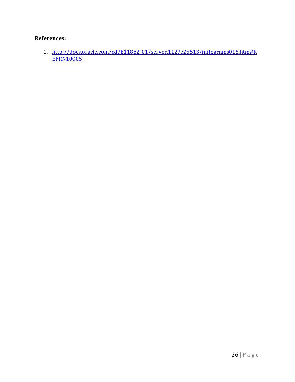#### **References:**

1. http://docs.oracle.com/cd/E11882\_01/server.112/e25513/initparams015.htm#R **EFRN10005**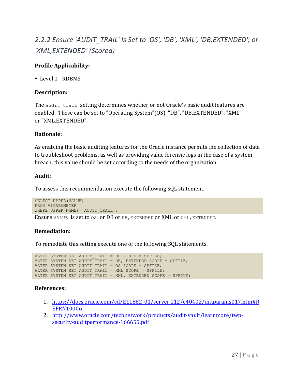# 2.2.2 Ensure 'AUDIT\_TRAIL' Is Set to 'OS', 'DB', 'XML', 'DB,EXTENDED', or *'XML,EXTENDED' (Scored)*

#### **Profile Applicability:**

• Level 1 - RDBMS

#### **Description:**

The audit trail setting determines whether or not Oracle's basic audit features are enabled. These can be set to "Operating System"(OS), "DB", "DB,EXTENDED", "XML" or "XML,EXTENDED".

#### **Rationale:**

As enabling the basic auditing features for the Oracle instance permits the collection of data to troubleshoot problems, as well as providing value forensic logs in the case of a system breach, this value should be set according to the needs of the organization.

#### **Audit:**

To assess this recommendation execute the following SQL statement.

```
SELECT UPPER(VALUE)
FROM V$PARAMETER
WHERE UPPER(NAME) = 'AUDIT TRAIL';
```
Ensure VALUE is set to  $\circ$ s or DB or DB, EXTENDED or XML or XML, EXTENDED.

#### **Remediation:**

To remediate this setting execute one of the following SQL statements.

```
ALTER SYSTEM SET AUDIT TRAIL = DB SCOPE = SPFILE;
ALTER SYSTEM SET AUDIT TRAIL = DB, EXTENDED SCOPE = SPFILE;
ALTER SYSTEM SET AUDIT TRAIL = OS SCOPE = SPFILE;
ALTER SYSTEM SET AUDIT TRAIL = XML SCOPE = SPFILE;
ALTER SYSTEM SET AUDIT TRAIL = XML, EXTENDED SCOPE = SPFILE;
```
#### **References:**

- 1. https://docs.oracle.com/cd/E11882\_01/server.112/e40402/initparams017.htm#R EFRN10006
- 2. http://www.oracle.com/technetwork/products/audit-vault/learnmore/twpsecurity-auditperformance-166655.pdf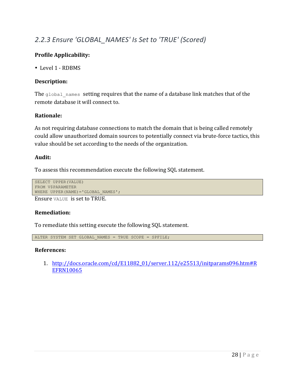### 2.2.3 Ensure 'GLOBAL\_NAMES' Is Set to 'TRUE' (Scored)

#### **Profile Applicability:**

• Level 1 - RDBMS

#### **Description:**

The  $q$ lobal names setting requires that the name of a database link matches that of the remote database it will connect to.

#### **Rationale:**

As not requiring database connections to match the domain that is being called remotely could allow unauthorized domain sources to potentially connect via brute-force tactics, this value should be set according to the needs of the organization.

#### **Audit:**

To assess this recommendation execute the following SQL statement.

```
SELECT UPPER(VALUE)
FROM V$PARAMETER
WHERE UPPER(NAME) = 'GLOBAL NAMES';
```
Ensure **VALUE** is set to TRUE.

#### **Remediation:**

To remediate this setting execute the following SQL statement.

ALTER SYSTEM SET GLOBAL NAMES = TRUE SCOPE = SPFILE;

#### **References:**

1. http://docs.oracle.com/cd/E11882\_01/server.112/e25513/initparams096.htm#R EFRN10065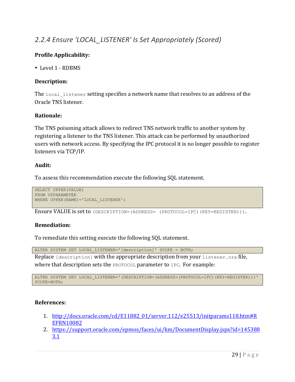### *2.2.4 Ensure 'LOCAL\_LISTENER' Is Set Appropriately (Scored)*

#### **Profile Applicability:**

• Level 1 - RDBMS

#### **Description:**

The local listener setting specifies a network name that resolves to an address of the Oracle TNS listener.

#### **Rationale:**

The TNS poisoning attack allows to redirect TNS network traffic to another system by registering a listener to the TNS listener. This attack can be performed by unauthorized users with network access. By specifying the IPC protocol it is no longer possible to register listeners via TCP/IP.

#### **Audit:**

To assess this recommendation execute the following SQL statement.

```
SELECT UPPER(VALUE)
FROM V$PARAMETER
WHERE UPPER(NAME) = 'LOCAL LISTENER';
```
Ensure VALUE is set to (DESCRIPTION=(ADDRESS= (PROTOCOL=IPC)(KEY=REGISTER))).

#### **Remediation:**

To remediate this setting execute the following SQL statement.

ALTER SYSTEM SET LOCAL\_LISTENER='[description]' SCOPE = BOTH; Replace [description] with the appropriate description from your listener.ora file,

where that description sets the **PROTOCOL** parameter to **IPC**. For example:

ALTER SYSTEM SET LOCAL\_LISTENER='(DESCRIPTION=(ADDRESS=(PROTOCOL=IPC)(KEY=REGISTER)))' SCOPE=BOTH;

#### **References:**

- 1. http://docs.oracle.com/cd/E11882\_01/server.112/e25513/initparams118.htm#R EFRN10082
- 2. https://support.oracle.com/epmos/faces/ui/km/DocumentDisplay.jspx?id=145388 3.1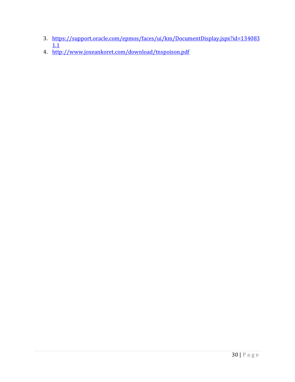- 3. https://support.oracle.com/epmos/faces/ui/km/DocumentDisplay.jspx?id=134083  $\overline{1.1}$
- 4. http://www.joxeankoret.com/download/tnspoison.pdf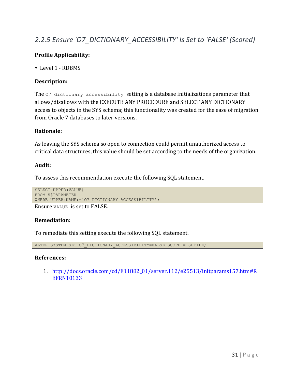### 2.2.5 Ensure 'O7\_DICTIONARY\_ACCESSIBILITY' Is Set to 'FALSE' (Scored)

#### **Profile Applicability:**

• Level 1 - RDBMS

#### **Description:**

The  $O7$  dictionary accessibility setting is a database initializations parameter that allows/disallows with the EXECUTE ANY PROCEDURE and SELECT ANY DICTIONARY access to objects in the SYS schema; this functionality was created for the ease of migration from Oracle 7 databases to later versions.

#### **Rationale:**

As leaving the SYS schema so open to connection could permit unauthorized access to critical data structures, this value should be set according to the needs of the organization.

#### **Audit:**

To assess this recommendation execute the following SQL statement.

```
SELECT UPPER(VALUE)
FROM V$PARAMETER
WHERE UPPER(NAME)='O7 DICTIONARY ACCESSIBILITY';
```
Ensure VALUE is set to FALSE.

#### **Remediation:**

To remediate this setting execute the following SQL statement.

ALTER SYSTEM SET O7 DICTIONARY ACCESSIBILITY=FALSE SCOPE = SPFILE;

#### **References:**

1. http://docs.oracle.com/cd/E11882\_01/server.112/e25513/initparams157.htm#R EFRN10133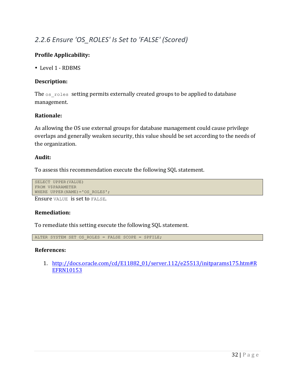### 2.2.6 Ensure 'OS\_ROLES' Is Set to 'FALSE' (Scored)

#### **Profile Applicability:**

• Level 1 - RDBMS

#### **Description:**

The  $os$  roles setting permits externally created groups to be applied to database management.

#### **Rationale:**

As allowing the OS use external groups for database management could cause privilege overlaps and generally weaken security, this value should be set according to the needs of the organization.

#### **Audit:**

To assess this recommendation execute the following SQL statement.

```
SELECT UPPER(VALUE)
FROM V$PARAMETER
WHERE UPPER(NAME) = 'OS ROLES';
```
Ensure VALUE is set to FALSE.

#### **Remediation:**

To remediate this setting execute the following SQL statement.

ALTER SYSTEM SET OS ROLES = FALSE SCOPE = SPFILE;

#### **References:**

1. http://docs.oracle.com/cd/E11882\_01/server.112/e25513/initparams175.htm#R EFRN10153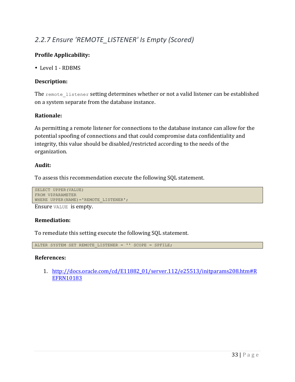### 2.2.7 Ensure 'REMOTE\_LISTENER' Is Empty (Scored)

#### **Profile Applicability:**

• Level 1 - RDBMS

#### **Description:**

The remote listener setting determines whether or not a valid listener can be established on a system separate from the database instance.

#### **Rationale:**

As permitting a remote listener for connections to the database instance can allow for the potential spoofing of connections and that could compromise data confidentiality and integrity, this value should be disabled/restricted according to the needs of the organization.

#### **Audit:**

To assess this recommendation execute the following SQL statement.

```
SELECT UPPER(VALUE)
FROM V$PARAMETER
WHERE UPPER(NAME) = 'REMOTE LISTENER';
```
Ensure VALUE is empty.

#### **Remediation:**

To remediate this setting execute the following SQL statement.

ALTER SYSTEM SET REMOTE LISTENER = '' SCOPE = SPFILE;

#### **References:**

1. http://docs.oracle.com/cd/E11882\_01/server.112/e25513/initparams208.htm#R EFRN10183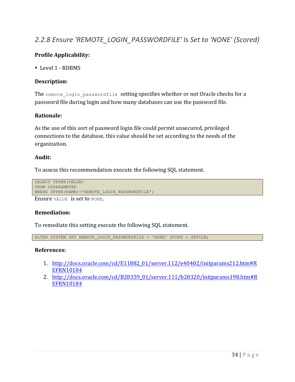### 2.2.8 Ensure 'REMOTE\_LOGIN\_PASSWORDFILE' Is Set to 'NONE' (Scored)

#### **Profile Applicability:**

• Level 1 - RDBMS

#### **Description:**

The remote login passwordfile setting specifies whether or not Oracle checks for a password file during login and how many databases can use the password file.

#### **Rationale:**

As the use of this sort of password login file could permit unsecured, privileged connections to the database, this value should be set according to the needs of the organization.

#### **Audit:**

To assess this recommendation execute the following SQL statement.

```
SELECT UPPER(VALUE)
FROM V$PARAMETER
WHERE UPPER(NAME)='REMOTE LOGIN PASSWORDFILE';
```
Ensure VALUE is set to NONE.

#### **Remediation:**

To remediate this setting execute the following SQL statement.

ALTER SYSTEM SET REMOTE\_LOGIN\_PASSWORDFILE = 'NONE' SCOPE = SPFILE;

#### **References:**

- 1. http://docs.oracle.com/cd/E11882\_01/server.112/e40402/initparams212.htm#R EFRN10184
- 2. http://docs.oracle.com/cd/B28359\_01/server.111/b28320/initparams198.htm#R EFRN10184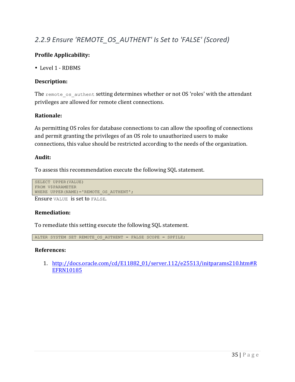### 2.2.9 Ensure 'REMOTE OS AUTHENT' Is Set to 'FALSE' (Scored)

#### **Profile Applicability:**

• Level 1 - RDBMS

#### **Description:**

The remote os authent setting determines whether or not OS 'roles' with the attendant privileges are allowed for remote client connections.

#### **Rationale:**

As permitting OS roles for database connections to can allow the spoofing of connections and permit granting the privileges of an OS role to unauthorized users to make connections, this value should be restricted according to the needs of the organization.

#### **Audit:**

To assess this recommendation execute the following SQL statement.

```
SELECT UPPER(VALUE)
FROM V$PARAMETER
WHERE UPPER(NAME) = 'REMOTE OS AUTHENT';
```
Ensure VALUE is set to FALSE.

#### **Remediation:**

To remediate this setting execute the following SQL statement.

ALTER SYSTEM SET REMOTE\_OS\_AUTHENT = FALSE SCOPE = SPFILE;

#### **References:**

1. http://docs.oracle.com/cd/E11882\_01/server.112/e25513/initparams210.htm#R EFRN10185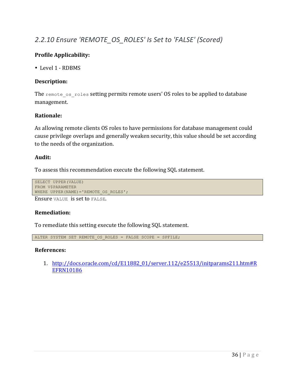## 2.2.10 Ensure 'REMOTE\_OS\_ROLES' Is Set to 'FALSE' (Scored)

## **Profile Applicability:**

• Level 1 - RDBMS

## **Description:**

The remote os roles setting permits remote users' OS roles to be applied to database management.

#### **Rationale:**

As allowing remote clients OS roles to have permissions for database management could cause privilege overlaps and generally weaken security, this value should be set according to the needs of the organization.

#### **Audit:**

To assess this recommendation execute the following SQL statement.

```
SELECT UPPER(VALUE)
FROM V$PARAMETER
WHERE UPPER(NAME) = 'REMOTE OS ROLES';
```
Ensure VALUE is set to FALSE.

#### **Remediation:**

To remediate this setting execute the following SQL statement.

ALTER SYSTEM SET REMOTE\_OS\_ROLES = FALSE SCOPE = SPFILE;

#### **References:**

1. http://docs.oracle.com/cd/E11882\_01/server.112/e25513/initparams211.htm#R EFRN10186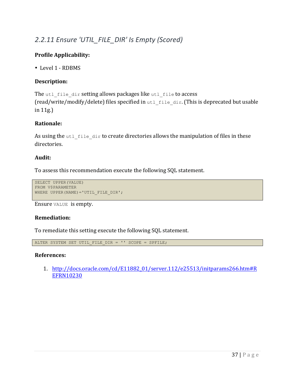## 2.2.11 Ensure 'UTIL\_FILE\_DIR' Is Empty (Scored)

## **Profile Applicability:**

• Level 1 - RDBMS

## **Description:**

The utl file dir setting allows packages like utl file to access  $(\text{read}/\text{write}/\text{modify}/\text{delete})$  files specified in utl file dir. (This is deprecated but usable in 11g.)

#### **Rationale:**

As using the  $utl$  file  $dir$  to create directories allows the manipulation of files in these directories.

#### **Audit:**

To assess this recommendation execute the following SQL statement.

```
SELECT UPPER(VALUE)
FROM V$PARAMETER
WHERE UPPER(NAME) ='UTIL FILE DIR';
```
Ensure VALUE is empty.

#### **Remediation:**

To remediate this setting execute the following SQL statement.

ALTER SYSTEM SET UTIL FILE DIR =  $'$ ' SCOPE = SPFILE;

#### **References:**

1. http://docs.oracle.com/cd/E11882\_01/server.112/e25513/initparams266.htm#R EFRN10230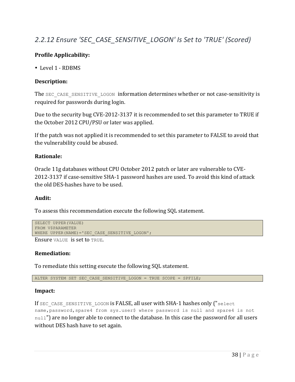## 2.2.12 Ensure 'SEC\_CASE\_SENSITIVE\_LOGON' Is Set to 'TRUE' (Scored)

## **Profile Applicability:**

• Level 1 - RDBMS

## **Description:**

The SEC CASE SENSITIVE LOGON information determines whether or not case-sensitivity is required for passwords during login.

Due to the security bug CVE-2012-3137 it is recommended to set this parameter to TRUE if the October 2012 CPU/PSU or later was applied.

If the patch was not applied it is recommended to set this parameter to FALSE to avoid that the vulnerability could be abused.

#### **Rationale:**

Oracle 11g databases without CPU October 2012 patch or later are vulnerable to CVE-2012-3137 if case-sensitive SHA-1 password hashes are used. To avoid this kind of attack the old DES-hashes have to be used.

#### **Audit:**

To assess this recommendation execute the following SQL statement.

```
SELECT UPPER(VALUE)
FROM V$PARAMETER
WHERE UPPER(NAME) = 'SEC CASE SENSITIVE LOGON';
```
Ensure VALUE is set to TRUE.

#### **Remediation:**

To remediate this setting execute the following SQL statement.

ALTER SYSTEM SET SEC CASE SENSITIVE LOGON = TRUE SCOPE = SPFILE;

#### **Impact:**

If SEC CASE SENSITIVE LOGON is FALSE, all user with SHA-1 hashes only ("select name,password,spare4 from sys.user\$ where password is null and spare4 is not null") are no longer able to connect to the database. In this case the password for all users without DES hash have to set again.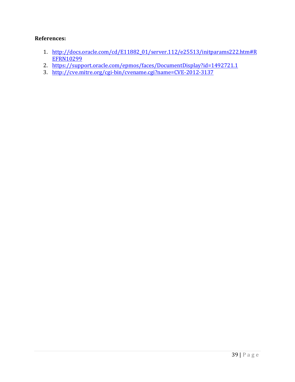#### **References:**

- 1. http://docs.oracle.com/cd/E11882\_01/server.112/e25513/initparams222.htm#R EFRN10299
- 2. https://support.oracle.com/epmos/faces/DocumentDisplay?id=1492721.1
- 3. http://cve.mitre.org/cgi-bin/cvename.cgi?name=CVE-2012-3137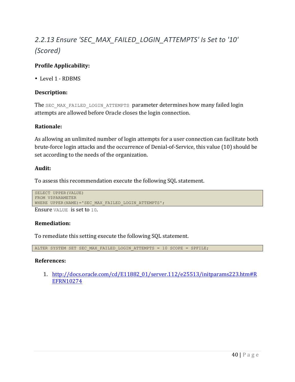# 2.2.13 Ensure 'SEC\_MAX\_FAILED\_LOGIN\_ATTEMPTS' Is Set to '10' *(Scored)*

## **Profile Applicability:**

• Level 1 - RDBMS

#### **Description:**

The SEC\_MAX\_FAILED\_LOGIN\_ATTEMPTS parameter determines how many failed login attempts are allowed before Oracle closes the login connection.

#### **Rationale:**

As allowing an unlimited number of login attempts for a user connection can facilitate both brute-force login attacks and the occurrence of Denial-of-Service, this value (10) should be set according to the needs of the organization.

#### **Audit:**

To assess this recommendation execute the following SQL statement.

```
SELECT UPPER(VALUE)
FROM V$PARAMETER
WHERE UPPER(NAME)='SEC_MAX_FAILED_LOGIN_ATTEMPTS';
```
Ensure VALUE is set to 10.

#### **Remediation:**

To remediate this setting execute the following SQL statement.

```
ALTER SYSTEM SET SEC MAX FAILED LOGIN ATTEMPTS = 10 SCOPE = SPFILE;
```
#### **References:**

1. http://docs.oracle.com/cd/E11882\_01/server.112/e25513/initparams223.htm#R EFRN10274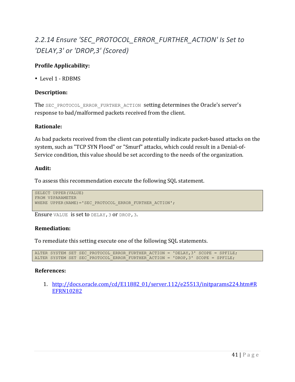# 2.2.14 Ensure 'SEC\_PROTOCOL\_ERROR\_FURTHER\_ACTION' Is Set to *'DELAY,3' or 'DROP,3' (Scored)*

## **Profile Applicability:**

• Level 1 - RDBMS

#### **Description:**

The SEC\_PROTOCOL\_ERROR\_FURTHER\_ACTION setting determines the Oracle's server's response to bad/malformed packets received from the client.

#### **Rationale:**

As bad packets received from the client can potentially indicate packet-based attacks on the system, such as "TCP SYN Flood" or "Smurf" attacks, which could result in a Denial-of-Service condition, this value should be set according to the needs of the organization.

#### **Audit:**

To assess this recommendation execute the following SQL statement.

```
SELECT UPPER(VALUE)
FROM V$PARAMETER
WHERE UPPER(NAME)='SEC PROTOCOL ERROR FURTHER ACTION';
```
Ensure VALUE is set to DELAY, 3 or DROP, 3.

## **Remediation:**

To remediate this setting execute one of the following SQL statements.

ALTER SYSTEM SET SEC PROTOCOL ERROR FURTHER ACTION = 'DELAY, 3' SCOPE = SPFILE; ALTER SYSTEM SET SEC<sup>PROTOCOL</sub> ERROR<sup>-</sup>FURTHER<sup>-</sup>ACTION = 'DROP, 3' SCOPE = SPFILE;</sup>

## **References:**

1. http://docs.oracle.com/cd/E11882\_01/server.112/e25513/initparams224.htm#R EFRN10282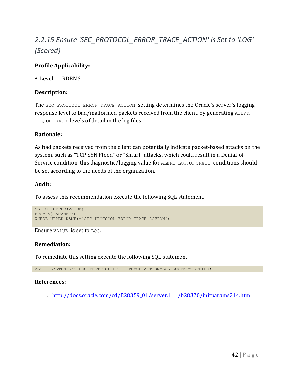# 2.2.15 Ensure 'SEC\_PROTOCOL\_ERROR\_TRACE\_ACTION' Is Set to 'LOG' *(Scored)*

## **Profile Applicability:**

• Level 1 - RDBMS

#### **Description:**

The SEC\_PROTOCOL\_ERROR\_TRACE\_ACTION setting determines the Oracle's server's logging response level to bad/malformed packets received from the client, by generating ALERT,  $LOG$ , or TRACE levels of detail in the  $log$  files.

#### **Rationale:**

As bad packets received from the client can potentially indicate packet-based attacks on the system, such as "TCP SYN Flood" or "Smurf" attacks, which could result in a Denial-of-Service condition, this diagnostic/logging value for ALERT, LOG, or TRACE conditions should be set according to the needs of the organization.

#### **Audit:**

To assess this recommendation execute the following SQL statement.

```
SELECT UPPER(VALUE)
FROM V$PARAMETER
WHERE UPPER(NAME)='SEC PROTOCOL ERROR TRACE ACTION';
```
Ensure VALUE is set to LOG.

#### **Remediation:**

To remediate this setting execute the following SQL statement.

ALTER SYSTEM SET SEC PROTOCOL ERROR TRACE ACTION=LOG SCOPE = SPFILE;

#### **References:**

1. http://docs.oracle.com/cd/B28359\_01/server.111/b28320/initparams214.htm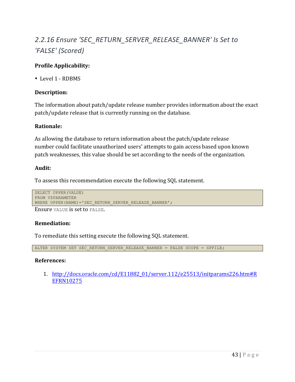# 2.2.16 Ensure 'SEC\_RETURN\_SERVER\_RELEASE\_BANNER' Is Set to *'FALSE' (Scored)*

## **Profile Applicability:**

• Level 1 - RDBMS

#### **Description:**

The information about patch/update release number provides information about the exact patch/update release that is currently running on the database.

#### **Rationale:**

As allowing the database to return information about the patch/update release number could facilitate unauthorized users' attempts to gain access based upon known patch weaknesses, this value should be set according to the needs of the organization.

#### **Audit:**

To assess this recommendation execute the following SQL statement.

```
SELECT UPPER(VALUE)
FROM V$PARAMETER
WHERE UPPER(NAME)='SEC RETURN SERVER RELEASE BANNER';
```
Ensure VALUE is set to FALSE.

#### **Remediation:**

To remediate this setting execute the following SQL statement.

```
ALTER SYSTEM SET SEC_RETURN_SERVER_RELEASE_BANNER = FALSE SCOPE = SPFILE;
```
#### **References:**

1. http://docs.oracle.com/cd/E11882\_01/server.112/e25513/initparams226.htm#R EFRN10275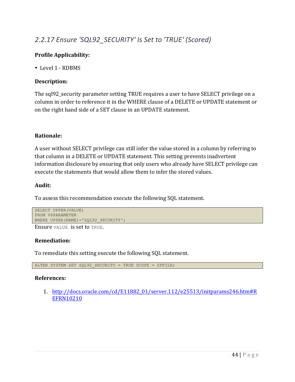## 2.2.17 Ensure 'SQL92\_SECURITY' Is Set to 'TRUE' (Scored)

## **Profile Applicability:**

• Level 1 - RDBMS

## **Description:**

The sql92\_security parameter setting TRUE requires a user to have SELECT privilege on a column in order to reference it in the WHERE clause of a DELETE or UPDATE statement or on the right hand side of a SET clause in an UPDATE statement.

#### **Rationale:**

A user without SELECT privilege can still infer the value stored in a column by referring to that column in a DELETE or UPDATE statement. This setting prevents inadvertent information disclosure by ensuring that only users who already have SELECT privilege can execute the statements that would allow them to infer the stored values.

#### **Audit:**

To assess this recommendation execute the following SQL statement.

```
SELECT UPPER(VALUE)
FROM V$PARAMETER
WHERE UPPER(NAME) = 'SQL92 SECURITY';
```
Ensure VALUE is set to TRUE.

#### **Remediation:**

To remediate this setting execute the following SQL statement.

ALTER SYSTEM SET SQL92 SECURITY = TRUE SCOPE = SPFILE;

#### **References:**

1. http://docs.oracle.com/cd/E11882\_01/server.112/e25513/initparams246.htm#R EFRN10210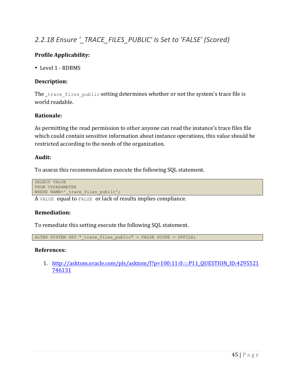## 2.2.18 Ensure '\_TRACE\_FILES\_PUBLIC' Is Set to 'FALSE' (Scored)

## **Profile Applicability:**

• Level 1 - RDBMS

#### **Description:**

The trace files public setting determines whether or not the system's trace file is world readable.

#### **Rationale:**

As permitting the read permission to other anyone can read the instance's trace files file which could contain sensitive information about instance operations, this value should be restricted according to the needs of the organization.

#### **Audit:**

To assess this recommendation execute the following SQL statement.

SELECT VALUE FROM V\$PARAMETER WHERE NAME=' trace files public';

A VALUE equal to FALSE or lack of results implies compliance.

#### **Remediation:**

To remediate this setting execute the following SQL statement.

ALTER SYSTEM SET " trace files public" = FALSE SCOPE = SPFILE;

#### **References:**

1. http://asktom.oracle.com/pls/asktom/f?p=100:11:0::::P11\_QUESTION\_ID:4295521 746131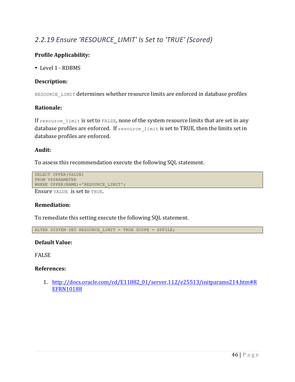## 2.2.19 Ensure 'RESOURCE\_LIMIT' Is Set to 'TRUE' (Scored)

## **Profile Applicability:**

• Level 1 - RDBMS

#### **Description:**

RESOURCE LIMIT determines whether resource limits are enforced in database profiles

#### **Rationale:**

If resource limit is set to FALSE, none of the system resource limits that are set in any database profiles are enforced. If resource limit is set to TRUE, then the limits set in database profiles are enforced.

#### **Audit:**

To assess this recommendation execute the following SQL statement.

```
SELECT UPPER(VALUE)
FROM V$PARAMETER
WHERE UPPER(NAME)='RESOURCE_LIMIT';
```
Ensure VALUE is set to TRUE.

#### **Remediation:**

To remediate this setting execute the following SQL statement.

ALTER SYSTEM SET RESOURCE LIMIT = TRUE SCOPE = SPFILE;

#### **Default Value:**

**FALSE** 

#### **References:**

1. http://docs.oracle.com/cd/E11882\_01/server.112/e25513/initparams214.htm#R EFRN10188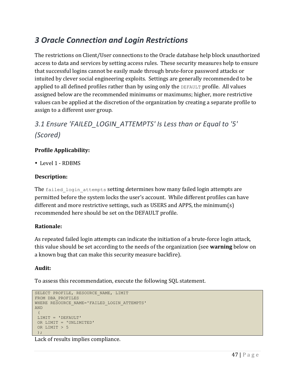## *3 Oracle Connection and Login Restrictions*

The restrictions on Client/User connections to the Oracle database help block unauthorized access to data and services by setting access rules. These security measures help to ensure that successful logins cannot be easily made through brute-force password attacks or intuited by clever social engineering exploits. Settings are generally recommended to be applied to all defined profiles rather than by using only the DEFAULT profile. All values assigned below are the recommended minimums or maximums; higher, more restrictive values can be applied at the discretion of the organization by creating a separate profile to assign to a different user group.

## 3.1 Ensure 'FAILED LOGIN ATTEMPTS' Is Less than or Equal to '5' *(Scored)*

## **Profile Applicability:**

• Level 1 - RDBMS

## **Description:**

The failed login attempts setting determines how many failed login attempts are permitted before the system locks the user's account. While different profiles can have different and more restrictive settings, such as USERS and APPS, the minimum(s) recommended here should be set on the DEFAULT profile.

## **Rationale:**

As repeated failed login attempts can indicate the initiation of a brute-force login attack, this value should be set according to the needs of the organization (see **warning** below on a known bug that can make this security measure backfire).

## **Audit:**

To assess this recommendation, execute the following SQL statement.

```
SELECT PROFILE, RESOURCE NAME, LIMIT
FROM DBA_PROFILES
WHERE RESOURCE NAME='FAILED LOGIN ATTEMPTS'
AND
 (
LIMIT = 'DEFAULT'
OR LIMIT = 'UNLIMITED'
OR LIMIT > 5
);
```
Lack of results implies compliance.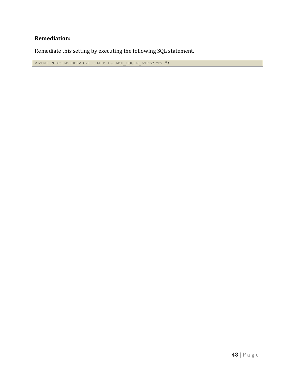## **Remediation:**

Remediate this setting by executing the following SQL statement.

ALTER PROFILE DEFAULT LIMIT FAILED\_LOGIN\_ATTEMPTS 5;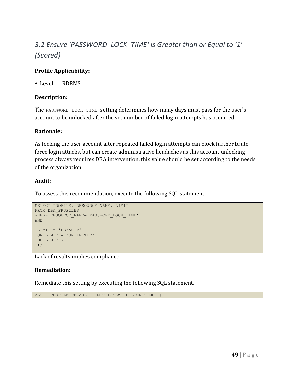# 3.2 Ensure 'PASSWORD\_LOCK\_TIME' Is Greater than or Equal to '1' *(Scored)*

## **Profile Applicability:**

• Level 1 - RDBMS

#### **Description:**

The PASSWORD LOCK TIME setting determines how many days must pass for the user's account to be unlocked after the set number of failed login attempts has occurred.

#### **Rationale:**

As locking the user account after repeated failed login attempts can block further bruteforce login attacks, but can create administrative headaches as this account unlocking process always requires DBA intervention, this value should be set according to the needs of the organization.

#### **Audit:**

To assess this recommendation, execute the following SQL statement.

```
SELECT PROFILE, RESOURCE NAME, LIMIT
FROM DBA_PROFILES
WHERE RESOURCE NAME='PASSWORD LOCK TIME'
AND
 \left(LIMIT = 'DEFAULT'
OR LIMIT = 'UNLIMITED'
OR LIMIT < 1
 );
```
Lack of results implies compliance.

## **Remediation:**

Remediate this setting by executing the following SQL statement.

```
ALTER PROFILE DEFAULT LIMIT PASSWORD LOCK TIME 1;
```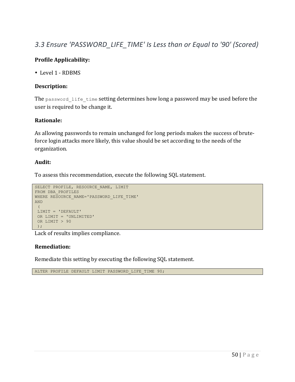## 3.3 Ensure 'PASSWORD\_LIFE\_TIME' Is Less than or Equal to '90' (Scored)

## **Profile Applicability:**

• Level 1 - RDBMS

#### **Description:**

The password life time setting determines how long a password may be used before the user is required to be change it.

#### **Rationale:**

As allowing passwords to remain unchanged for long periods makes the success of bruteforce login attacks more likely, this value should be set according to the needs of the organization.

#### **Audit:**

To assess this recommendation, execute the following SQL statement.

```
SELECT PROFILE, RESOURCE NAME, LIMIT
FROM DBA_PROFILES
WHERE RESOURCE NAME='PASSWORD LIFE TIME'
AND
 \left(LIMIT = 'DEFAULT'
 OR LIMIT = 'UNLIMITED'
OR LIMIT > 90
);
```
Lack of results implies compliance.

#### **Remediation:**

Remediate this setting by executing the following SQL statement.

ALTER PROFILE DEFAULT LIMIT PASSWORD LIFE TIME 90;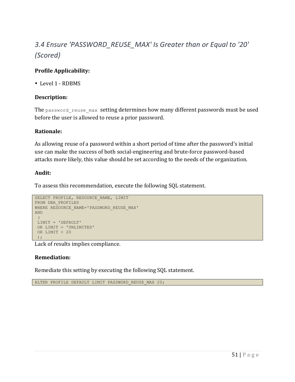# 3.4 Ensure 'PASSWORD\_REUSE\_MAX' Is Greater than or Equal to '20' *(Scored)*

## **Profile Applicability:**

• Level 1 - RDBMS

#### **Description:**

The password reuse max setting determines how many different passwords must be used before the user is allowed to reuse a prior password.

#### **Rationale:**

As allowing reuse of a password within a short period of time after the password's initial use can make the success of both social-engineering and brute-force password-based attacks more likely, this value should be set according to the needs of the organization.

#### **Audit:**

To assess this recommendation, execute the following SQL statement.

```
SELECT PROFILE, RESOURCE NAME, LIMIT
FROM DBA_PROFILES
WHERE RESOURCE NAME='PASSWORD REUSE MAX'
AND
 \left(LIMIT = 'DEFAULT'
OR LIMIT = 'UNLIMITED'
OR LIMIT < 20
);
```
Lack of results implies compliance.

#### **Remediation:**

Remediate this setting by executing the following SQL statement.

ALTER PROFILE DEFAULT LIMIT PASSWORD REUSE MAX 20;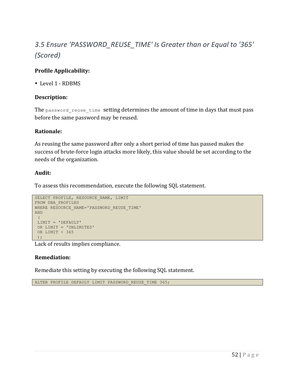## 3.5 Ensure 'PASSWORD\_REUSE\_TIME' Is Greater than or Equal to '365' *(Scored)*

## **Profile Applicability:**

• Level 1 - RDBMS

#### **Description:**

The password reuse time setting determines the amount of time in days that must pass before the same password may be reused.

#### **Rationale:**

As reusing the same password after only a short period of time has passed makes the success of brute-force login attacks more likely, this value should be set according to the needs of the organization.

#### **Audit:**

To assess this recommendation, execute the following SQL statement.

```
SELECT PROFILE, RESOURCE NAME, LIMIT
FROM DBA_PROFILES
WHERE RESOURCE NAME='PASSWORD REUSE TIME'
AND
 (
LIMIT = 'DEFAULT'
OR LIMIT = 'UNLIMITED'
OR LIMIT < 365
);
```
Lack of results implies compliance.

#### **Remediation:**

Remediate this setting by executing the following SQL statement.

ALTER PROFILE DEFAULT LIMIT PASSWORD REUSE TIME 365;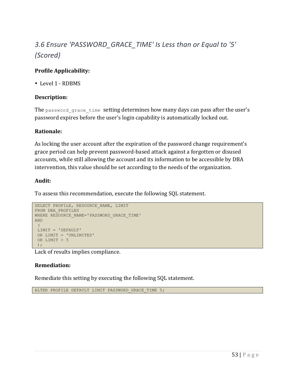# 3.6 Ensure 'PASSWORD GRACE\_TIME' Is Less than or Equal to '5' *(Scored)*

## **Profile Applicability:**

• Level 1 - RDBMS

## **Description:**

The password grace time setting determines how many days can pass after the user's password expires before the user's login capability is automatically locked out.

#### **Rationale:**

As locking the user account after the expiration of the password change requirement's grace period can help prevent password-based attack against a forgotten or disused accounts, while still allowing the account and its information to be accessible by DBA intervention, this value should be set according to the needs of the organization.

#### **Audit:**

To assess this recommendation, execute the following SQL statement.

```
SELECT PROFILE, RESOURCE NAME, LIMIT
FROM DBA_PROFILES
WHERE RESOURCE NAME='PASSWORD GRACE TIME'
AND
 \left(LIMIT = 'DEFAULT'
OR LIMIT = 'UNLIMITED'
OR LIMIT > 5
 );
```
Lack of results implies compliance.

## **Remediation:**

Remediate this setting by executing the following SQL statement.

ALTER PROFILE DEFAULT LIMIT PASSWORD GRACE TIME 5;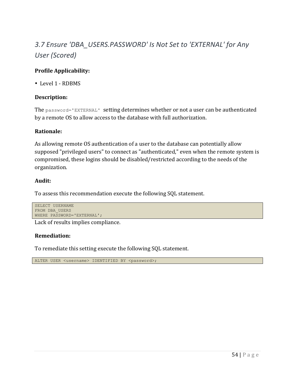## 3.7 Ensure 'DBA\_USERS.PASSWORD' Is Not Set to 'EXTERNAL' for Any *User (Scored)*

## **Profile Applicability:**

• Level 1 - RDBMS

#### **Description:**

The password='EXTERNAL' setting determines whether or not a user can be authenticated by a remote OS to allow access to the database with full authorization.

#### **Rationale:**

As allowing remote OS authentication of a user to the database can potentially allow supposed "privileged users" to connect as "authenticated," even when the remote system is compromised, these logins should be disabled/restricted according to the needs of the organization.

#### **Audit:**

To assess this recommendation execute the following SQL statement.

```
SELECT USERNAME 
FROM DBA_USERS 
WHERE PASSWORD='EXTERNAL';
```
Lack of results implies compliance.

## **Remediation:**

To remediate this setting execute the following SQL statement.

ALTER USER <username> IDENTIFIED BY <password>;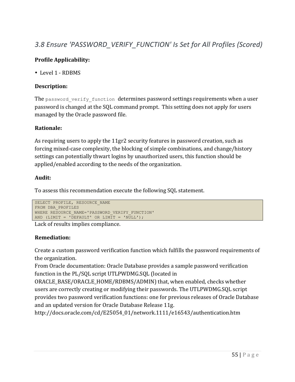## 3.8 Ensure 'PASSWORD\_VERIFY\_FUNCTION' Is Set for All Profiles (Scored)

#### **Profile Applicability:**

• Level 1 - RDBMS

#### **Description:**

The password verify function determines password settings requirements when a user password is changed at the SQL command prompt. This setting does not apply for users managed by the Oracle password file.

#### **Rationale:**

As requiring users to apply the 11gr2 security features in password creation, such as forcing mixed-case complexity, the blocking of simple combinations, and change/history settings can potentially thwart logins by unauthorized users, this function should be applied/enabled according to the needs of the organization.

#### **Audit:**

To assess this recommendation execute the following SQL statement.

```
SELECT PROFILE, RESOURCE NAME
FROM DBA_PROFILES 
WHERE RESOURCE NAME='PASSWORD VERIFY FUNCTION'
AND (LIMIT = \overline{D}EFAULT' OR LIMIT = \overline{NULL'});
```
Lack of results implies compliance.

## **Remediation:**

Create a custom password verification function which fulfills the password requirements of the organization.

From Oracle documentation: Oracle Database provides a sample password verification function in the PL/SQL script UTLPWDMG.SQL (located in

ORACLE\_BASE/ORACLE\_HOME/RDBMS/ADMIN) that, when enabled, checks whether users are correctly creating or modifying their passwords. The UTLPWDMG.SQL script provides two password verification functions: one for previous releases of Oracle Database and an updated version for Oracle Database Release 11g.

http://docs.oracle.com/cd/E25054\_01/network.1111/e16543/authentication.htm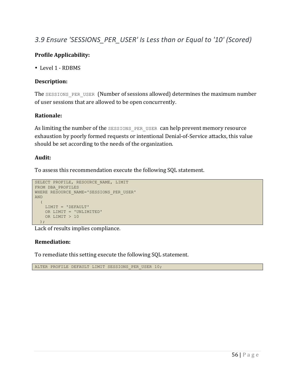## 3.9 Ensure 'SESSIONS PER USER' Is Less than or Equal to '10' (Scored)

## **Profile Applicability:**

• Level 1 - RDBMS

## **Description:**

The SESSIONS PER USER (Number of sessions allowed) determines the maximum number of user sessions that are allowed to be open concurrently.

#### **Rationale:**

As limiting the number of the SESSIONS PER USER can help prevent memory resource exhaustion by poorly formed requests or intentional Denial-of-Service attacks, this value should be set according to the needs of the organization.

#### **Audit:**

To assess this recommendation execute the following SQL statement.

```
SELECT PROFILE, RESOURCE NAME, LIMIT
FROM DBA_PROFILES
WHERE RESOURCE NAME='SESSIONS PER USER'
AND
  (
   LIMIT = 'DEFAULT'
   OR LIMIT = 'UNLIMITED'
   OR LIMIT > 10
 );
```
Lack of results implies compliance.

#### **Remediation:**

To remediate this setting execute the following SQL statement.

ALTER PROFILE DEFAULT LIMIT SESSIONS PER USER 10;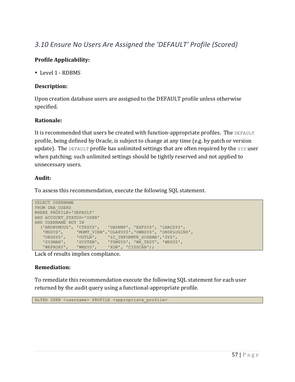## *3.10 Ensure No Users Are Assigned the 'DEFAULT' Profile (Scored)*

## **Profile Applicability:**

• Level 1 - RDBMS

#### **Description:**

Upon creation database users are assigned to the DEFAULT profile unless otherwise specified.

## **Rationale:**

It is recommended that users be created with function-appropriate profiles. The DEFAULT profile, being defined by Oracle, is subject to change at any time (e.g. by patch or version update). The DEFAULT profile has unlimited settings that are often required by the SYS user when patching; such unlimited settings should be tightly reserved and not applied to unnecessary users.

## **Audit:**

To assess this recommendation, execute the following SQL statement.

```
SELECT USERNAME
FROM DBA_USERS
WHERE PROFILE='DEFAULT'
AND ACCOUNT_STATUS='OPEN'
AND USERNAME NOT IN
  ('ANONYMOUS', 'CTXSYS', 'DBSNMP', 'EXFSYS', 'LBACSYS',
   'MDSYS', 'MGMT_VIEW','OLAPSYS','OWBSYS', 'ORDPLUGINS',
   'ORDSYS', 'OUTLN', 'SI_INFORMTN_SCHEMA','SYS',
   'SYSMAN', 'SYSTEM', 'TSMSYS', 'WK_TEST', 'WKSYS',
   'WKPROXY', 'WMSYS', 'XDB', 'CISSCAN');
```
Lack of results implies compliance.

## **Remediation:**

To remediate this recommendation execute the following SQL statement for each user returned by the audit query using a functional-appropriate profile.

ALTER USER <username> PROFILE <appropriate\_profile>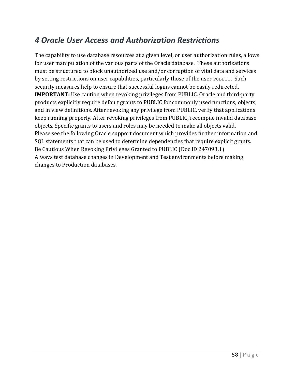## *4 Oracle User Access and Authorization Restrictions*

The capability to use database resources at a given level, or user authorization rules, allows for user manipulation of the various parts of the Oracle database. These authorizations must be structured to block unauthorized use and/or corruption of vital data and services by setting restrictions on user capabilities, particularly those of the user PUBLIC. Such security measures help to ensure that successful logins cannot be easily redirected. **IMPORTANT:** Use caution when revoking privileges from PUBLIC. Oracle and third-party products explicitly require default grants to PUBLIC for commonly used functions, objects, and in view definitions. After revoking any privilege from PUBLIC, verify that applications keep running properly. After revoking privileges from PUBLIC, recompile invalid database objects. Specific grants to users and roles may be needed to make all objects valid. Please see the following Oracle support document which provides further information and SQL statements that can be used to determine dependencies that require explicit grants. Be Cautious When Revoking Privileges Granted to PUBLIC (Doc ID 247093.1) Always test database changes in Development and Test environments before making changes to Production databases.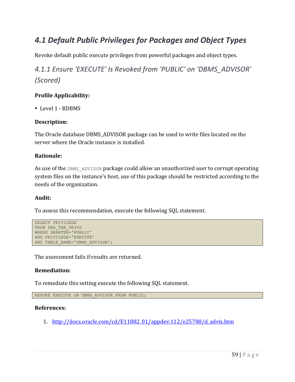## *4.1 Default Public Privileges for Packages and Object Types*

Revoke default public execute privileges from powerful packages and object types.

## 4.1.1 Ensure 'EXECUTE' Is Revoked from 'PUBLIC' on 'DBMS\_ADVISOR' *(Scored)*

#### **Profile Applicability:**

• Level 1 - RDBMS

#### **Description:**

The Oracle database DBMS\_ADVISOR package can be used to write files located on the server where the Oracle instance is installed.

#### **Rationale:**

As use of the DBMS ADVISOR package could allow an unauthorized user to corrupt operating system files on the instance's host, use of this package should be restricted according to the needs of the organization.

#### **Audit:**

To assess this recommendation, execute the following SQL statement.

```
SELECT PRIVILEGE
FROM DBA_TAB_PRIVS
WHERE GRANTEE='PUBLIC'
AND PRIVILEGE='EXECUTE'
AND TABLE NAME='DBMS ADVISOR';
```
The assessment fails if results are returned.

#### **Remediation:**

To remediate this setting execute the following SQL statement.

```
REVOKE EXECUTE ON DBMS ADVISOR FROM PUBLIC;
```
#### **References:**

1. http://docs.oracle.com/cd/E11882\_01/appdev.112/e25788/d\_advis.htm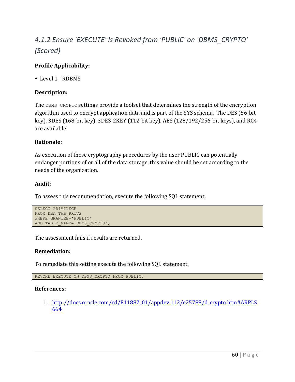# *4.1.2 Ensure 'EXECUTE' Is Revoked from 'PUBLIC' on 'DBMS\_CRYPTO' (Scored)*

## **Profile Applicability:**

• Level 1 - RDBMS

## **Description:**

The DBMS CRYPTO settings provide a toolset that determines the strength of the encryption algorithm used to encrypt application data and is part of the SYS schema. The DES (56-bit key), 3DES (168-bit key), 3DES-2KEY (112-bit key), AES (128/192/256-bit keys), and RC4 are available.

## **Rationale:**

As execution of these cryptography procedures by the user PUBLIC can potentially endanger portions of or all of the data storage, this value should be set according to the needs of the organization.

#### **Audit:**

To assess this recommendation, execute the following SQL statement.

```
SELECT PRIVILEGE
FROM DBA_TAB_PRIVS
WHERE GRANTEE='PUBLIC'
AND TABLE NAME='DBMS CRYPTO';
```
The assessment fails if results are returned.

## **Remediation:**

To remediate this setting execute the following SQL statement.

```
REVOKE EXECUTE ON DBMS CRYPTO FROM PUBLIC;
```
#### **References:**

1. http://docs.oracle.com/cd/E11882\_01/appdev.112/e25788/d\_crypto.htm#ARPLS 664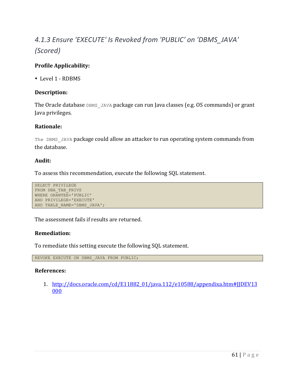# *4.1.3 Ensure 'EXECUTE' Is Revoked from 'PUBLIC' on 'DBMS\_JAVA' (Scored)*

## **Profile Applicability:**

• Level 1 - RDBMS

#### **Description:**

The Oracle database DBMS JAVA package can run Java classes (e.g. OS commands) or grant Java privileges.

#### **Rationale:**

The DBMS JAVA package could allow an attacker to run operating system commands from the database.

#### **Audit:**

To assess this recommendation, execute the following SQL statement.

```
SELECT PRIVILEGE
FROM DBA_TAB_PRIVS
WHERE GRANTEE='PUBLIC'
AND PRIVILEGE='EXECUTE'
AND TABLE NAME='DBMS JAVA';
```
The assessment fails if results are returned.

#### **Remediation:**

To remediate this setting execute the following SQL statement.

REVOKE EXECUTE ON DBMS\_JAVA FROM PUBLIC;

#### **References:**

1. http://docs.oracle.com/cd/E11882\_01/java.112/e10588/appendixa.htm#JJDEV13 000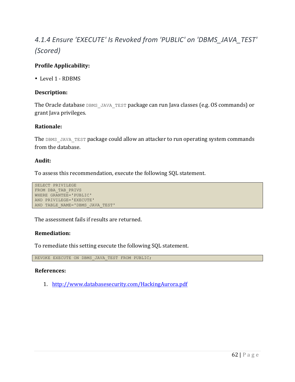# *4.1.4 Ensure 'EXECUTE' Is Revoked from 'PUBLIC' on 'DBMS\_JAVA\_TEST' (Scored)*

## **Profile Applicability:**

• Level 1 - RDBMS

#### **Description:**

The Oracle database DBMS JAVA TEST package can run Java classes (e.g. OS commands) or grant Java privileges.

#### **Rationale:**

The DBMS JAVA TEST package could allow an attacker to run operating system commands from the database.

#### **Audit:**

To assess this recommendation, execute the following SQL statement.

```
SELECT PRIVILEGE
FROM DBA_TAB_PRIVS
WHERE GRANTEE='PUBLIC'
AND PRIVILEGE='EXECUTE'
AND TABLE NAME='DBMS JAVA TEST'
```
The assessment fails if results are returned.

#### **Remediation:**

To remediate this setting execute the following SQL statement.

REVOKE EXECUTE ON DBMS JAVA TEST FROM PUBLIC;

#### **References:**

1. http://www.databasesecurity.com/HackingAurora.pdf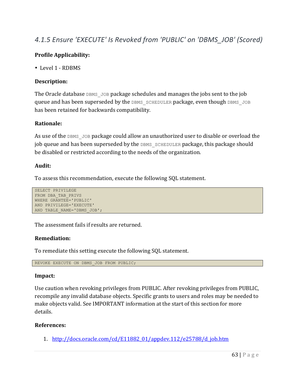## *4.1.5 Ensure 'EXECUTE' Is Revoked from 'PUBLIC' on 'DBMS\_JOB' (Scored)*

## **Profile Applicability:**

• Level 1 - RDBMS

#### **Description:**

The Oracle database DBMS JOB package schedules and manages the jobs sent to the job **queue and has been superseded by the DBMS** SCHEDULER package, even though DBMS JOB has been retained for backwards compatibility.

#### **Rationale:**

As use of the DBMS JOB package could allow an unauthorized user to disable or overload the job queue and has been superseded by the DBMS SCHEDULER package, this package should be disabled or restricted according to the needs of the organization.

#### **Audit:**

To assess this recommendation, execute the following SQL statement.

```
SELECT PRIVILEGE
FROM DBA_TAB_PRIVS
WHERE GRANTEE='PUBLIC'
AND PRIVILEGE='EXECUTE'
AND TABLE NAME='DBMS JOB';
```
The assessment fails if results are returned.

#### **Remediation:**

To remediate this setting execute the following SQL statement.

REVOKE EXECUTE ON DBMS\_JOB FROM PUBLIC;

#### **Impact:**

Use caution when revoking privileges from PUBLIC. After revoking privileges from PUBLIC, recompile any invalid database objects. Specific grants to users and roles may be needed to make objects valid. See IMPORTANT information at the start of this section for more details.

#### **References:**

1. http://docs.oracle.com/cd/E11882\_01/appdev.112/e25788/d\_job.htm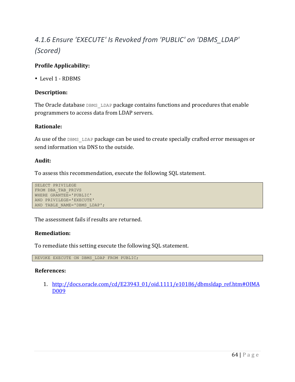# *4.1.6 Ensure 'EXECUTE' Is Revoked from 'PUBLIC' on 'DBMS\_LDAP' (Scored)*

## **Profile Applicability:**

• Level 1 - RDBMS

#### **Description:**

The Oracle database DBMS LDAP package contains functions and procedures that enable programmers to access data from LDAP servers.

#### **Rationale:**

As use of the DBMS LDAP package can be used to create specially crafted error messages or send information via DNS to the outside.

#### **Audit:**

To assess this recommendation, execute the following SQL statement.

```
SELECT PRIVILEGE
FROM DBA_TAB_PRIVS
WHERE GRANTEE='PUBLIC'
AND PRIVILEGE='EXECUTE'
AND TABLE NAME='DBMS LDAP';
```
The assessment fails if results are returned.

#### **Remediation:**

To remediate this setting execute the following SQL statement.

REVOKE EXECUTE ON DBMS\_LDAP FROM PUBLIC;

#### **References:**

1. http://docs.oracle.com/cd/E23943\_01/oid.1111/e10186/dbmsldap\_ref.htm#OIMA D009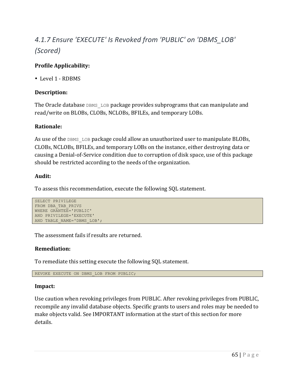# *4.1.7 Ensure 'EXECUTE' Is Revoked from 'PUBLIC' on 'DBMS\_LOB' (Scored)*

## **Profile Applicability:**

• Level 1 - RDBMS

## **Description:**

The Oracle database DBMS LOB package provides subprograms that can manipulate and read/write on BLOBs, CLOBs, NCLOBs, BFILEs, and temporary LOBs.

## **Rationale:**

As use of the DBMS LOB package could allow an unauthorized user to manipulate BLOBs, CLOBs, NCLOBs, BFILEs, and temporary LOBs on the instance, either destroying data or causing a Denial-of-Service condition due to corruption of disk space, use of this package should be restricted according to the needs of the organization.

## **Audit:**

To assess this recommendation, execute the following SQL statement.

```
SELECT PRIVILEGE
FROM DBA_TAB_PRIVS
WHERE GRANTEE='PUBLIC'
AND PRIVILEGE='EXECUTE'
AND TABLE NAME='DBMS LOB';
```
The assessment fails if results are returned.

## **Remediation:**

To remediate this setting execute the following SQL statement.

```
REVOKE EXECUTE ON DBMS_LOB FROM PUBLIC;
```
## **Impact:**

Use caution when revoking privileges from PUBLIC. After revoking privileges from PUBLIC, recompile any invalid database objects. Specific grants to users and roles may be needed to make objects valid. See IMPORTANT information at the start of this section for more details.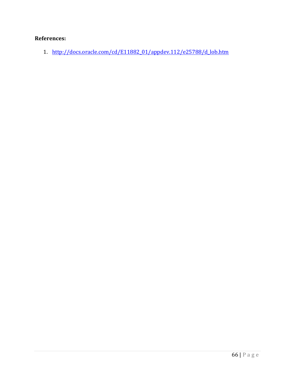## **References:**

1. http://docs.oracle.com/cd/E11882\_01/appdev.112/e25788/d\_lob.htm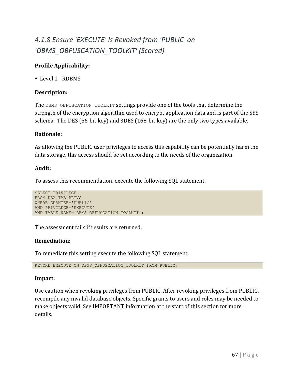# *4.1.8 Ensure 'EXECUTE' Is Revoked from 'PUBLIC' on 'DBMS\_OBFUSCATION\_TOOLKIT' (Scored)*

## **Profile Applicability:**

• Level 1 - RDBMS

## **Description:**

The DBMS OBFUSCATION TOOLKIT settings provide one of the tools that determine the strength of the encryption algorithm used to encrypt application data and is part of the SYS schema. The DES  $(56-bit \, \text{key})$  and  $3$ DES  $(168-bit \, \text{key})$  are the only two types available.

#### **Rationale:**

As allowing the PUBLIC user privileges to access this capability can be potentially harm the data storage, this access should be set according to the needs of the organization.

#### **Audit:**

To assess this recommendation, execute the following SQL statement.

```
SELECT PRIVILEGE
FROM DBA_TAB_PRIVS
WHERE GRANTEE='PUBLIC'
AND PRIVILEGE='EXECUTE'
AND TABLE NAME='DBMS OBFUSCATION TOOLKIT';
```
The assessment fails if results are returned.

#### **Remediation:**

To remediate this setting execute the following SQL statement.

REVOKE EXECUTE ON DBMS OBFUSCATION TOOLKIT FROM PUBLIC;

#### **Impact:**

Use caution when revoking privileges from PUBLIC. After revoking privileges from PUBLIC, recompile any invalid database objects. Specific grants to users and roles may be needed to make objects valid. See IMPORTANT information at the start of this section for more details.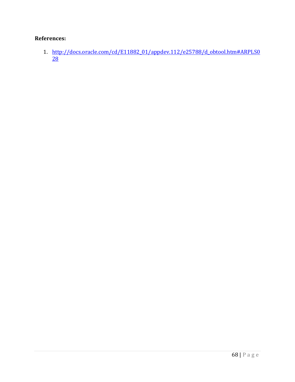## **References:**

1. http://docs.oracle.com/cd/E11882\_01/appdev.112/e25788/d\_obtool.htm#ARPLS0  $\overline{28}$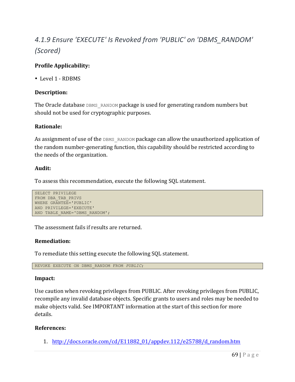# *4.1.9 Ensure 'EXECUTE' Is Revoked from 'PUBLIC' on 'DBMS\_RANDOM' (Scored)*

## **Profile Applicability:**

• Level 1 - RDBMS

#### **Description:**

The Oracle database DBMS RANDOM package is used for generating random numbers but should not be used for cryptographic purposes.

#### **Rationale:**

As assignment of use of the DBMS RANDOM package can allow the unauthorized application of the random number-generating function, this capability should be restricted according to the needs of the organization.

#### **Audit:**

To assess this recommendation, execute the following SQL statement.

```
SELECT PRIVILEGE
FROM DBA_TAB_PRIVS
WHERE GRANTEE='PUBLIC'
AND PRIVILEGE='EXECUTE'
AND TABLE NAME='DBMS RANDOM';
```
The assessment fails if results are returned.

#### **Remediation:**

To remediate this setting execute the following SQL statement.

REVOKE EXECUTE ON DBMS\_RANDOM FROM *PUBLIC*;

#### **Impact:**

Use caution when revoking privileges from PUBLIC. After revoking privileges from PUBLIC, recompile any invalid database objects. Specific grants to users and roles may be needed to make objects valid. See IMPORTANT information at the start of this section for more details.

#### **References:**

1. http://docs.oracle.com/cd/E11882\_01/appdev.112/e25788/d\_random.htm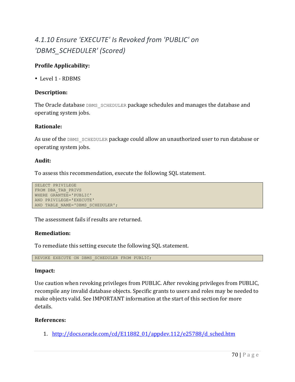## *4.1.10 Ensure 'EXECUTE' Is Revoked from 'PUBLIC' on 'DBMS\_SCHEDULER' (Scored)*

## **Profile Applicability:**

• Level 1 - RDBMS

#### **Description:**

The Oracle database DBMS SCHEDULER package schedules and manages the database and operating system jobs.

#### **Rationale:**

As use of the DBMS SCHEDULER package could allow an unauthorized user to run database or operating system jobs.

#### **Audit:**

To assess this recommendation, execute the following SQL statement.

```
SELECT PRIVILEGE
FROM DBA_TAB_PRIVS
WHERE GRANTEE='PUBLIC'
AND PRIVILEGE='EXECUTE'
AND TABLE NAME='DBMS SCHEDULER';
```
The assessment fails if results are returned.

#### **Remediation:**

To remediate this setting execute the following SQL statement.

REVOKE EXECUTE ON DBMS SCHEDULER FROM PUBLIC;

#### **Impact:**

Use caution when revoking privileges from PUBLIC. After revoking privileges from PUBLIC, recompile any invalid database objects. Specific grants to users and roles may be needed to make objects valid. See IMPORTANT information at the start of this section for more details.

## **References:**

1. http://docs.oracle.com/cd/E11882\_01/appdev.112/e25788/d\_sched.htm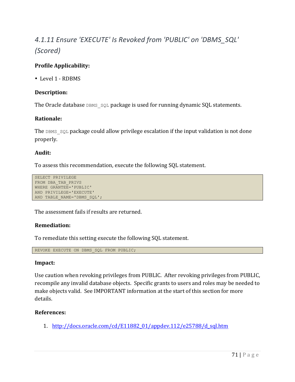# *4.1.11 Ensure 'EXECUTE' Is Revoked from 'PUBLIC' on 'DBMS\_SQL' (Scored)*

## **Profile Applicability:**

• Level 1 - RDBMS

#### **Description:**

The Oracle database DBMS  $SQL$  package is used for running dynamic SQL statements.

#### **Rationale:**

The DBMS  $SQL$  package could allow privilege escalation if the input validation is not done properly.

#### **Audit:**

To assess this recommendation, execute the following SQL statement.

```
SELECT PRIVILEGE
FROM DBA_TAB_PRIVS
WHERE GRANTEE='PUBLIC'
AND PRIVILEGE='EXECUTE'
AND TABLE NAME='DBMS SQL';
```
The assessment fails if results are returned.

#### **Remediation:**

To remediate this setting execute the following SQL statement.

REVOKE EXECUTE ON DBMS SQL FROM PUBLIC;

#### **Impact:**

Use caution when revoking privileges from PUBLIC. After revoking privileges from PUBLIC, recompile any invalid database objects. Specific grants to users and roles may be needed to make objects valid. See IMPORTANT information at the start of this section for more details.

#### **References:**

1. http://docs.oracle.com/cd/E11882\_01/appdev.112/e25788/d\_sql.htm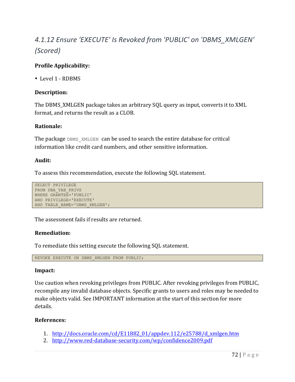# *4.1.12 Ensure 'EXECUTE' Is Revoked from 'PUBLIC' on 'DBMS\_XMLGEN' (Scored)*

# **Profile Applicability:**

• Level 1 - RDBMS

# **Description:**

The DBMS\_XMLGEN package takes an arbitrary SQL query as input, converts it to XML format, and returns the result as a CLOB.

## **Rationale:**

The package DBMS XMLGEN can be used to search the entire database for critical information like credit card numbers, and other sensitive information.

## **Audit:**

To assess this recommendation, execute the following SQL statement.

```
SELECT PRIVILEGE
FROM DBA_TAB_PRIVS
WHERE GRANTEE='PUBLIC'
AND PRIVILEGE='EXECUTE'
AND TABLE NAME='DBMS XMLGEN';
```
The assessment fails if results are returned.

# **Remediation:**

To remediate this setting execute the following SQL statement.

REVOKE EXECUTE ON DBMS XMLGEN FROM PUBLIC;

#### **Impact:**

Use caution when revoking privileges from PUBLIC. After revoking privileges from PUBLIC, recompile any invalid database objects. Specific grants to users and roles may be needed to make objects valid. See IMPORTANT information at the start of this section for more details.

- 1. http://docs.oracle.com/cd/E11882\_01/appdev.112/e25788/d\_xmlgen.htm
- 2. http://www.red-database-security.com/wp/confidence2009.pdf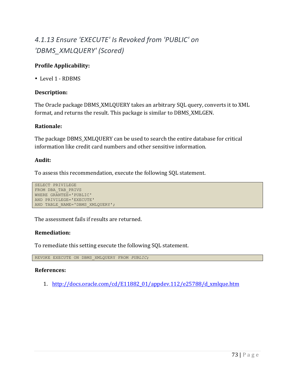# *4.1.13 Ensure 'EXECUTE' Is Revoked from 'PUBLIC' on 'DBMS\_XMLQUERY' (Scored)*

# **Profile Applicability:**

• Level 1 - RDBMS

# **Description:**

The Oracle package DBMS\_XMLQUERY takes an arbitrary SQL query, converts it to XML format, and returns the result. This package is similar to DBMS\_XMLGEN.

# **Rationale:**

The package DBMS\_XMLQUERY can be used to search the entire database for critical information like credit card numbers and other sensitive information.

# **Audit:**

To assess this recommendation, execute the following SQL statement.

```
SELECT PRIVILEGE
FROM DBA_TAB_PRIVS
WHERE GRANTEE='PUBLIC'
AND PRIVILEGE='EXECUTE'
AND TABLE NAME='DBMS XMLQUERY';
```
The assessment fails if results are returned.

# **Remediation:**

To remediate this setting execute the following SQL statement.

REVOKE EXECUTE ON DBMS\_XMLQUERY FROM *PUBLIC*;

# **References:**

1. http://docs.oracle.com/cd/E11882\_01/appdev.112/e25788/d\_xmlque.htm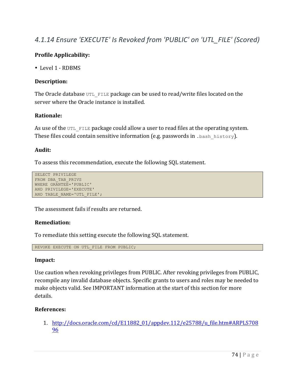# *4.1.14 Ensure 'EXECUTE' Is Revoked from 'PUBLIC' on 'UTL\_FILE' (Scored)*

# **Profile Applicability:**

• Level 1 - RDBMS

## **Description:**

The Oracle database  $UTL$  FILE package can be used to read/write files located on the server where the Oracle instance is installed.

## **Rationale:**

As use of the  $UTL$  FILE package could allow a user to read files at the operating system. These files could contain sensitive information (e.g. passwords in . bash\_history).

## **Audit:**

To assess this recommendation, execute the following SQL statement.

```
SELECT PRIVILEGE
FROM DBA_TAB_PRIVS
WHERE GRANTEE='PUBLIC'
AND PRIVILEGE='EXECUTE'
AND TABLE NAME='UTL FILE';
```
The assessment fails if results are returned.

#### **Remediation:**

To remediate this setting execute the following SQL statement.

REVOKE EXECUTE ON UTL FILE FROM PUBLIC;

#### **Impact:**

Use caution when revoking privileges from PUBLIC. After revoking privileges from PUBLIC, recompile any invalid database objects. Specific grants to users and roles may be needed to make objects valid. See IMPORTANT information at the start of this section for more details.

# **References:**

1. http://docs.oracle.com/cd/E11882\_01/appdev.112/e25788/u\_file.htm#ARPLS708 96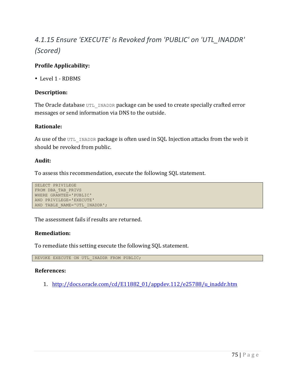# *4.1.15 Ensure 'EXECUTE' Is Revoked from 'PUBLIC' on 'UTL\_INADDR' (Scored)*

# **Profile Applicability:**

• Level 1 - RDBMS

## **Description:**

The Oracle database UTL INADDR package can be used to create specially crafted error messages or send information via DNS to the outside.

#### **Rationale:**

As use of the UTL INADDR package is often used in SQL Injection attacks from the web it should be revoked from public.

#### **Audit:**

To assess this recommendation, execute the following SQL statement.

```
SELECT PRIVILEGE
FROM DBA_TAB_PRIVS
WHERE GRANTEE='PUBLIC'
AND PRIVILEGE='EXECUTE'
AND TABLE NAME='UTL INADDR';
```
The assessment fails if results are returned.

#### **Remediation:**

To remediate this setting execute the following SQL statement.

REVOKE EXECUTE ON UTL INADDR FROM PUBLIC;

#### **References:**

1. http://docs.oracle.com/cd/E11882\_01/appdev.112/e25788/u\_inaddr.htm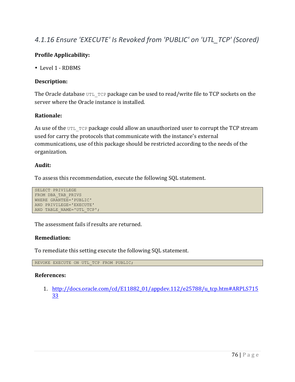# *4.1.16 Ensure 'EXECUTE' Is Revoked from 'PUBLIC' on 'UTL\_TCP' (Scored)*

# **Profile Applicability:**

• Level 1 - RDBMS

## **Description:**

The Oracle database  $UTL$  TCP package can be used to read/write file to TCP sockets on the server where the Oracle instance is installed.

## **Rationale:**

As use of the UTL TCP package could allow an unauthorized user to corrupt the TCP stream used for carry the protocols that communicate with the instance's external communications, use of this package should be restricted according to the needs of the organization.

#### **Audit:**

To assess this recommendation, execute the following SQL statement.

```
SELECT PRIVILEGE
FROM DBA_TAB_PRIVS
WHERE GRANTEE='PUBLIC'
AND PRIVILEGE='EXECUTE'
AND TABLE NAME='UTL TCP';
```
The assessment fails if results are returned.

#### **Remediation:**

To remediate this setting execute the following SQL statement.

REVOKE EXECUTE ON UTL\_TCP FROM PUBLIC;

#### **References:**

1. http://docs.oracle.com/cd/E11882\_01/appdev.112/e25788/u\_tcp.htm#ARPLS715 33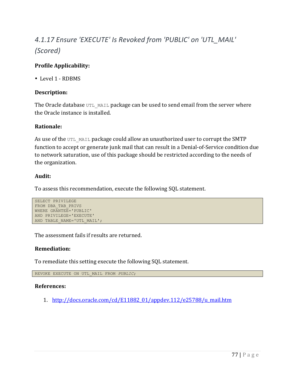# *4.1.17 Ensure 'EXECUTE' Is Revoked from 'PUBLIC' on 'UTL\_MAIL' (Scored)*

# **Profile Applicability:**

• Level 1 - RDBMS

## **Description:**

The Oracle database  $UTL$  MAIL package can be used to send email from the server where the Oracle instance is installed.

#### **Rationale:**

As use of the UTL MAIL package could allow an unauthorized user to corrupt the SMTP function to accept or generate junk mail that can result in a Denial-of-Service condition due to network saturation, use of this package should be restricted according to the needs of the organization.

## **Audit:**

To assess this recommendation, execute the following SQL statement.

```
SELECT PRIVILEGE
FROM DBA_TAB_PRIVS
WHERE GRANTEE='PUBLIC'
AND PRIVILEGE='EXECUTE'
AND TABLE NAME='UTL MAIL';
```
The assessment fails if results are returned.

#### **Remediation:**

To remediate this setting execute the following SQL statement.

REVOKE EXECUTE ON UTL\_MAIL FROM *PUBLIC*;

#### **References:**

1. http://docs.oracle.com/cd/E11882\_01/appdev.112/e25788/u\_mail.htm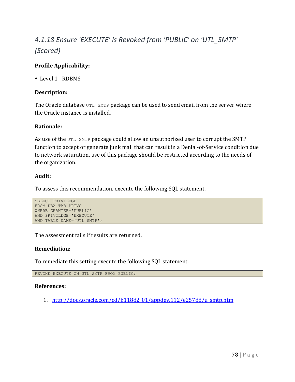# *4.1.18 Ensure 'EXECUTE' Is Revoked from 'PUBLIC' on 'UTL\_SMTP' (Scored)*

# **Profile Applicability:**

• Level 1 - RDBMS

## **Description:**

The Oracle database  $UTL$  SMTP package can be used to send email from the server where the Oracle instance is installed.

#### **Rationale:**

As use of the UTL SMTP package could allow an unauthorized user to corrupt the SMTP function to accept or generate junk mail that can result in a Denial-of-Service condition due to network saturation, use of this package should be restricted according to the needs of the organization.

## **Audit:**

To assess this recommendation, execute the following SQL statement.

```
SELECT PRIVILEGE
FROM DBA_TAB_PRIVS
WHERE GRANTEE='PUBLIC'
AND PRIVILEGE='EXECUTE'
AND TABLE NAME='UTL SMTP';
```
The assessment fails if results are returned.

#### **Remediation:**

To remediate this setting execute the following SQL statement.

REVOKE EXECUTE ON UTL SMTP FROM PUBLIC;

#### **References:**

1. http://docs.oracle.com/cd/E11882\_01/appdev.112/e25788/u\_smtp.htm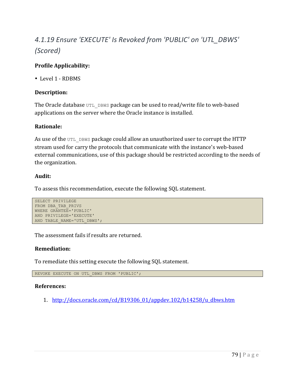# *4.1.19 Ensure 'EXECUTE' Is Revoked from 'PUBLIC' on 'UTL\_DBWS' (Scored)*

# **Profile Applicability:**

• Level 1 - RDBMS

## **Description:**

The Oracle database  $UTL$  DBWS package can be used to read/write file to web-based applications on the server where the Oracle instance is installed.

#### **Rationale:**

As use of the UTL DBWS package could allow an unauthorized user to corrupt the HTTP stream used for carry the protocols that communicate with the instance's web-based external communications, use of this package should be restricted according to the needs of the organization.

## **Audit:**

To assess this recommendation, execute the following SQL statement.

```
SELECT PRIVILEGE
FROM DBA_TAB_PRIVS
WHERE GRANTEE='PUBLIC'
AND PRIVILEGE='EXECUTE'
AND TABLE NAME='UTL DBWS';
```
The assessment fails if results are returned.

#### **Remediation:**

To remediate this setting execute the following SQL statement.

REVOKE EXECUTE ON UTL\_DBWS FROM 'PUBLIC';

#### **References:**

1. http://docs.oracle.com/cd/B19306\_01/appdev.102/b14258/u\_dbws.htm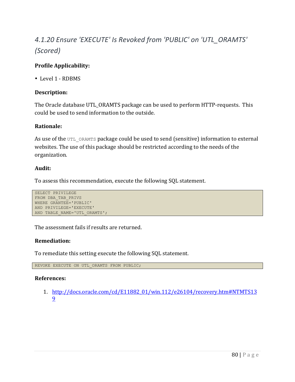# *4.1.20 Ensure 'EXECUTE' Is Revoked from 'PUBLIC' on 'UTL\_ORAMTS' (Scored)*

# **Profile Applicability:**

• Level 1 - RDBMS

## **Description:**

The Oracle database UTL\_ORAMTS package can be used to perform HTTP-requests. This could be used to send information to the outside.

#### **Rationale:**

As use of the UTL ORAMTS package could be used to send (sensitive) information to external websites. The use of this package should be restricted according to the needs of the organization.

## **Audit:**

To assess this recommendation, execute the following SQL statement.

```
SELECT PRIVILEGE
FROM DBA_TAB_PRIVS
WHERE GRANTEE='PUBLIC'
AND PRIVILEGE='EXECUTE'
AND TABLE NAME='UTL ORAMTS';
```
The assessment fails if results are returned.

#### **Remediation:**

To remediate this setting execute the following SQL statement.

REVOKE EXECUTE ON UTL ORAMTS FROM PUBLIC;

#### **References:**

1. http://docs.oracle.com/cd/E11882\_01/win.112/e26104/recovery.htm#NTMTS13 9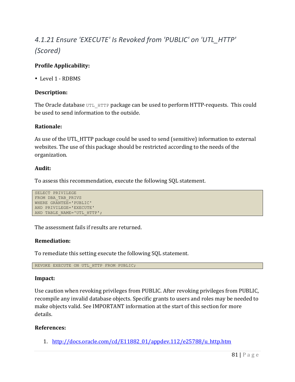# *4.1.21 Ensure 'EXECUTE' Is Revoked from 'PUBLIC' on 'UTL\_HTTP' (Scored)*

# **Profile Applicability:**

• Level 1 - RDBMS

## **Description:**

The Oracle database  $UTL$  HTTP package can be used to perform HTTP-requests. This could be used to send information to the outside.

#### **Rationale:**

As use of the UTL\_HTTP package could be used to send (sensitive) information to external websites. The use of this package should be restricted according to the needs of the organization.

#### **Audit:**

To assess this recommendation, execute the following SQL statement.

```
SELECT PRIVILEGE
FROM DBA_TAB_PRIVS
WHERE GRANTEE='PUBLIC'
AND PRIVILEGE='EXECUTE'
AND TABLE NAME='UTL HTTP';
```
The assessment fails if results are returned.

#### **Remediation:**

To remediate this setting execute the following SQL statement.

REVOKE EXECUTE ON UTL HTTP FROM PUBLIC;

#### **Impact:**

Use caution when revoking privileges from PUBLIC. After revoking privileges from PUBLIC, recompile any invalid database objects. Specific grants to users and roles may be needed to make objects valid. See IMPORTANT information at the start of this section for more details.

#### **References:**

1. http://docs.oracle.com/cd/E11882\_01/appdev.112/e25788/u\_http.htm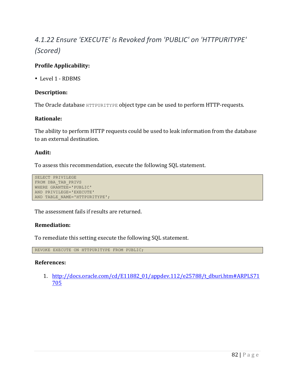# *4.1.22 Ensure 'EXECUTE' Is Revoked from 'PUBLIC' on 'HTTPURITYPE' (Scored)*

# **Profile Applicability:**

• Level 1 - RDBMS

## **Description:**

The Oracle database HTTPURITYPE object type can be used to perform HTTP-requests.

## **Rationale:**

The ability to perform HTTP requests could be used to leak information from the database to an external destination.

#### **Audit:**

To assess this recommendation, execute the following SQL statement.

```
SELECT PRIVILEGE
FROM DBA_TAB_PRIVS
WHERE GRANTEE='PUBLIC'
AND PRIVILEGE='EXECUTE'
AND TABLE NAME='HTTPURITYPE';
```
The assessment fails if results are returned.

#### **Remediation:**

To remediate this setting execute the following SQL statement.

REVOKE EXECUTE ON HTTPURITYPE FROM PUBLIC;

#### **References:**

1. http://docs.oracle.com/cd/E11882\_01/appdev.112/e25788/t\_dburi.htm#ARPLS71 705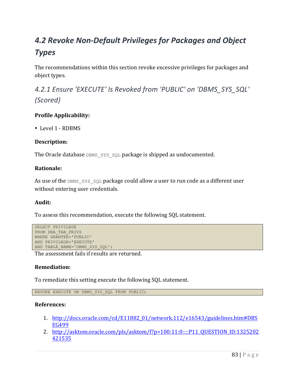# *4.2 Revoke Non-Default Privileges for Packages and Object Types*

The recommendations within this section revoke excessive privileges for packages and object types.

4.2.1 Ensure 'EXECUTE' Is Revoked from 'PUBLIC' on 'DBMS\_SYS\_SQL' *(Scored)*

# **Profile Applicability:**

• Level 1 - RDBMS

# **Description:**

The Oracle database  $DS$   $SYS$  sol package is shipped as undocumented.

# **Rationale:**

As use of the DBMS SYS SQL package could allow a user to run code as a different user without entering user credentials.

# **Audit:**

To assess this recommendation, execute the following SQL statement.

```
SELECT PRIVILEGE
FROM DBA_TAB_PRIVS
WHERE GRANTEE='PUBLIC'
AND PRIVILEGE='EXECUTE'
AND TABLE NAME='DBMS SYS SQL';
```
The assessment fails if results are returned.

# **Remediation:**

To remediate this setting execute the following SQL statement.

REVOKE EXECUTE ON DBMS\_SYS\_SQL FROM *PUBLIC*;

- 1. http://docs.oracle.com/cd/E11882\_01/network.112/e16543/guidelines.htm#DBS EG499
- 2. http://asktom.oracle.com/pls/asktom/f?p=100:11:0::::P11\_QUESTION\_ID:1325202 421535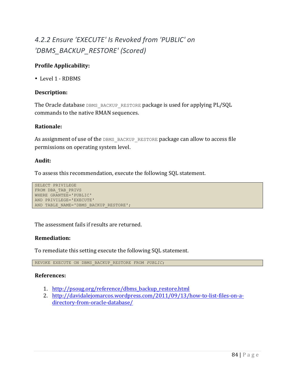# *4.2.2 Ensure 'EXECUTE' Is Revoked from 'PUBLIC' on 'DBMS\_BACKUP\_RESTORE' (Scored)*

# **Profile Applicability:**

• Level 1 - RDBMS

#### **Description:**

The Oracle database DBMS\_BACKUP\_RESTORE package is used for applying PL/SQL commands to the native RMAN sequences.

#### **Rationale:**

As assignment of use of the DBMS\_BACKUP\_RESTORE package can allow to access file permissions on operating system level.

#### **Audit:**

To assess this recommendation, execute the following SQL statement.

```
SELECT PRIVILEGE
FROM DBA_TAB_PRIVS
WHERE GRANTEE='PUBLIC'
AND PRIVILEGE='EXECUTE'
AND TABLE NAME='DBMS BACKUP RESTORE';
```
The assessment fails if results are returned.

#### **Remediation:**

To remediate this setting execute the following SQL statement.

REVOKE EXECUTE ON DBMS\_BACKUP\_RESTORE FROM *PUBLIC*;

- 1. http://psoug.org/reference/dbms\_backup\_restore.html
- 2. http://davidalejomarcos.wordpress.com/2011/09/13/how-to-list-files-on-adirectory-from-oracle-database/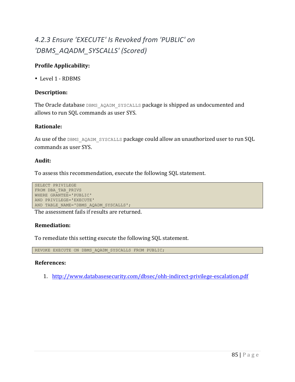# *4.2.3 Ensure 'EXECUTE' Is Revoked from 'PUBLIC' on 'DBMS\_AQADM\_SYSCALLS' (Scored)*

# **Profile Applicability:**

• Level 1 - RDBMS

## **Description:**

The Oracle database DBMS\_AQADM\_SYSCALLS package is shipped as undocumented and allows to run SQL commands as user SYS.

#### **Rationale:**

As use of the DBMS AQADM SYSCALLS package could allow an unauthorized user to run SQL commands as user SYS.

#### **Audit:**

To assess this recommendation, execute the following SQL statement.

```
SELECT PRIVILEGE
FROM DBA_TAB_PRIVS
WHERE GRANTEE='PUBLIC'
AND PRIVILEGE='EXECUTE'
AND TABLE NAME='DBMS AQADM SYSCALLS';
```
The assessment fails if results are returned.

# **Remediation:**

To remediate this setting execute the following SQL statement.

REVOKE EXECUTE ON DBMS AQADM SYSCALLS FROM PUBLIC;

#### **References:**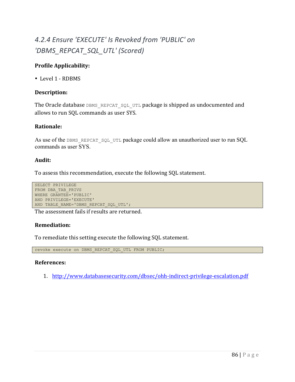# *4.2.4 Ensure 'EXECUTE' Is Revoked from 'PUBLIC' on 'DBMS\_REPCAT\_SQL\_UTL' (Scored)*

# **Profile Applicability:**

• Level 1 - RDBMS

## **Description:**

The Oracle database DBMS\_REPCAT\_SQL\_UTL package is shipped as undocumented and allows to run SQL commands as user SYS.

#### **Rationale:**

As use of the DBMS REPCAT SQL UTL package could allow an unauthorized user to run SQL commands as user SYS.

## **Audit:**

To assess this recommendation, execute the following SQL statement.

```
SELECT PRIVILEGE
FROM DBA_TAB_PRIVS
WHERE GRANTEE='PUBLIC'
AND PRIVILEGE='EXECUTE'
AND TABLE NAME='DBMS REPCAT SQL UTL';
```
The assessment fails if results are returned.

# **Remediation:**

To remediate this setting execute the following SQL statement.

revoke execute on DBMS REPCAT SQL UTL FROM PUBLIC;

#### **References:**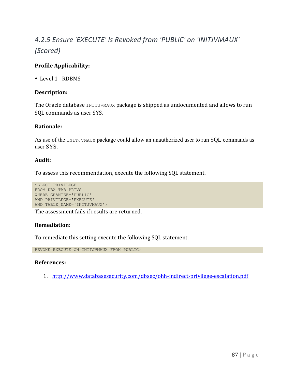# *4.2.5 Ensure 'EXECUTE' Is Revoked from 'PUBLIC' on 'INITJVMAUX' (Scored)*

# **Profile Applicability:**

• Level 1 - RDBMS

## **Description:**

The Oracle database INITJVMAUX package is shipped as undocumented and allows to run SQL commands as user SYS.

#### **Rationale:**

As use of the INITJVMAUX package could allow an unauthorized user to run SQL commands as user SYS.

#### **Audit:**

To assess this recommendation, execute the following SQL statement.

```
SELECT PRIVILEGE
FROM DBA_TAB_PRIVS
WHERE GRANTEE='PUBLIC'
AND PRIVILEGE='EXECUTE'
AND TABLE NAME='INITJVMAUX';
```
The assessment fails if results are returned.

#### **Remediation:**

To remediate this setting execute the following SQL statement.

REVOKE EXECUTE ON INITJVMAUX FROM PUBLIC;

#### **References:**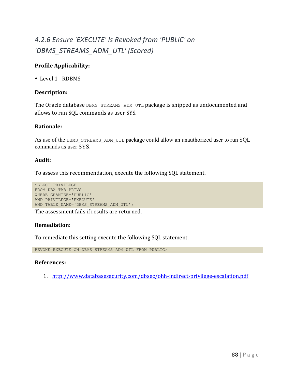# *4.2.6 Ensure 'EXECUTE' Is Revoked from 'PUBLIC' on 'DBMS\_STREAMS\_ADM\_UTL' (Scored)*

# **Profile Applicability:**

• Level 1 - RDBMS

## **Description:**

The Oracle database DBMS\_STREAMS\_ADM\_UTL package is shipped as undocumented and allows to run SQL commands as user SYS.

#### **Rationale:**

As use of the DBMS STREAMS ADM UTL package could allow an unauthorized user to run SQL commands as user SYS.

#### **Audit:**

To assess this recommendation, execute the following SQL statement.

```
SELECT PRIVILEGE
FROM DBA_TAB_PRIVS
WHERE GRANTEE='PUBLIC'
AND PRIVILEGE='EXECUTE'
AND TABLE NAME='DBMS STREAMS ADM UTL';
```
The assessment fails if results are returned.

# **Remediation:**

To remediate this setting execute the following SQL statement.

REVOKE EXECUTE ON DBMS STREAMS ADM UTL FROM PUBLIC;

#### **References:**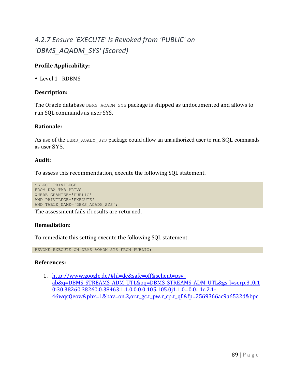# *4.2.7 Ensure 'EXECUTE' Is Revoked from 'PUBLIC' on 'DBMS\_AQADM\_SYS' (Scored)*

# **Profile Applicability:**

• Level 1 - RDBMS

## **Description:**

The Oracle database DBMS AQADM SYS package is shipped as undocumented and allows to run SQL commands as user SYS.

#### **Rationale:**

As use of the DBMS AQADM SYS package could allow an unauthorized user to run SQL commands as user SYS.

#### **Audit:**

To assess this recommendation, execute the following SQL statement.

```
SELECT PRIVILEGE
FROM DBA_TAB_PRIVS
WHERE GRANTEE='PUBLIC'
AND PRIVILEGE='EXECUTE'
AND TABLE NAME='DBMS AQADM SYS';
```
The assessment fails if results are returned.

# **Remediation:**

To remediate this setting execute the following SQL statement.

REVOKE EXECUTE ON DBMS AQADM SYS FROM PUBLIC;

#### **References:**

1. http://www.google.de/#hl=de&safe=off&sclient=psyab&q=DBMS\_STREAMS\_ADM\_UTL&oq=DBMS\_STREAMS\_ADM\_UTL&gs\_l=serp.3..0i1 0i30.38260.38260.0.38463.1.1.0.0.0.0.105.105.0j1.1.0...0.0...1c.2.1-46wqcQeow&pbx=1&bav=on.2,or.r\_gc.r\_pw.r\_cp.r\_qf.&fp=2569366ac9a6532d&bpc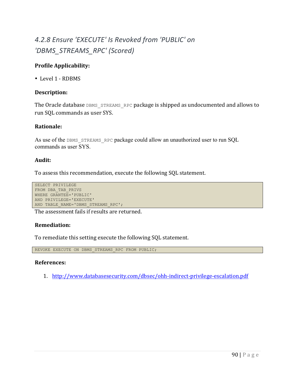# *4.2.8 Ensure 'EXECUTE' Is Revoked from 'PUBLIC' on 'DBMS\_STREAMS\_RPC' (Scored)*

# **Profile Applicability:**

• Level 1 - RDBMS

## **Description:**

The Oracle database DBMS STREAMS RPC package is shipped as undocumented and allows to run SQL commands as user SYS.

#### **Rationale:**

As use of the DBMS STREAMS RPC package could allow an unauthorized user to run SQL commands as user SYS.

#### **Audit:**

To assess this recommendation, execute the following SQL statement.

```
SELECT PRIVILEGE
FROM DBA_TAB_PRIVS
WHERE GRANTEE='PUBLIC'
AND PRIVILEGE='EXECUTE'
AND TABLE NAME='DBMS STREAMS RPC';
```
The assessment fails if results are returned.

#### **Remediation:**

To remediate this setting execute the following SQL statement.

REVOKE EXECUTE ON DBMS STREAMS RPC FROM PUBLIC;

#### **References:**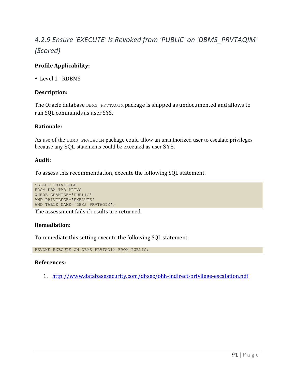# *4.2.9 Ensure 'EXECUTE' Is Revoked from 'PUBLIC' on 'DBMS\_PRVTAQIM' (Scored)*

# **Profile Applicability:**

• Level 1 - RDBMS

## **Description:**

The Oracle database DBMS PRVTAQIM package is shipped as undocumented and allows to run SQL commands as user SYS.

#### **Rationale:**

As use of the DBMS PRVTAQIM package could allow an unauthorized user to escalate privileges because any SQL statements could be executed as user SYS.

#### **Audit:**

To assess this recommendation, execute the following SQL statement.

```
SELECT PRIVILEGE
FROM DBA_TAB_PRIVS
WHERE GRANTEE='PUBLIC'
AND PRIVILEGE='EXECUTE'
AND TABLE NAME='DBMS PRVTAQIM';
```
The assessment fails if results are returned.

# **Remediation:**

To remediate this setting execute the following SQL statement.

REVOKE EXECUTE ON DBMS PRVTAQIM FROM PUBLIC;

#### **References:**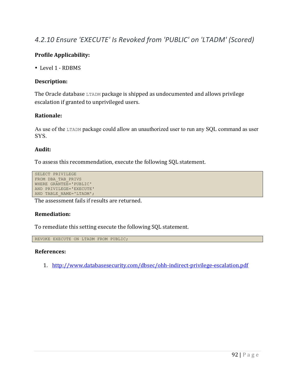# *4.2.10 Ensure 'EXECUTE' Is Revoked from 'PUBLIC' on 'LTADM' (Scored)*

# **Profile Applicability:**

• Level 1 - RDBMS

## **Description:**

The Oracle database LTADM package is shipped as undocumented and allows privilege escalation if granted to unprivileged users.

## **Rationale:**

As use of the LTADM package could allow an unauthorized user to run any SQL command as user SYS.

## **Audit:**

To assess this recommendation, execute the following SQL statement.

```
SELECT PRIVILEGE
FROM DBA_TAB_PRIVS
WHERE GRANTEE='PUBLIC'
AND PRIVILEGE='EXECUTE'
AND TABLE NAME='LTADM';
```
The assessment fails if results are returned.

#### **Remediation:**

To remediate this setting execute the following SQL statement.

REVOKE EXECUTE ON LTADM FROM PUBLIC;

#### **References:**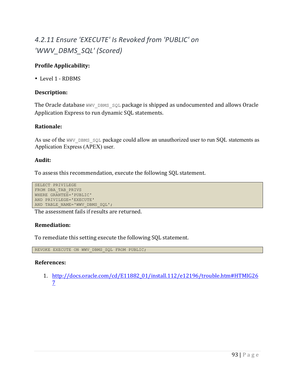# *4.2.11 Ensure 'EXECUTE' Is Revoked from 'PUBLIC' on 'WWV\_DBMS\_SQL' (Scored)*

# **Profile Applicability:**

• Level 1 - RDBMS

## **Description:**

The Oracle database  $WWV$  DBMS  $SQL$  package is shipped as undocumented and allows Oracle Application Express to run dynamic SQL statements.

#### **Rationale:**

As use of the WWV\_DBMS\_SQL package could allow an unauthorized user to run SQL statements as Application Express (APEX) user.

#### **Audit:**

To assess this recommendation, execute the following SQL statement.

```
SELECT PRIVILEGE
FROM DBA_TAB_PRIVS
WHERE GRANTEE='PUBLIC'
AND PRIVILEGE='EXECUTE'
AND TABLE NAME='WWV DBMS SQL';
```
The assessment fails if results are returned.

# **Remediation:**

To remediate this setting execute the following SQL statement.

REVOKE EXECUTE ON WWV DBMS SQL FROM PUBLIC;

#### **References:**

1. http://docs.oracle.com/cd/E11882\_01/install.112/e12196/trouble.htm#HTMIG26 7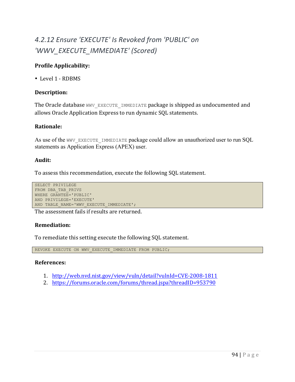# *4.2.12 Ensure 'EXECUTE' Is Revoked from 'PUBLIC' on 'WWV\_EXECUTE\_IMMEDIATE' (Scored)*

# **Profile Applicability:**

• Level 1 - RDBMS

## **Description:**

The Oracle database WWV\_EXECUTE\_IMMEDIATE package is shipped as undocumented and allows Oracle Application Express to run dynamic SQL statements.

#### **Rationale:**

As use of the WWV EXECUTE IMMEDIATE package could allow an unauthorized user to run SQL statements as Application Express (APEX) user.

#### **Audit:**

To assess this recommendation, execute the following SQL statement.

```
SELECT PRIVILEGE
FROM DBA_TAB_PRIVS
WHERE GRANTEE='PUBLIC'
AND PRIVILEGE='EXECUTE'
AND TABLE NAME='WWV EXECUTE IMMEDIATE';
```
The assessment fails if results are returned.

# **Remediation:**

To remediate this setting execute the following SQL statement.

REVOKE EXECUTE ON WWV EXECUTE IMMEDIATE FROM PUBLIC;

- 1. http://web.nvd.nist.gov/view/vuln/detail?vulnId=CVE-2008-1811
- 2. https://forums.oracle.com/forums/thread.jspa?threadID=953790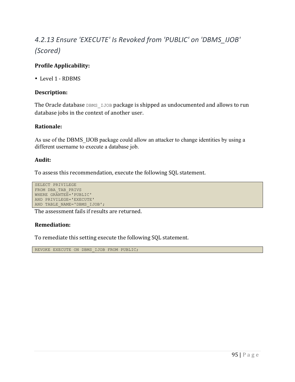# *4.2.13 Ensure 'EXECUTE' Is Revoked from 'PUBLIC' on 'DBMS\_IJOB' (Scored)*

# **Profile Applicability:**

• Level 1 - RDBMS

## **Description:**

The Oracle database DBMS IJOB package is shipped as undocumented and allows to run database jobs in the context of another user.

#### **Rationale:**

As use of the DBMS IJOB package could allow an attacker to change identities by using a different username to execute a database job.

#### **Audit:**

To assess this recommendation, execute the following SQL statement.

```
SELECT PRIVILEGE
FROM DBA_TAB_PRIVS
WHERE GRANTEE='PUBLIC'
AND PRIVILEGE='EXECUTE'
AND TABLE NAME='DBMS IJOB';
```
The assessment fails if results are returned.

#### **Remediation:**

To remediate this setting execute the following SQL statement.

REVOKE EXECUTE ON DBMS\_IJOB FROM PUBLIC;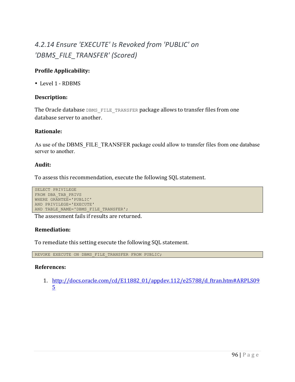# *4.2.14 Ensure 'EXECUTE' Is Revoked from 'PUBLIC' on 'DBMS\_FILE\_TRANSFER' (Scored)*

# **Profile Applicability:**

• Level 1 - RDBMS

## **Description:**

The Oracle database DBMS FILE TRANSFER package allows to transfer files from one database server to another.

## **Rationale:**

As use of the DBMS\_FILE\_TRANSFER package could allow to transfer files from one database server to another.

#### **Audit:**

To assess this recommendation, execute the following SQL statement.

```
SELECT PRIVILEGE
FROM DBA_TAB_PRIVS
WHERE GRANTEE='PUBLIC'
AND PRIVILEGE='EXECUTE'
AND TABLE NAME='DBMS FILE TRANSFER';
```
The assessment fails if results are returned.

#### **Remediation:**

To remediate this setting execute the following SQL statement.

REVOKE EXECUTE ON DBMS FILE TRANSFER FROM PUBLIC;

#### **References:**

1. http://docs.oracle.com/cd/E11882\_01/appdev.112/e25788/d\_ftran.htm#ARPLS09 5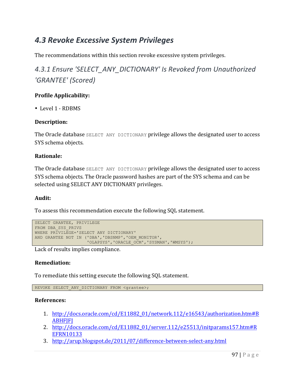# *4.3 Revoke Excessive System Privileges*

The recommendations within this section revoke excessive system privileges.

# 4.3.1 Ensure 'SELECT\_ANY\_DICTIONARY' Is Revoked from Unauthorized *'GRANTEE' (Scored)*

# **Profile Applicability:**

• Level 1 - RDBMS

## **Description:**

The Oracle database SELECT ANY DICTIONARY privilege allows the designated user to access SYS schema objects.

#### **Rationale:**

The Oracle database SELECT ANY DICTIONARY privilege allows the designated user to access SYS schema objects. The Oracle password hashes are part of the SYS schema and can be selected using SELECT ANY DICTIONARY privileges.

#### **Audit:**

To assess this recommendation execute the following SQL statement.

```
SELECT GRANTEE, PRIVILEGE 
FROM DBA_SYS_PRIVS 
WHERE PRIVILEGE='SELECT ANY DICTIONARY' 
AND GRANTEE NOT IN ('DBA','DBSNMP','OEM_MONITOR',
                      'OLAPSYS','ORACLE_OCM','SYSMAN','WMSYS');
```
Lack of results implies compliance.

#### **Remediation:**

To remediate this setting execute the following SQL statement.

REVOKE SELECT ANY DICTIONARY FROM <grantee>;

- 1. http://docs.oracle.com/cd/E11882\_01/network.112/e16543/authorization.htm#B **ABHFIFI**
- 2. http://docs.oracle.com/cd/E11882\_01/server.112/e25513/initparams157.htm#R EFRN10133
- 3. http://arup.blogspot.de/2011/07/difference-between-select-any.html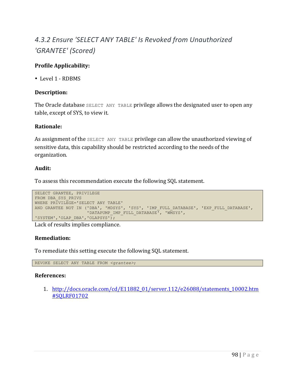# *4.3.2 Ensure 'SELECT ANY TABLE' Is Revoked from Unauthorized 'GRANTEE' (Scored)*

# **Profile Applicability:**

• Level 1 - RDBMS

## **Description:**

The Oracle database SELECT ANY TABLE privilege allows the designated user to open any table, except of SYS, to view it.

#### **Rationale:**

As assignment of the SELECT ANY TABLE privilege can allow the unauthorized viewing of sensitive data, this capability should be restricted according to the needs of the organization.

## **Audit:**

To assess this recommendation execute the following SQL statement.

```
SELECT GRANTEE, PRIVILEGE
FROM DBA_SYS_PRIVS
WHERE PRIVILEGE='SELECT ANY TABLE'
AND GRANTEE NOT IN ('DBA', 'MDSYS', 'SYS', 'IMP_FULL_DATABASE', 'EXP_FULL_DATABASE',
                    'DATAPUMP_IMP_FULL_DATABASE', 'WMSYS', 
'SYSTEM', 'OLAP DBA', 'OLAPSYS');
```
Lack of results implies compliance.

#### **Remediation:**

To remediate this setting execute the following SQL statement.

REVOKE SELECT ANY TABLE FROM *<grantee>*;

#### **References:**

1. http://docs.oracle.com/cd/E11882\_01/server.112/e26088/statements\_10002.htm #SQLRF01702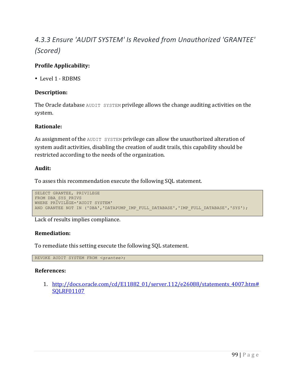# *4.3.3 Ensure 'AUDIT SYSTEM' Is Revoked from Unauthorized 'GRANTEE' (Scored)*

# **Profile Applicability:**

• Level 1 - RDBMS

## **Description:**

The Oracle database AUDIT SYSTEM privilege allows the change auditing activities on the system.

#### **Rationale:**

As assignment of the AUDIT SYSTEM privilege can allow the unauthorized alteration of system audit activities, disabling the creation of audit trails, this capability should be restricted according to the needs of the organization.

## **Audit:**

To asses this recommendation execute the following SQL statement.

```
SELECT GRANTEE, PRIVILEGE
FROM DBA_SYS_PRIVS
WHERE PRIVILEGE='AUDIT SYSTEM'
AND GRANTEE NOT IN ('DBA', 'DATAPUMP IMP FULL DATABASE','IMP FULL DATABASE','SYS');
```
Lack of results implies compliance.

# **Remediation:**

To remediate this setting execute the following SQL statement.

REVOKE AUDIT SYSTEM FROM *<grantee>*;

#### **References:**

1. http://docs.oracle.com/cd/E11882\_01/server.112/e26088/statements\_4007.htm# SQLRF01107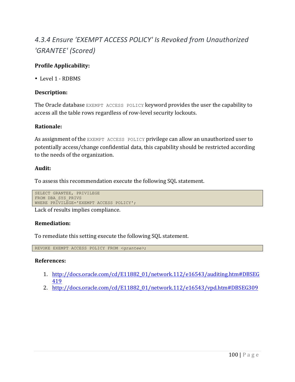# 4.3.4 Ensure 'EXEMPT ACCESS POLICY' Is Revoked from Unauthorized *'GRANTEE' (Scored)*

# **Profile Applicability:**

• Level 1 - RDBMS

## **Description:**

The Oracle database EXEMPT ACCESS POLICY keyword provides the user the capability to access all the table rows regardless of row-level security lockouts.

#### **Rationale:**

As assignment of the EXEMPT ACCESS POLICY privilege can allow an unauthorized user to potentially access/change confidential data, this capability should be restricted according to the needs of the organization.

#### **Audit:**

To assess this recommendation execute the following SQL statement.

```
SELECT GRANTEE, PRIVILEGE
FROM DBA_SYS_PRIVS
WHERE PRIVILEGE='EXEMPT ACCESS POLICY';
```
Lack of results implies compliance.

# **Remediation:**

To remediate this setting execute the following SQL statement.

REVOKE EXEMPT ACCESS POLICY FROM *<grantee>*;

- 1. http://docs.oracle.com/cd/E11882\_01/network.112/e16543/auditing.htm#DBSEG 419
- 2. http://docs.oracle.com/cd/E11882\_01/network.112/e16543/vpd.htm#DBSEG309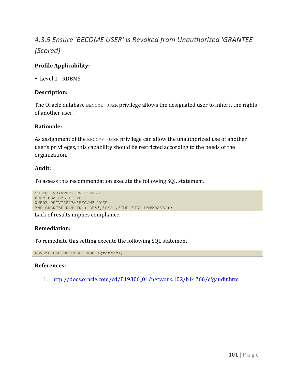# *4.3.5 Ensure 'BECOME USER' Is Revoked from Unauthorized 'GRANTEE' (Scored)*

# **Profile Applicability:**

• Level 1 - RDBMS

## **Description:**

The Oracle database  $BECOME$  USER privilege allows the designated user to inherit the rights of another user.

#### **Rationale:**

As assignment of the  $BECOME$  USER privilege can allow the unauthorized use of another user's privileges, this capability should be restricted according to the needs of the organization.

## **Audit:**

To assess this recommendation execute the following SQL statement.

```
SELECT GRANTEE, PRIVILEGE
FROM DBA_SYS_PRIVS
WHERE PRIVILEGE='BECOME USER'
AND GRANTEE NOT IN ('DBA','SYS','IMP_FULL_DATABASE');
```
Lack of results implies compliance.

#### **Remediation:**

To remediate this setting execute the following SQL statement.

REVOKE BECOME USER FROM *<grantee>*;

#### **References:**

1. http://docs.oracle.com/cd/B19306\_01/network.102/b14266/cfgaudit.htm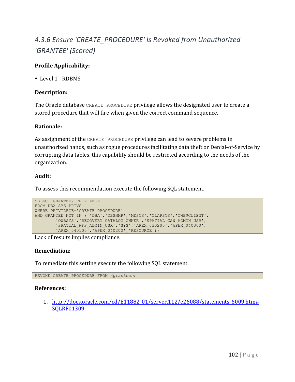# 4.3.6 Ensure 'CREATE\_PROCEDURE' Is Revoked from Unauthorized *'GRANTEE' (Scored)*

# **Profile Applicability:**

• Level 1 - RDBMS

## **Description:**

The Oracle database CREATE PROCEDURE privilege allows the designated user to create a stored procedure that will fire when given the correct command sequence.

#### **Rationale:**

As assignment of the CREATE PROCEDURE privilege can lead to severe problems in unauthorized hands, such as rogue procedures facilitating data theft or Denial-of-Service by corrupting data tables, this capability should be restricted according to the needs of the organization.

## **Audit:**

To assess this recommendation execute the following SQL statement.

```
SELECT GRANTEE, PRIVILEGE
FROM DBA_SYS_PRIVS
WHERE PRIVILEGE='CREATE PROCEDURE'
AND GRANTEE NOT IN ( 'DBA','DBSNMP','MDSYS','OLAPSYS','OWB$CLIENT',
        'OWBSYS','RECOVERY_CATALOG_OWNER','SPATIAL_CSW_ADMIN_USR',
        'SPATIAL WFS ADMIN USR', 'SYS', 'APEX 030200", 'APEX 040000',
        'APEX 040100', 'APEX 040200', 'RESOURCE');
```
Lack of results implies compliance.

#### **Remediation:**

To remediate this setting execute the following SQL statement.

REVOKE CREATE PROCEDURE FROM *<grantee>*;

# **References:**

1. http://docs.oracle.com/cd/E11882\_01/server.112/e26088/statements\_6009.htm# SQLRF01309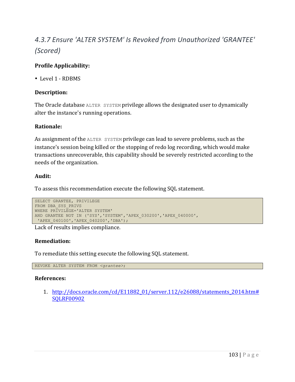# *4.3.7 Ensure 'ALTER SYSTEM' Is Revoked from Unauthorized 'GRANTEE' (Scored)*

# **Profile Applicability:**

• Level 1 - RDBMS

# **Description:**

The Oracle database ALTER SYSTEM privilege allows the designated user to dynamically alter the instance's running operations.

## **Rationale:**

As assignment of the ALTER SYSTEM privilege can lead to severe problems, such as the instance's session being killed or the stopping of redo log recording, which would make transactions unrecoverable, this capability should be severely restricted according to the needs of the organization.

## **Audit:**

To assess this recommendation execute the following SQL statement.

```
SELECT GRANTEE, PRIVILEGE
FROM DBA_SYS_PRIVS
WHERE PRIVILEGE='ALTER SYSTEM'
AND GRANTEE NOT IN ('SYS','SYSTEM','APEX_030200','APEX_040000',
'APEX_040100','APEX_040200','DBA');
```
Lack of results implies compliance.

# **Remediation:**

To remediate this setting execute the following SQL statement.

REVOKE ALTER SYSTEM FROM *<grantee>*;

#### **References:**

1. http://docs.oracle.com/cd/E11882\_01/server.112/e26088/statements\_2014.htm# SQLRF00902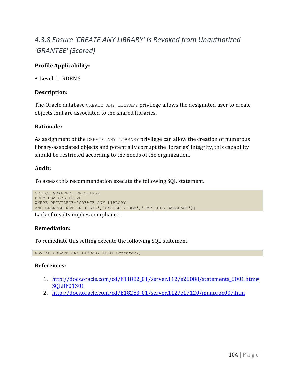# *4.3.8 Ensure 'CREATE ANY LIBRARY' Is Revoked from Unauthorized 'GRANTEE' (Scored)*

# **Profile Applicability:**

• Level 1 - RDBMS

## **Description:**

The Oracle database CREATE ANY LIBRARY privilege allows the designated user to create objects that are associated to the shared libraries.

#### **Rationale:**

As assignment of the CREATE ANY LIBRARY privilege can allow the creation of numerous library-associated objects and potentially corrupt the libraries' integrity, this capability should be restricted according to the needs of the organization.

#### **Audit:**

To assess this recommendation execute the following SQL statement.

```
SELECT GRANTEE, PRIVILEGE
FROM DBA_SYS_PRIVS
WHERE PRIVILEGE='CREATE ANY LIBRARY'
AND GRANTEE NOT IN ('SYS','SYSTEM','DBA','IMP_FULL_DATABASE');
```
Lack of results implies compliance.

#### **Remediation:**

To remediate this setting execute the following SQL statement.

REVOKE CREATE ANY LIBRARY FROM *<grantee>*;

- 1. http://docs.oracle.com/cd/E11882\_01/server.112/e26088/statements\_6001.htm# SQLRF01301
- 2. http://docs.oracle.com/cd/E18283\_01/server.112/e17120/manproc007.htm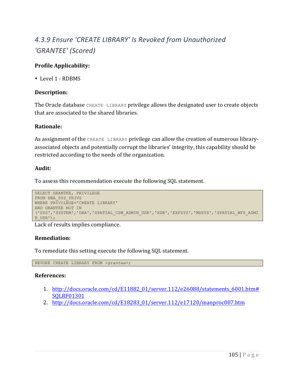# *4.3.9 Ensure 'CREATE LIBRARY' Is Revoked from Unauthorized 'GRANTEE' (Scored)*

# **Profile Applicability:**

• Level 1 - RDBMS

## **Description:**

The Oracle database CREATE LIBRARY privilege allows the designated user to create objects that are associated to the shared libraries.

#### **Rationale:**

As assignment of the CREATE LIBRARY privilege can allow the creation of numerous libraryassociated objects and potentially corrupt the libraries' integrity, this capability should be restricted according to the needs of the organization.

## **Audit:**

To assess this recommendation execute the following SQL statement.

```
SELECT GRANTEE, PRIVILEGE
FROM DBA_SYS_PRIVS
WHERE PRIVILEGE='CREATE LIBRARY'
AND GRANTEE NOT IN 
('SYS','SYSTEM','DBA','SPATIAL_CSW_ADMIN_USR','XDB','EXFSYS','MDSYS','SPATIAL_WFS_ADMI
N_USR');
```
Lack of results implies compliance.

#### **Remediation:**

To remediate this setting execute the following SQL statement.

REVOKE CREATE LIBRARY FROM *<grantee>*;

- 1. http://docs.oracle.com/cd/E11882\_01/server.112/e26088/statements\_6001.htm# SQLRF01301
- 2. http://docs.oracle.com/cd/E18283\_01/server.112/e17120/manproc007.htm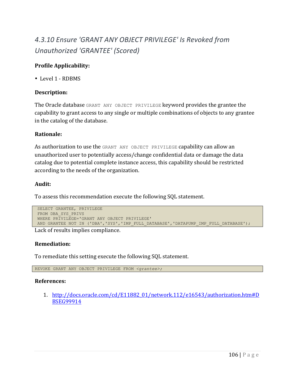# *4.3.10 Ensure 'GRANT ANY OBJECT PRIVILEGE' Is Revoked from Unauthorized 'GRANTEE' (Scored)*

# **Profile Applicability:**

• Level 1 - RDBMS

## **Description:**

The Oracle database GRANT ANY OBJECT PRIVILEGE keyword provides the grantee the capability to grant access to any single or multiple combinations of objects to any grantee in the catalog of the database.

## **Rationale:**

As authorization to use the GRANT ANY OBJECT PRIVILEGE capability can allow an unauthorized user to potentially access/change confidential data or damage the data catalog due to potential complete instance access, this capability should be restricted according to the needs of the organization.

## **Audit:**

To assess this recommendation execute the following SQL statement.

```
SELECT GRANTEE, PRIVILEGE
FROM DBA_SYS_PRIVS 
WHERE PRIVILEGE='GRANT ANY OBJECT PRIVILEGE' 
AND GRANTEE NOT IN ('DBA','SYS','IMP_FULL_DATABASE','DATAPUMP_IMP_FULL_DATABASE');
```
Lack of results implies compliance.

# **Remediation:**

To remediate this setting execute the following SQL statement.

REVOKE GRANT ANY OBJECT PRIVILEGE FROM *<grantee>;* 

#### **References:**

1. http://docs.oracle.com/cd/E11882\_01/network.112/e16543/authorization.htm#D BSEG99914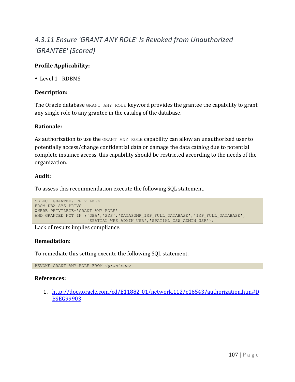# *4.3.11 Ensure 'GRANT ANY ROLE' Is Revoked from Unauthorized 'GRANTEE' (Scored)*

# **Profile Applicability:**

• Level 1 - RDBMS

# **Description:**

The Oracle database GRANT ANY ROLE keyword provides the grantee the capability to grant any single role to any grantee in the catalog of the database.

# **Rationale:**

As authorization to use the GRANT ANY ROLE capability can allow an unauthorized user to potentially access/change confidential data or damage the data catalog due to potential complete instance access, this capability should be restricted according to the needs of the organization.

# **Audit:**

To assess this recommendation execute the following SQL statement.

```
SELECT GRANTEE, PRIVILEGE 
FROM DBA_SYS_PRIVS 
WHERE PRIVILEGE='GRANT ANY ROLE' 
AND GRANTEE NOT IN ('DBA','SYS','DATAPUMP_IMP_FULL_DATABASE','IMP_FULL_DATABASE',
                    'SPATIAL WFS ADMIN USR', 'SPATIAL CSW ADMIN USR');
```
Lack of results implies compliance.

# **Remediation:**

To remediate this setting execute the following SQL statement.

REVOKE GRANT ANY ROLE FROM *<grantee>;*

#### **References:**

1. http://docs.oracle.com/cd/E11882\_01/network.112/e16543/authorization.htm#D BSEG99903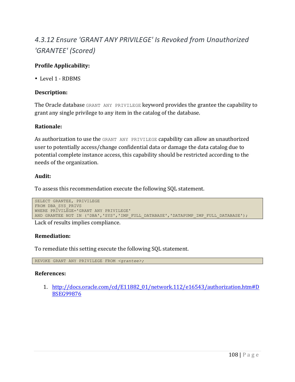# *4.3.12 Ensure 'GRANT ANY PRIVILEGE' Is Revoked from Unauthorized 'GRANTEE' (Scored)*

# **Profile Applicability:**

• Level 1 - RDBMS

# **Description:**

The Oracle database GRANT ANY PRIVILEGE keyword provides the grantee the capability to grant any single privilege to any item in the catalog of the database.

#### **Rationale:**

As authorization to use the GRANT ANY PRIVILEGE capability can allow an unauthorized user to potentially access/change confidential data or damage the data catalog due to potential complete instance access, this capability should be restricted according to the needs of the organization.

# **Audit:**

To assess this recommendation execute the following SQL statement.

```
SELECT GRANTEE, PRIVILEGE
FROM DBA_SYS_PRIVS
WHERE PRIVILEGE='GRANT ANY PRIVILEGE'
AND GRANTEE NOT IN ('DBA','SYS','IMP_FULL_DATABASE','DATAPUMP_IMP_FULL_DATABASE');
```
Lack of results implies compliance.

#### **Remediation:**

To remediate this setting execute the following SQL statement.

REVOKE GRANT ANY PRIVILEGE FROM *<grantee>;*

#### **References:**

1. http://docs.oracle.com/cd/E11882\_01/network.112/e16543/authorization.htm#D BSEG99876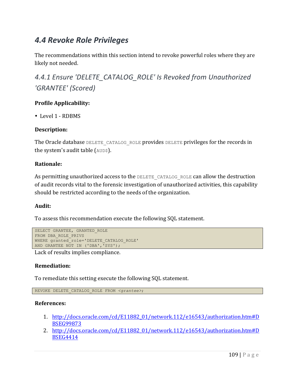# *4.4 Revoke Role Privileges*

The recommendations within this section intend to revoke powerful roles where they are likely not needed.

4.4.1 Ensure 'DELETE\_CATALOG\_ROLE' Is Revoked from Unauthorized *'GRANTEE' (Scored)*

# **Profile Applicability:**

• Level 1 - RDBMS

# **Description:**

The Oracle database DELETE CATALOG ROLE provides DELETE privileges for the records in the system's audit table (AUD\$).

# **Rationale:**

As permitting unauthorized access to the DELETE CATALOG ROLE can allow the destruction of audit records vital to the forensic investigation of unauthorized activities, this capability should be restricted according to the needs of the organization.

# **Audit:**

To assess this recommendation execute the following SQL statement.

```
SELECT GRANTEE, GRANTED ROLE
FROM DBA_ROLE_PRIVS
WHERE granted role='DELETE CATALOG ROLE'
AND GRANTEE NOT IN ('DBA', \overline{S}'SYS');
```
Lack of results implies compliance.

#### **Remediation:**

To remediate this setting execute the following SQL statement.

REVOKE DELETE\_CATALOG\_ROLE FROM *<grantee>*;

- 1. http://docs.oracle.com/cd/E11882\_01/network.112/e16543/authorization.htm#D BSEG99873
- 2. http://docs.oracle.com/cd/E11882\_01/network.112/e16543/authorization.htm#D BSEG4414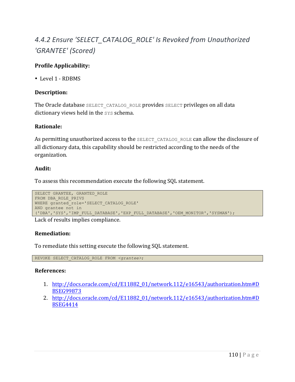# *4.4.2 Ensure 'SELECT\_CATALOG\_ROLE' Is Revoked from Unauthorized 'GRANTEE' (Scored)*

# **Profile Applicability:**

• Level 1 - RDBMS

# **Description:**

The Oracle database SELECT CATALOG ROLE provides SELECT privileges on all data dictionary views held in the SYS schema.

#### **Rationale:**

As permitting unauthorized access to the SELECT CATALOG ROLE can allow the disclosure of all dictionary data, this capability should be restricted according to the needs of the organization.

# **Audit:**

To assess this recommendation execute the following SQL statement.

```
SELECT GRANTEE, GRANTED ROLE
FROM DBA_ROLE_PRIVS
WHERE granted_role='SELECT_CATALOG_ROLE'
AND grantee not in 
('DBA','SYS','IMP_FULL_DATABASE','EXP_FULL_DATABASE','OEM_MONITOR','SYSMAN');
```
Lack of results implies compliance.

#### **Remediation:**

To remediate this setting execute the following SQL statement.

REVOKE SELECT\_CATALOG\_ROLE FROM *<grantee>*;

- 1. http://docs.oracle.com/cd/E11882\_01/network.112/e16543/authorization.htm#D BSEG99873
- 2. http://docs.oracle.com/cd/E11882\_01/network.112/e16543/authorization.htm#D BSEG4414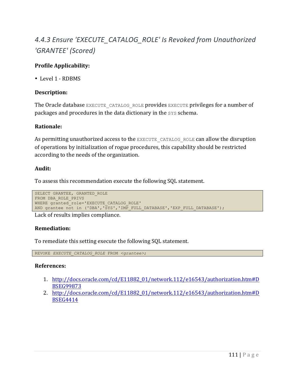# 4.4.3 Ensure 'EXECUTE\_CATALOG\_ROLE' Is Revoked from Unauthorized *'GRANTEE' (Scored)*

# **Profile Applicability:**

• Level 1 - RDBMS

# **Description:**

The Oracle database EXECUTE CATALOG ROLE provides EXECUTE privileges for a number of packages and procedures in the data dictionary in the SYS schema.

#### **Rationale:**

As permitting unauthorized access to the EXECUTE CATALOG ROLE can allow the disruption of operations by initialization of rogue procedures, this capability should be restricted according to the needs of the organization.

# **Audit:**

To assess this recommendation execute the following SQL statement.

```
SELECT GRANTEE, GRANTED ROLE
FROM DBA_ROLE_PRIVS
WHERE granted_role='EXECUTE CATALOG ROLE'
AND grantee not in ('DBA','SYS','IMP_FULL_DATABASE','EXP_FULL_DATABASE');
```
Lack of results implies compliance.

# **Remediation:**

To remediate this setting execute the following SQL statement.

REVOKE *EXECUTE\_CATALOG\_ROLE* FROM *<grantee>*;

- 1. http://docs.oracle.com/cd/E11882\_01/network.112/e16543/authorization.htm#D BSEG99873
- 2. http://docs.oracle.com/cd/E11882\_01/network.112/e16543/authorization.htm#D BSEG4414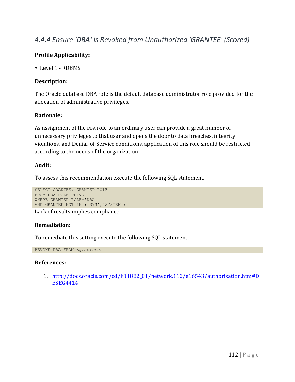# *4.4.4 Ensure 'DBA' Is Revoked from Unauthorized 'GRANTEE' (Scored)*

# **Profile Applicability:**

• Level 1 - RDBMS

# **Description:**

The Oracle database DBA role is the default database administrator role provided for the allocation of administrative privileges.

# **Rationale:**

As assignment of the  $DBA$  role to an ordinary user can provide a great number of unnecessary privileges to that user and opens the door to data breaches, integrity violations, and Denial-of-Service conditions, application of this role should be restricted according to the needs of the organization.

#### **Audit:**

To assess this recommendation execute the following SQL statement.

```
SELECT GRANTEE, GRANTED_ROLE
FROM DBA_ROLE_PRIVS
WHERE GRANTED_ROLE='DBA'
AND GRANTEE NOT IN ('SYS','SYSTEM');
```
Lack of results implies compliance.

# **Remediation:**

To remediate this setting execute the following SQL statement.

REVOKE DBA FROM *<grantee>*;

#### **References:**

1. http://docs.oracle.com/cd/E11882\_01/network.112/e16543/authorization.htm#D BSEG4414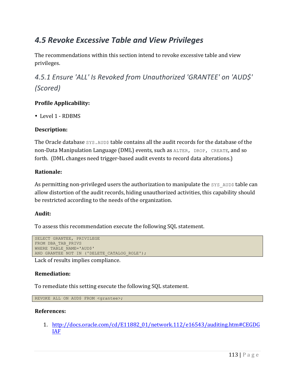# *4.5 Revoke Excessive Table and View Privileges*

The recommendations within this section intend to revoke excessive table and view privileges.

*4.5.1 Ensure 'ALL' Is Revoked from Unauthorized 'GRANTEE' on 'AUD\$' (Scored)*

# **Profile Applicability:**

• Level 1 - RDBMS

# **Description:**

The Oracle database  $sys$ . AUD\$ table contains all the audit records for the database of the non-Data Manipulation Language (DML) events, such as ALTER, DROP, CREATE, and so forth. (DML changes need trigger-based audit events to record data alterations.)

# **Rationale:**

As permitting non-privileged users the authorization to manipulate the  $SYS$  AUD\$ table can allow distortion of the audit records, hiding unauthorized activities, this capability should be restricted according to the needs of the organization.

# **Audit:**

To assess this recommendation execute the following SQL statement.

```
SELECT GRANTEE, PRIVILEGE
FROM DBA_TAB_PRIVS
WHERE TABLE NAME='AUD$'
AND GRANTEE NOT IN ('DELETE CATALOG ROLE');
```
Lack of results implies compliance.

#### **Remediation:**

To remediate this setting execute the following SQL statement.

```
REVOKE ALL ON AUD$ FROM <grantee>;
```
#### **References:**

1. http://docs.oracle.com/cd/E11882\_01/network.112/e16543/auditing.htm#CEGDG IAF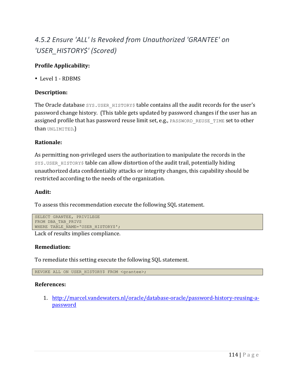# *4.5.2 Ensure 'ALL' Is Revoked from Unauthorized 'GRANTEE' on 'USER\_HISTORY\$' (Scored)*

# **Profile Applicability:**

• Level 1 - RDBMS

# **Description:**

The Oracle database SYS.USER HISTORY\$ table contains all the audit records for the user's password change history. (This table gets updated by password changes if the user has an assigned profile that has password reuse limit set, e.g., PASSWORD REUSE TIME set to other than UNLIMITED.)

# **Rationale:**

As permitting non-privileged users the authorization to manipulate the records in the SYS. USER HISTORY\$ table can allow distortion of the audit trail, potentially hiding unauthorized data confidentiality attacks or integrity changes, this capability should be restricted according to the needs of the organization.

#### **Audit:**

To assess this recommendation execute the following SQL statement.

```
SELECT GRANTEE, PRIVILEGE
FROM DBA_TAB_PRIVS
WHERE TABLE NAME='USER HISTORY$';
```
Lack of results implies compliance.

#### **Remediation:**

To remediate this setting execute the following SQL statement.

REVOKE ALL ON USER HISTORY\$ FROM <grantee>;

#### **References:**

1. http://marcel.vandewaters.nl/oracle/database-oracle/password-history-reusing-apassword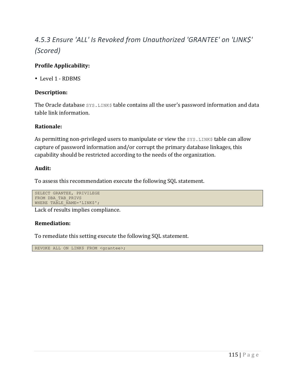# *4.5.3 Ensure 'ALL' Is Revoked from Unauthorized 'GRANTEE' on 'LINK\$' (Scored)*

# **Profile Applicability:**

• Level 1 - RDBMS

# **Description:**

The Oracle database SYS.LINK\$ table contains all the user's password information and data table link information.

# **Rationale:**

As permitting non-privileged users to manipulate or view the  $SYS.$  LINK\$ table can allow capture of password information and/or corrupt the primary database linkages, this capability should be restricted according to the needs of the organization.

# **Audit:**

To assess this recommendation execute the following SQL statement.

```
SELECT GRANTEE, PRIVILEGE
FROM DBA_TAB_PRIVS
WHERE TABLE NAME='LINK$';
```
Lack of results implies compliance.

# **Remediation:**

To remediate this setting execute the following SQL statement.

REVOKE ALL ON LINK\$ FROM <grantee>;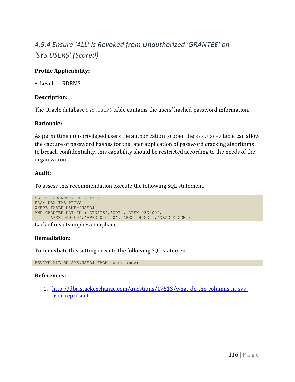# *4.5.4 Ensure 'ALL' Is Revoked from Unauthorized 'GRANTEE' on 'SYS.USER\$' (Scored)*

# **Profile Applicability:**

• Level 1 - RDBMS

# **Description:**

The Oracle database  $sys.$  USER\$ table contains the users' hashed password information.

# **Rationale:**

As permitting non-privileged users the authorization to open the SYS.USER\$ table can allow the capture of password hashes for the later application of password cracking algorithms to breach confidentiality, this capability should be restricted according to the needs of the organization.

# **Audit:**

To assess this recommendation execute the following SQL statement.

```
SELECT GRANTEE, PRIVILEGE
FROM DBA_TAB_PRIVS
WHERE TABLE NAME='USER$'
AND GRANTEE NOT IN ('CTXSYS','XDB','APEX_030200',
     'APEX_040000','APEX_040100','APEX_040200','ORACLE_OCM');
```
Lack of results implies compliance.

# **Remediation:**

To remediate this setting execute the following SQL statement.

REVOKE ALL ON SYS.USER\$ FROM <username>;

# **References:**

1. http://dba.stackexchange.com/questions/17513/what-do-the-columns-in-sysuser-represent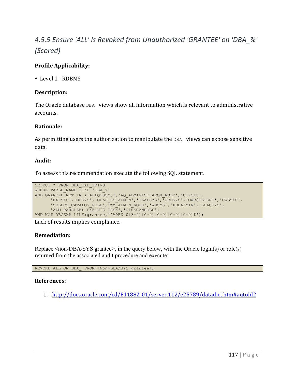# *4.5.5 Ensure 'ALL' Is Revoked from Unauthorized 'GRANTEE' on 'DBA\_%' (Scored)*

# **Profile Applicability:**

• Level 1 - RDBMS

# **Description:**

The Oracle database DBA views show all information which is relevant to administrative accounts.

#### **Rationale:**

As permitting users the authorization to manipulate the  $DBA$  views can expose sensitive data.

# **Audit:**

To assess this recommendation execute the following SQL statement.

```
SELECT * FROM DBA_TAB_PRIVS 
WHERE TABLE NAME LIKE 'DBA %'
AND GRANTEE NOT IN ('APPQOSSYS','AQ_ADMINISTRATOR_ROLE','CTXSYS',
       'EXFSYS','MDSYS','OLAP_XS_ADMIN','OLAPSYS','ORDSYS','OWB$CLIENT','OWBSYS',
       'SELECT_CATALOG_ROLE','WM_ADMIN_ROLE','WMSYS','XDBADMIN','LBACSYS',
      'ADM_PARALLEL_EXECUTE_TASK','CISSCANROLE')
AND NOT REGEXP LIKE(grantee,'^APEX 0[3-9][0-9][0-9][0-9][0-9]$');
```
Lack of results implies compliance.

#### **Remediation:**

Replace <non-DBA/SYS grantee>, in the query below, with the Oracle login(s) or role(s) returned from the associated audit procedure and execute:

REVOKE ALL ON DBA FROM <Non-DBA/SYS grantee>;

#### **References:**

1. http://docs.oracle.com/cd/E11882\_01/server.112/e25789/datadict.htm#autoId2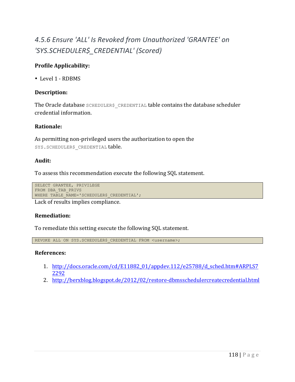# *4.5.6 Ensure 'ALL' Is Revoked from Unauthorized 'GRANTEE' on 'SYS.SCHEDULER\$\_CREDENTIAL' (Scored)*

# **Profile Applicability:**

• Level 1 - RDBMS

# **Description:**

The Oracle database SCHEDULER\$ CREDENTIAL table contains the database scheduler credential information.

#### **Rationale:**

As permitting non-privileged users the authorization to open the SYS.SCHEDULER\$ CREDENTIAL table.

#### **Audit:**

To assess this recommendation execute the following SQL statement.

```
SELECT GRANTEE, PRIVILEGE
FROM DBA_TAB_PRIVS
WHERE TABLE NAME='SCHEDULER$ CREDENTIAL';
```
Lack of results implies compliance.

#### **Remediation:**

To remediate this setting execute the following SQL statement.

REVOKE ALL ON SYS.SCHEDULER\$ CREDENTIAL FROM <username>;

- 1. http://docs.oracle.com/cd/E11882\_01/appdev.112/e25788/d\_sched.htm#ARPLS7 2292
- 2. http://berxblog.blogspot.de/2012/02/restore-dbmsschedulercreatecredential.html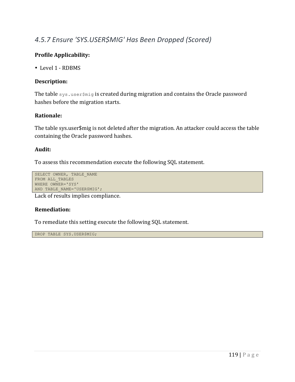# *4.5.7 Ensure 'SYS.USER\$MIG' Has Been Dropped (Scored)*

# **Profile Applicability:**

• Level 1 - RDBMS

# **Description:**

The table sys.user\$mig is created during migration and contains the Oracle password hashes before the migration starts.

# **Rationale:**

The table sys.user\$mig is not deleted after the migration. An attacker could access the table containing the Oracle password hashes.

# **Audit:**

To assess this recommendation execute the following SQL statement.

```
SELECT OWNER, TABLE NAME
FROM ALL TABLES
WHERE OWNER='SYS'
AND TABLE NAME='USER$MIG';
```
Lack of results implies compliance.

#### **Remediation:**

To remediate this setting execute the following SQL statement.

DROP TABLE SYS.USER\$MIG;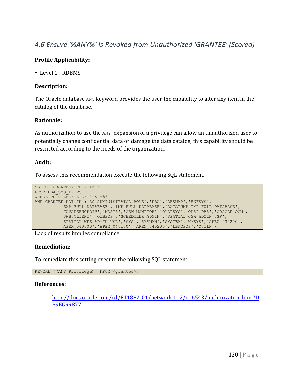# *4.6 Ensure '%ANY%' Is Revoked from Unauthorized 'GRANTEE' (Scored)*

# **Profile Applicability:**

• Level 1 - RDBMS

# **Description:**

The Oracle database ANY keyword provides the user the capability to alter any item in the catalog of the database.

# **Rationale:**

As authorization to use the  $ANY$  expansion of a privilege can allow an unauthorized user to potentially change confidential data or damage the data catalog, this capability should be restricted according to the needs of the organization.

#### **Audit:**

To assess this recommendation execute the following SQL statement.

```
SELECT GRANTEE, PRIVILEGE
FROM DBA_SYS_PRIVS
WHERE PRIVILEGE LIKE '%ANY%'
AND GRANTEE NOT IN ('AQ_ADMINISTRATOR_ROLE','DBA','DBSNMP','EXFSYS',
          'EXP_FULL_DATABASE','IMP_FULL_DATABASE','DATAPUMP_IMP_FULL_DATABASE',
          'JAVADEBUGPRIV','MDSYS','OEM_MONITOR','OLAPSYS','OLAP_DBA','ORACLE_OCM',
          'OWB$CLIENT','OWBSYS','SCHEDULER_ADMIN','SPATIAL_CSW_ADMIN_USR',
          'SPATIAL_WFS_ADMIN_USR','SYS','SYSMAN','SYSTEM','WMSYS','APEX_030200',
          'APEX_040000<sup>T</sup>,'APEX_040100','APEX_040200','LBACSYS','OUTLN');
```
Lack of results implies compliance.

#### **Remediation:**

To remediate this setting execute the following SQL statement.

REVOKE '<ANY Privilege>' FROM <grantee>;

#### **References:**

1. http://docs.oracle.com/cd/E11882\_01/network.112/e16543/authorization.htm#D BSEG99877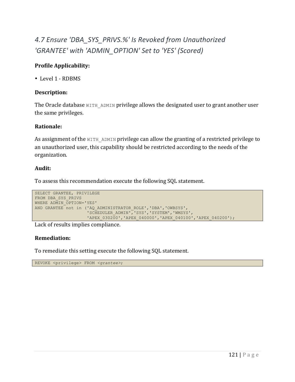# 4.7 Ensure 'DBA\_SYS\_PRIVS.%' Is Revoked from Unauthorized *'GRANTEE' with 'ADMIN\_OPTION' Set to 'YES' (Scored)*

# **Profile Applicability:**

• Level 1 - RDBMS

# **Description:**

The Oracle database  $W1TH$  ADMIN privilege allows the designated user to grant another user the same privileges.

#### **Rationale:**

As assignment of the  $WITH$  admin privilege can allow the granting of a restricted privilege to an unauthorized user, this capability should be restricted according to the needs of the organization.

# **Audit:**

To assess this recommendation execute the following SQL statement.

```
SELECT GRANTEE, PRIVILEGE
FROM DBA_SYS_PRIVS
WHERE ADMIN OPTION='YES'
AND GRANTEE not in ('AQ ADMINISTRATOR ROLE', 'DBA', 'OWBSYS',
                    'SCHEDULER_ADMIN','SYS','SYSTEM','WMSYS',
                    'APEX_030200','APEX_040000','APEX_040100','APEX_040200');
```
Lack of results implies compliance.

#### **Remediation:**

To remediate this setting execute the following SQL statement.

REVOKE <privilege> FROM *<grantee>*;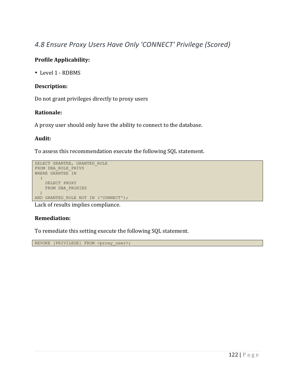# *4.8 Ensure Proxy Users Have Only 'CONNECT' Privilege (Scored)*

# **Profile Applicability:**

• Level 1 - RDBMS

#### **Description:**

Do not grant privileges directly to proxy users

# **Rationale:**

A proxy user should only have the ability to connect to the database.

# **Audit:**

To assess this recommendation execute the following SQL statement.

```
SELECT GRANTEE, GRANTED_ROLE
FROM DBA_ROLE_PRIVS
WHERE GRANTEE IN
  (
   SELECT PROXY
   FROM DBA_PROXIES
  )
AND GRANTED_ROLE NOT IN ('CONNECT');
```
Lack of results implies compliance.

# **Remediation:**

To remediate this setting execute the following SQL statement.

REVOKE [PRIVILEGE] FROM <proxy\_user>;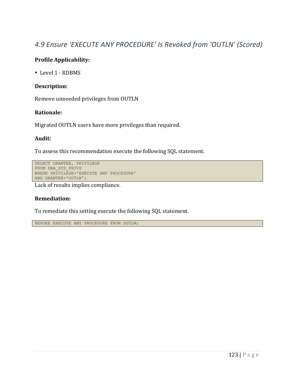# *4.9 Ensure 'EXECUTE ANY PROCEDURE' Is Revoked from 'OUTLN' (Scored)*

#### **Profile Applicability:**

• Level 1 - RDBMS

#### **Description:**

Remove unneeded privileges from OUTLN

#### **Rationale:**

Migrated OUTLN users have more privileges than required.

#### **Audit:**

To assess this recommendation execute the following SQL statement.

```
SELECT GRANTEE, PRIVILEGE
FROM DBA_SYS_PRIVS
WHERE PRIVILEGE='EXECUTE ANY PROCEDURE'
AND GRANTEE='OUTLN';
```
Lack of results implies compliance.

#### **Remediation:**

To remediate this setting execute the following SQL statement.

REVOKE EXECUTE ANY PROCEDURE FROM OUTLN;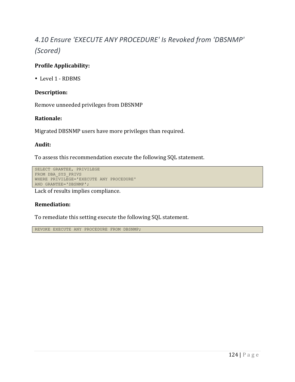# *4.10 Ensure 'EXECUTE ANY PROCEDURE' Is Revoked from 'DBSNMP' (Scored)*

# **Profile Applicability:**

• Level 1 - RDBMS

# **Description:**

Remove unneeded privileges from DBSNMP

# **Rationale:**

Migrated DBSNMP users have more privileges than required.

# **Audit:**

To assess this recommendation execute the following SQL statement.

```
SELECT GRANTEE, PRIVILEGE
FROM DBA_SYS_PRIVS
WHERE PRIVILEGE='EXECUTE ANY PROCEDURE'
AND GRANTEE='DBSNMP';
```
Lack of results implies compliance.

#### **Remediation:**

To remediate this setting execute the following SQL statement.

REVOKE EXECUTE ANY PROCEDURE FROM DBSNMP;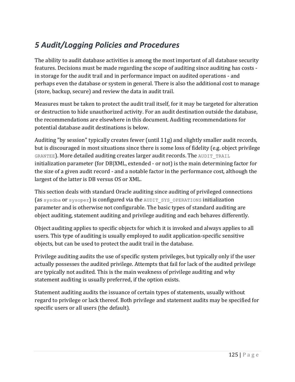# *5 Audit/Logging Policies and Procedures*

The ability to audit database activities is among the most important of all database security features. Decisions must be made regarding the scope of auditing since auditing has costs in storage for the audit trail and in performance impact on audited operations - and perhaps even the database or system in general. There is also the additional cost to manage (store, backup, secure) and review the data in audit trail.

Measures must be taken to protect the audit trail itself, for it may be targeted for alteration or destruction to hide unauthorized activity. For an audit destination outside the database, the recommendations are elsewhere in this document. Auditing recommendations for potential database audit destinations is below.

Auditing "by session" typically creates fewer (until 11g) and slightly smaller audit records, but is discouraged in most situations since there is some loss of fidelity (e.g. object privilege GRANTEE). More detailed auditing creates larger audit records. The AUDIT TRAIL initialization parameter (for DB|XML, extended - or not) is the main determining factor for the size of a given audit record - and a notable factor in the performance cost, although the largest of the latter is DB versus OS or XML.

This section deals with standard Oracle auditing since auditing of privileged connections (as sysdba or sysoper) is configured via the AUDIT SYS OPERATIONS initialization parameter and is otherwise not configurable. The basic types of standard auditing are object auditing, statement auditing and privilege auditing and each behaves differently.

Object auditing applies to specific objects for which it is invoked and always applies to all users. This type of auditing is usually employed to audit application-specific sensitive objects, but can be used to protect the audit trail in the database.

Privilege auditing audits the use of specific system privileges, but typically only if the user actually possesses the audited privilege. Attempts that fail for lack of the audited privilege are typically not audited. This is the main weakness of privilege auditing and why statement auditing is usually preferred, if the option exists.

Statement auditing audits the issuance of certain types of statements, usually without regard to privilege or lack thereof. Both privilege and statement audits may be specified for specific users or all users (the default).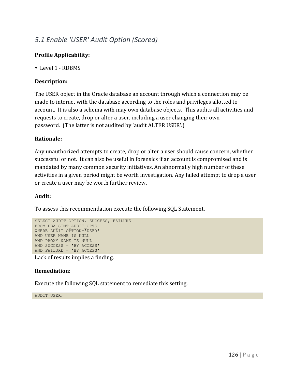# *5.1 Enable 'USER' Audit Option (Scored)*

# **Profile Applicability:**

• Level 1 - RDBMS

# **Description:**

The USER object in the Oracle database an account through which a connection may be made to interact with the database according to the roles and privileges allotted to account. It is also a schema with may own database objects. This audits all activities and requests to create, drop or alter a user, including a user changing their own password. (The latter is not audited by 'audit ALTER USER'.)

# **Rationale:**

Any unauthorized attempts to create, drop or alter a user should cause concern, whether successful or not. It can also be useful in forensics if an account is compromised and is mandated by many common security initiatives. An abnormally high number of these activities in a given period might be worth investigation. Any failed attempt to drop a user or create a user may be worth further review.

#### **Audit:**

To assess this recommendation execute the following SQL Statement.

```
SELECT AUDIT OPTION, SUCCESS, FAILURE
FROM DBA STMT AUDIT OPTS
WHERE AUDIT OPTION="USER'
AND USER NAME IS NULL
AND PROXY_NAME IS NULL
AND SUCCESS = 'BY ACCESS'
AND FAILURE = 'BY ACCESS'
```
Lack of results implies a finding.

#### **Remediation:**

Execute the following SQL statement to remediate this setting.

AUDIT USER;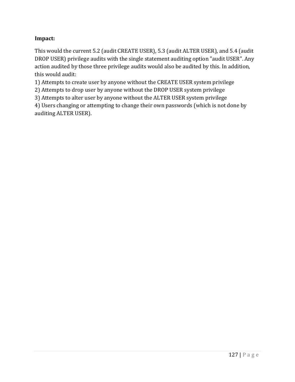# **Impact:**

This would the current 5.2 (audit CREATE USER), 5.3 (audit ALTER USER), and 5.4 (audit DROP USER) privilege audits with the single statement auditing option "audit USER". Any action audited by those three privilege audits would also be audited by this. In addition, this would audit:

1) Attempts to create user by anyone without the CREATE USER system privilege

2) Attempts to drop user by anyone without the DROP USER system privilege

3) Attempts to alter user by anyone without the ALTER USER system privilege

4) Users changing or attempting to change their own passwords (which is not done by auditing ALTER USER).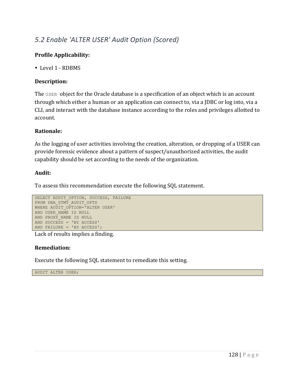# *5.2 Enable 'ALTER USER' Audit Option (Scored)*

# **Profile Applicability:**

• Level 1 - RDBMS

# **Description:**

The USER object for the Oracle database is a specification of an object which is an account through which either a human or an application can connect to, via a JDBC or log into, via a CLI, and interact with the database instance according to the roles and privileges allotted to account.

# **Rationale:**

As the logging of user activities involving the creation, alteration, or dropping of a USER can provide forensic evidence about a pattern of suspect/unauthorized activities, the audit capability should be set according to the needs of the organization.

# **Audit:**

To assess this recommendation execute the following SQL statement.

```
SELECT AUDIT OPTION, SUCCESS, FAILURE
FROM DBA_STMT_AUDIT_OPTS
WHERE AUDIT OPTION='ALTER USER'
AND USER_NAME IS NULL
AND PROXY NAME IS NULL
AND SUCCESS = 'BY ACCESS'
AND FAILURE = 'BY ACCESS';
```
Lack of results implies a finding.

# **Remediation:**

Execute the following SQL statement to remediate this setting.

AUDIT ALTER USER;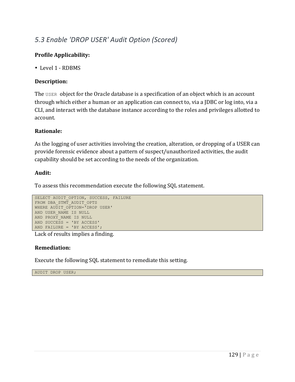# *5.3 Enable 'DROP USER' Audit Option (Scored)*

# **Profile Applicability:**

• Level 1 - RDBMS

# **Description:**

The USER object for the Oracle database is a specification of an object which is an account through which either a human or an application can connect to, via a JDBC or log into, via a CLI, and interact with the database instance according to the roles and privileges allotted to account.

# **Rationale:**

As the logging of user activities involving the creation, alteration, or dropping of a USER can provide forensic evidence about a pattern of suspect/unauthorized activities, the audit capability should be set according to the needs of the organization.

#### **Audit:**

To assess this recommendation execute the following SQL statement.

```
SELECT AUDIT OPTION, SUCCESS, FAILURE
FROM DBA_STMT_AUDIT_OPTS
WHERE AUDIT OPTION='DROP USER'
AND USER_NAME IS NULL
AND PROXY NAME IS NULL
AND SUCCESS = 'BY ACCESS'
AND FAILURE = 'BY ACCESS';
```
Lack of results implies a finding.

#### **Remediation:**

Execute the following SQL statement to remediate this setting.

AUDIT DROP USER;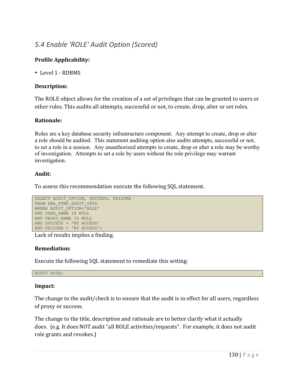# *5.4 Enable 'ROLE' Audit Option (Scored)*

# **Profile Applicability:**

• Level 1 - RDBMS

#### **Description:**

The ROLE object allows for the creation of a set of privileges that can be granted to users or other roles. This audits all attempts, successful or not, to create, drop, alter or set roles.

# **Rationale:**

Roles are a key database security infrastructure component. Any attempt to create, drop or alter a role should be audited. This statement auditing option also audits attempts, successful or not, to set a role in a session. Any unauthorized attempts to create, drop or alter a role may be worthy of investigation. Attempts to set a role by users without the role privilege may warrant investigation.

#### **Audit:**

To assess this recommendation execute the following SQL statement.

```
SELECT AUDIT OPTION, SUCCESS, FAILURE
FROM DBA STMT AUDIT OPTS
WHERE AUDIT OPTION='ROLE'
AND USER NAME IS NULL
AND PROXY NAME IS NULL
AND SUCCESS = 'BY ACCESS'
AND FAILURE = 'BY ACCESS';
```
Lack of results implies a finding.

#### **Remediation:**

Execute the following SQL statement to remediate this setting:

AUDIT ROLE;

#### **Impact:**

The change to the audit/check is to ensure that the audit is in effect for all users, regardless of proxy or success.

The change to the title, description and rationale are to better clarify what it actually does. (e.g. It does NOT audit "all ROLE activities/requests". For example, it does not audit role grants and revokes.)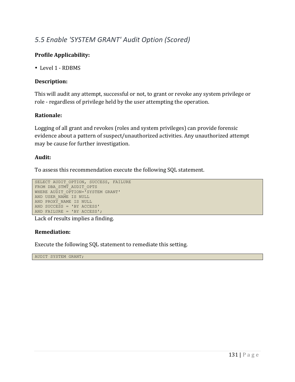# *5.5 Enable 'SYSTEM GRANT' Audit Option (Scored)*

# **Profile Applicability:**

• Level 1 - RDBMS

# **Description:**

This will audit any attempt, successful or not, to grant or revoke any system privilege or role - regardless of privilege held by the user attempting the operation.

# **Rationale:**

Logging of all grant and revokes (roles and system privileges) can provide forensic evidence about a pattern of suspect/unauthorized activities. Any unauthorized attempt may be cause for further investigation.

#### **Audit:**

To assess this recommendation execute the following SQL statement.

```
SELECT AUDIT OPTION, SUCCESS, FAILURE
FROM DBA_STMT_AUDIT_OPTS
WHERE AUDIT OPTION='SYSTEM GRANT'
AND USER NAME IS NULL
AND PROXY NAME IS NULL
AND SUCCESS = 'BY ACCESS'
AND FAILURE = 'BY ACCESS';
```
Lack of results implies a finding.

# **Remediation:**

Execute the following SQL statement to remediate this setting.

AUDIT SYSTEM GRANT;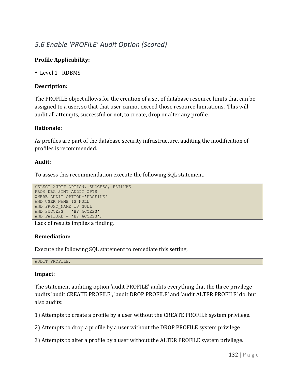# *5.6 Enable 'PROFILE' Audit Option (Scored)*

# **Profile Applicability:**

• Level 1 - RDBMS

# **Description:**

The PROFILE object allows for the creation of a set of database resource limits that can be assigned to a user, so that that user cannot exceed those resource limitations. This will audit all attempts, successful or not, to create, drop or alter any profile.

#### **Rationale:**

As profiles are part of the database security infrastructure, auditing the modification of profiles is recommended.

# **Audit:**

To assess this recommendation execute the following SQL statement.

```
SELECT AUDIT OPTION, SUCCESS, FAILURE
FROM DBA STMT AUDIT OPTS
WHERE AUDIT OPTION="PROFILE'
AND USER NAME IS NULL
AND PROXY NAME IS NULL
AND SUCCESS = 'BY ACCESS'
AND FAILURE = 'BY ACCESS';
```
Lack of results implies a finding.

#### **Remediation:**

Execute the following SQL statement to remediate this setting.

AUDIT PROFILE;

#### **Impact:**

The statement auditing option 'audit PROFILE' audits everything that the three privilege audits 'audit CREATE PROFILE', 'audit DROP PROFILE' and 'audit ALTER PROFILE' do, but also audits:

1) Attempts to create a profile by a user without the CREATE PROFILE system privilege.

2) Attempts to drop a profile by a user without the DROP PROFILE system privilege

3) Attempts to alter a profile by a user without the ALTER PROFILE system privilege.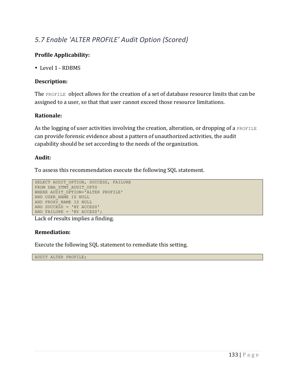# *5.7 Enable 'ALTER PROFILE' Audit Option (Scored)*

# **Profile Applicability:**

• Level 1 - RDBMS

# **Description:**

The PROFILE object allows for the creation of a set of database resource limits that can be assigned to a user, so that that user cannot exceed those resource limitations.

# **Rationale:**

As the logging of user activities involving the creation, alteration, or dropping of a PROFILE can provide forensic evidence about a pattern of unauthorized activities, the audit capability should be set according to the needs of the organization.

#### **Audit:**

To assess this recommendation execute the following SQL statement.

```
SELECT AUDIT OPTION, SUCCESS, FAILURE
FROM DBA_STMT_AUDIT_OPTS
WHERE AUDIT OPTION='ALTER PROFILE'
AND USER NAME IS NULL
AND PROXY NAME IS NULL
AND SUCCESS = 'BY ACCESS'
AND FAILURE = 'BY ACCESS';
```
Lack of results implies a finding.

# **Remediation:**

Execute the following SQL statement to remediate this setting.

AUDIT ALTER PROFILE;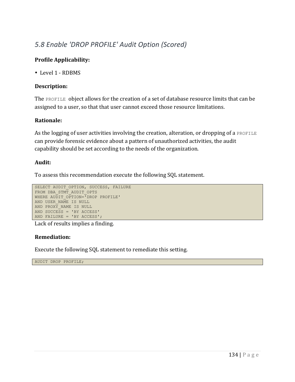# *5.8 Enable 'DROP PROFILE' Audit Option (Scored)*

# **Profile Applicability:**

• Level 1 - RDBMS

# **Description:**

The PROFILE object allows for the creation of a set of database resource limits that can be assigned to a user, so that that user cannot exceed those resource limitations.

# **Rationale:**

As the logging of user activities involving the creation, alteration, or dropping of a PROFILE can provide forensic evidence about a pattern of unauthorized activities, the audit capability should be set according to the needs of the organization.

# **Audit:**

To assess this recommendation execute the following SQL statement.

```
SELECT AUDIT OPTION, SUCCESS, FAILURE
FROM DBA_STMT_AUDIT_OPTS
WHERE AUDIT OPTION="DROP PROFILE'
AND USER NAME IS NULL
AND PROXY NAME IS NULL
AND SUCCESS = 'BY ACCESS'
AND FAILURE = 'BY ACCESS';
```
Lack of results implies a finding.

#### **Remediation:**

Execute the following SQL statement to remediate this setting.

AUDIT DROP PROFILE;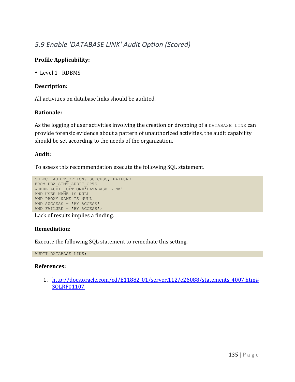# *5.9 Enable 'DATABASE LINK' Audit Option (Scored)*

# **Profile Applicability:**

• Level 1 - RDBMS

# **Description:**

All activities on database links should be audited.

# **Rationale:**

As the logging of user activities involving the creation or dropping of a DATABASE LINK can provide forensic evidence about a pattern of unauthorized activities, the audit capability should be set according to the needs of the organization.

# **Audit:**

To assess this recommendation execute the following SQL statement.

```
SELECT AUDIT OPTION, SUCCESS, FAILURE
FROM DBA STMT AUDIT OPTS
WHERE AUDIT OPTION="DATABASE LINK'
AND USER NAME IS NULL
AND PROXY NAME IS NULL
AND SUCCESS = 'BY ACCESS'
AND FAILURE = 'BY ACCESS';
```
Lack of results implies a finding.

# **Remediation:**

Execute the following SQL statement to remediate this setting.

AUDIT DATABASE LINK;

#### **References:**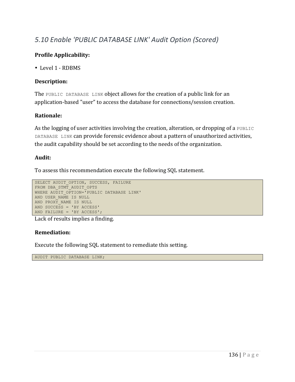# *5.10 Enable 'PUBLIC DATABASE LINK' Audit Option (Scored)*

# **Profile Applicability:**

• Level 1 - RDBMS

# **Description:**

The PUBLIC DATABASE LINK object allows for the creation of a public link for an application-based "user" to access the database for connections/session creation.

# **Rationale:**

As the logging of user activities involving the creation, alteration, or dropping of a PUBLIC DATABASE LINK can provide forensic evidence about a pattern of unauthorized activities, the audit capability should be set according to the needs of the organization.

#### **Audit:**

To assess this recommendation execute the following SQL statement.

```
SELECT AUDIT OPTION, SUCCESS, FAILURE
FROM DBA STMT AUDIT OPTS
WHERE AUDIT OPTION='PUBLIC DATABASE LINK'
AND USER_NAME IS NULL
AND PROXY_NAME IS NULL
AND SUCCESS = 'BY ACCESS'
AND FAILURE = 'BY ACCESS';
```
Lack of results implies a finding.

# **Remediation:**

Execute the following SQL statement to remediate this setting.

AUDIT PUBLIC DATABASE LINK;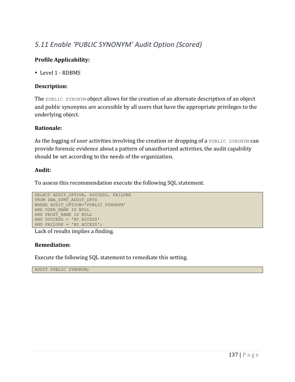# *5.11 Enable 'PUBLIC SYNONYM' Audit Option (Scored)*

# **Profile Applicability:**

• Level 1 - RDBMS

#### **Description:**

The PUBLIC SYNONYM object allows for the creation of an alternate description of an object and public synonyms are accessible by all users that have the appropriate privileges to the underlying object.

#### **Rationale:**

As the logging of user activities involving the creation or dropping of a PUBLIC SYNONYM can provide forensic evidence about a pattern of unauthorized activities, the audit capability should be set according to the needs of the organization.

#### **Audit:**

To assess this recommendation execute the following SQL statement.

```
SELECT AUDIT OPTION, SUCCESS, FAILURE
FROM DBA_STMT_AUDIT_OPTS
WHERE AUDIT OPTION='PUBLIC SYNONYM'
AND USER NAME IS NULL
AND PROXY NAME IS NULL
AND SUCCESS = 'BY ACCESS'
AND FAILURE = 'BY ACCESS';
```
Lack of results implies a finding.

#### **Remediation:**

Execute the following SQL statement to remediate this setting.

AUDIT PUBLIC SYNONYM;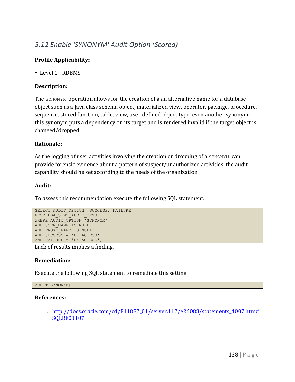# *5.12 Enable 'SYNONYM' Audit Option (Scored)*

# **Profile Applicability:**

• Level 1 - RDBMS

# **Description:**

The SYNONYM operation allows for the creation of a an alternative name for a database object such as a Java class schema object, materialized view, operator, package, procedure, sequence, stored function, table, view, user-defined object type, even another synonym; this synonym puts a dependency on its target and is rendered invalid if the target object is changed/dropped.

# **Rationale:**

As the logging of user activities involving the creation or dropping of a SYNONYM can provide forensic evidence about a pattern of suspect/unauthorized activities, the audit capability should be set according to the needs of the organization.

# **Audit:**

To assess this recommendation execute the following SQL statement.

```
SELECT AUDIT OPTION, SUCCESS, FAILURE
FROM DBA STMT AUDIT OPTS
WHERE AUDIT OPTION='SYNONYM'
AND USER_NAME IS NULL
AND PROXY_NAME IS NULL
AND SUCCESS = 'BY ACCESS'
AND FAILURE = 'BY ACCESS';
```
Lack of results implies a finding.

#### **Remediation:**

Execute the following SQL statement to remediate this setting.

```
AUDIT SYNONYM;
```
#### **References:**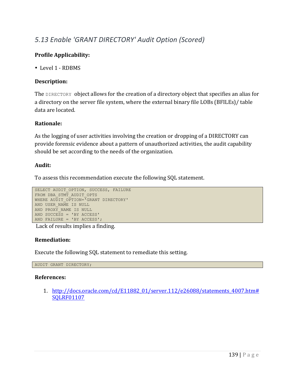# *5.13 Enable 'GRANT DIRECTORY' Audit Option (Scored)*

# **Profile Applicability:**

• Level 1 - RDBMS

# **Description:**

The DIRECTORY object allows for the creation of a directory object that specifies an alias for a directory on the server file system, where the external binary file LOBs (BFILEs)/ table data are located.

# **Rationale:**

As the logging of user activities involving the creation or dropping of a DIRECTORY can provide forensic evidence about a pattern of unauthorized activities, the audit capability should be set according to the needs of the organization.

#### **Audit:**

To assess this recommendation execute the following SQL statement.

```
SELECT AUDIT OPTION, SUCCESS, FAILURE
FROM DBA_STMT_AUDIT_OPTS
WHERE AUDIT OPTION='GRANT DIRECTORY'
AND USER_NAME IS NULL
AND PROXY NAME IS NULL
AND SUCCESS = 'BY ACCESS'
AND FAILURE = 'BY ACCESS';
```
Lack of results implies a finding.

#### **Remediation:**

Execute the following SQL statement to remediate this setting.

AUDIT GRANT DIRECTORY;

#### **References:**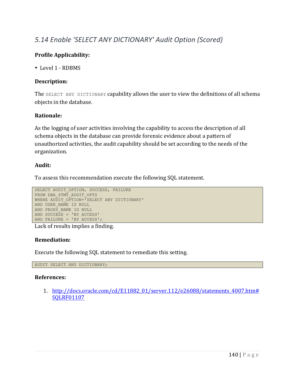# *5.14 Enable 'SELECT ANY DICTIONARY' Audit Option (Scored)*

# **Profile Applicability:**

• Level 1 - RDBMS

# **Description:**

The  $SELECT$  ANY DICTIONARY capability allows the user to view the definitions of all schema objects in the database.

# **Rationale:**

As the logging of user activities involving the capability to access the description of all schema objects in the database can provide forensic evidence about a pattern of unauthorized activities, the audit capability should be set according to the needs of the organization.

#### **Audit:**

To assess this recommendation execute the following SQL statement.

```
SELECT AUDIT OPTION, SUCCESS, FAILURE
FROM DBA_STMT_AUDIT_OPTS
WHERE AUDIT OPTION='SELECT ANY DICTIONARY'
AND USER_NAME IS NULL
AND PROXY NAME IS NULL
AND SUCCESS = 'BY ACCESS'
AND FAILURE = 'BY ACCESS';
```
Lack of results implies a finding.

#### **Remediation:**

Execute the following SQL statement to remediate this setting.

AUDIT SELECT ANY DICTIONARY;

#### **References:**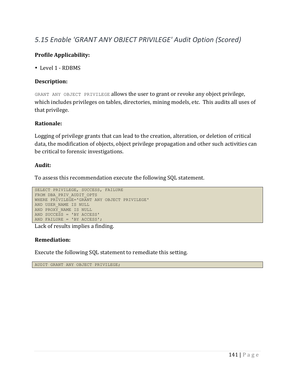# *5.15 Enable 'GRANT ANY OBJECT PRIVILEGE' Audit Option (Scored)*

# **Profile Applicability:**

• Level 1 - RDBMS

# **Description:**

GRANT ANY OBJECT PRIVILEGE allows the user to grant or revoke any object privilege, which includes privileges on tables, directories, mining models, etc. This audits all uses of that privilege.

# **Rationale:**

Logging of privilege grants that can lead to the creation, alteration, or deletion of critical data, the modification of objects, object privilege propagation and other such activities can be critical to forensic investigations.

#### **Audit:**

To assess this recommendation execute the following SQL statement.

```
SELECT PRIVILEGE, SUCCESS, FAILURE
FROM DBA_PRIV_AUDIT_OPTS
WHERE PRIVILEGE='GRANT ANY OBJECT PRIVILEGE'
AND USER_NAME IS NULL
AND PROXY NAME IS NULL
AND SUCCESS = 'BY ACCESS'
AND FAILURE = 'BY ACCESS';
```
Lack of results implies a finding.

#### **Remediation:**

Execute the following SQL statement to remediate this setting.

AUDIT GRANT ANY OBJECT PRIVILEGE;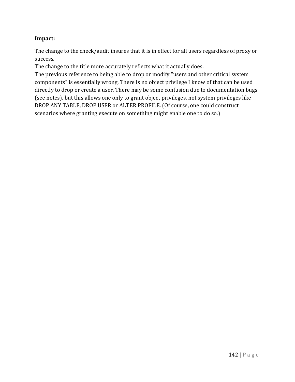# **Impact:**

The change to the check/audit insures that it is in effect for all users regardless of proxy or success.

The change to the title more accurately reflects what it actually does.

The previous reference to being able to drop or modify "users and other critical system components" is essentially wrong. There is no object privilege I know of that can be used directly to drop or create a user. There may be some confusion due to documentation bugs (see notes), but this allows one only to grant object privileges, not system privileges like DROP ANY TABLE, DROP USER or ALTER PROFILE. (Of course, one could construct scenarios where granting execute on something might enable one to do so.)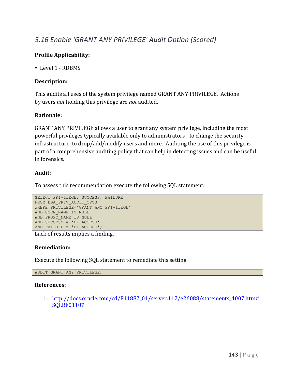# *5.16 Enable 'GRANT ANY PRIVILEGE' Audit Option (Scored)*

# **Profile Applicability:**

• Level 1 - RDBMS

# **Description:**

This audits all uses of the system privilege named GRANT ANY PRIVILEGE. Actions by users *not* holding this privilege are *not* audited.

# **Rationale:**

GRANT ANY PRIVILEGE allows a user to grant any system privilege, including the most powerful privileges typically available only to administrators - to change the security infrastructure, to drop/add/modify users and more. Auditing the use of this privilege is part of a comprehensive auditing policy that can help in detecting issues and can be useful in forensics.

#### **Audit:**

To assess this recommendation execute the following SQL statement.

```
SELECT PRIVILEGE, SUCCESS, FAILURE
FROM DBA_PRIV_AUDIT_OPTS
WHERE PRIVILEGE='GRANT ANY PRIVILEGE'
AND USER_NAME IS NULL
AND PROXY NAME IS NULL
AND SUCCESS = 'BY ACCESS'
AND FAILURE = 'BY ACCESS';
```
Lack of results implies a finding.

#### **Remediation:**

Execute the following SQL statement to remediate this setting.

AUDIT GRANT ANY PRIVILEGE;

#### **References:**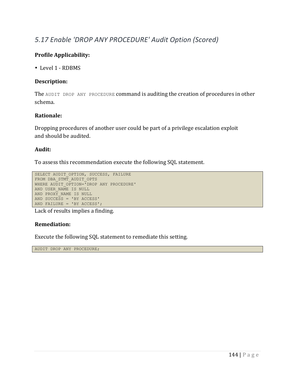### *5.17 Enable 'DROP ANY PROCEDURE' Audit Option (Scored)*

#### **Profile Applicability:**

• Level 1 - RDBMS

#### **Description:**

The AUDIT DROP ANY PROCEDURE command is auditing the creation of procedures in other schema.

#### **Rationale:**

Dropping procedures of another user could be part of a privilege escalation exploit and should be audited.

#### **Audit:**

To assess this recommendation execute the following SQL statement.

```
SELECT AUDIT OPTION, SUCCESS, FAILURE
FROM DBA STMT AUDIT OPTS
WHERE AUDIT OPTION='DROP ANY PROCEDURE'
AND USER NAME IS NULL
AND PROXY NAME IS NULL
AND SUCCESS = 'BY ACCESS'
AND FAILURE = 'BY ACCESS';
```
Lack of results implies a finding.

#### **Remediation:**

Execute the following SQL statement to remediate this setting.

AUDIT DROP ANY PROCEDURE;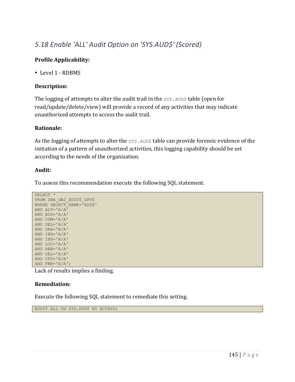## *5.18 Enable 'ALL' Audit Option on 'SYS.AUD\$' (Scored)*

#### **Profile Applicability:**

• Level 1 - RDBMS

#### **Description:**

The logging of attempts to alter the audit trail in the  $SYS$ . AUD\$ table (open for read/update/delete/view) will provide a record of any activities that may indicate unauthorized attempts to access the audit trail.

#### **Rationale:**

As the logging of attempts to alter the SYS. AUD\$ table can provide forensic evidence of the initiation of a pattern of unauthorized activities, this logging capability should be set according to the needs of the organization.

#### **Audit:**

To assess this recommendation execute the following SQL statement.

```
SELECT *
FROM DBA_OBJ_AUDIT_OPTS
WHERE OBJECT_NAME='AUD$'
AND ALT='A/A'
AND AUD='A/A'
AND COM='A/A'
AND DEL='A/A'
AND GRA='A/A'
AND IND='A/A'
AND INS='A/A'
AND LOC='A/A'
AND REN='A/A'
AND SEL='A/A'
AND UPD='A/A'
AND FBK='A/A';
```
Lack of results implies a finding.

#### **Remediation:**

Execute the following SQL statement to remediate this setting.

AUDIT ALL ON SYS.AUD\$ BY ACCESS;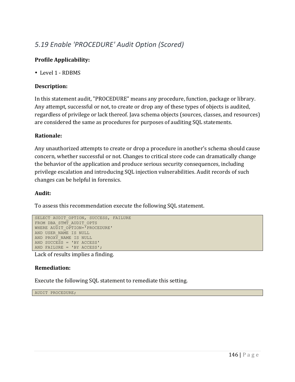## *5.19 Enable 'PROCEDURE' Audit Option (Scored)*

#### **Profile Applicability:**

• Level 1 - RDBMS

#### **Description:**

In this statement audit, "PROCEDURE" means any procedure, function, package or library. Any attempt, successful or not, to create or drop any of these types of objects is audited, regardless of privilege or lack thereof. Java schema objects (sources, classes, and resources) are considered the same as procedures for purposes of auditing SQL statements.

#### **Rationale:**

Any unauthorized attempts to create or drop a procedure in another's schema should cause concern, whether successful or not. Changes to critical store code can dramatically change the behavior of the application and produce serious security consequences, including privilege escalation and introducing SQL injection vulnerabilities. Audit records of such changes can be helpful in forensics.

#### **Audit:**

To assess this recommendation execute the following SQL statement.

```
SELECT AUDIT OPTION, SUCCESS, FAILURE
FROM DBA STMT AUDIT OPTS
WHERE AUDIT OPTION='PROCEDURE'
AND USER_NAME IS NULL
AND PROXY NAME IS NULL
AND SUCCESS = 'BY ACCESS'
AND FAILURE = 'BY ACCESS';
```
Lack of results implies a finding.

#### **Remediation:**

Execute the following SQL statement to remediate this setting.

AUDIT PROCEDURE;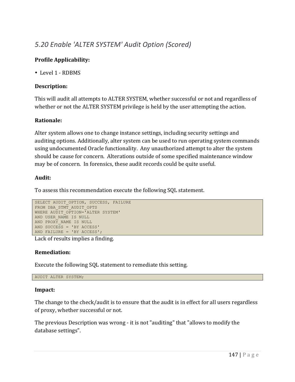## *5.20 Enable 'ALTER SYSTEM' Audit Option (Scored)*

#### **Profile Applicability:**

• Level 1 - RDBMS

#### **Description:**

This will audit all attempts to ALTER SYSTEM, whether successful or not and regardless of whether or not the ALTER SYSTEM privilege is held by the user attempting the action.

#### **Rationale:**

Alter system allows one to change instance settings, including security settings and auditing options. Additionally, alter system can be used to run operating system commands using undocumented Oracle functionality. Any unauthorized attempt to alter the system should be cause for concern. Alterations outside of some specified maintenance window may be of concern. In forensics, these audit records could be quite useful.

#### **Audit:**

To assess this recommendation execute the following SQL statement.

```
SELECT AUDIT OPTION, SUCCESS, FAILURE
FROM DBA_STMT_AUDIT_OPTS
WHERE AUDIT OPTION="ALTER SYSTEM'
AND USER NAME IS NULL
AND PROXY_NAME IS NULL
AND SUCCESS = 'BY ACCESS'
AND FAILURE = 'BY ACCESS';
```
Lack of results implies a finding.

#### **Remediation:**

Execute the following SQL statement to remediate this setting.

AUDIT ALTER SYSTEM;

#### **Impact:**

The change to the check/audit is to ensure that the audit is in effect for all users regardless of proxy, whether successful or not.

The previous Description was wrong - it is not "auditing" that "allows to modify the database settings".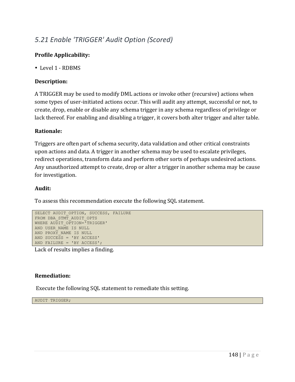## *5.21 Enable 'TRIGGER' Audit Option (Scored)*

#### **Profile Applicability:**

• Level 1 - RDBMS

#### **Description:**

A TRIGGER may be used to modify DML actions or invoke other (recursive) actions when some types of user-initiated actions occur. This will audit any attempt, successful or not, to create, drop, enable or disable any schema trigger in any schema regardless of privilege or lack thereof. For enabling and disabling a trigger, it covers both alter trigger and alter table.

#### **Rationale:**

Triggers are often part of schema security, data validation and other critical constraints upon actions and data. A trigger in another schema may be used to escalate privileges, redirect operations, transform data and perform other sorts of perhaps undesired actions. Any unauthorized attempt to create, drop or alter a trigger in another schema may be cause for investigation.

#### **Audit:**

To assess this recommendation execute the following SQL statement.

```
SELECT AUDIT OPTION, SUCCESS, FAILURE
FROM DBA STMT AUDIT OPTS
WHERE AUDIT OPTION="TRIGGER'
AND USER NAME IS NULL
AND PROXY_NAME IS NULL
AND SUCCESS = 'BY ACCESS'
AND FAILURE = 'BY ACCESS';
```
Lack of results implies a finding.

#### **Remediation:**

Execute the following SQL statement to remediate this setting.

AUDIT TRIGGER;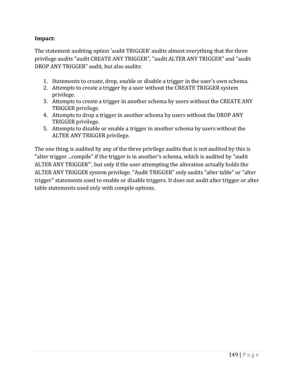#### **Impact:**

The statement auditing option 'audit TRIGGER' audits almost everything that the three privilege audits "audit CREATE ANY TRIGGER", "audit ALTER ANY TRIGGER" and "audit DROP ANY TRIGGER" audit, but also audits:

- 1. Statements to create, drop, enable or disable a trigger in the user's own schema.
- 2. Attempts to create a trigger by a user without the CREATE TRIGGER system privilege.
- 3. Attempts to create a trigger in another schema by users without the CREATE ANY TRIGGER privilege.
- 4. Attempts to drop a trigger in another schema by users without the DROP ANY TRIGGER privilege.
- 5. Attempts to disable or enable a trigger in another schema by users without the ALTER ANY TRIGGER privilege.

The one thing is audited by any of the three privilege audits that is not audited by this is "alter trigger ...compile" if the trigger is in another's schema, which is audited by "audit ALTER ANY TRIGGER"', but only if the user attempting the alteration actually holds the ALTER ANY TRIGGER system privilege. "Audit TRIGGER" only audits "alter table" or "alter trigger" statements used to enable or disable triggers. It does not audit alter trigger or alter table statements used only with compile options.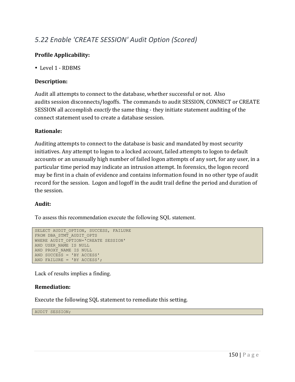## *5.22 Enable 'CREATE SESSION' Audit Option (Scored)*

#### **Profile Applicability:**

• Level 1 - RDBMS

#### **Description:**

Audit all attempts to connect to the database, whether successful or not. Also audits session disconnects/logoffs. The commands to audit SESSION, CONNECT or CREATE SESSION all accomplish *exactly* the same thing - they initiate statement auditing of the connect statement used to create a database session.

#### **Rationale:**

Auditing attempts to connect to the database is basic and mandated by most security initiatives. Any attempt to logon to a locked account, failed attempts to logon to default accounts or an unusually high number of failed logon attempts of any sort, for any user, in a particular time period may indicate an intrusion attempt. In forensics, the logon record may be first in a chain of evidence and contains information found in no other type of audit record for the session. Logon and logoff in the audit trail define the period and duration of the session.

#### **Audit:**

To assess this recommendation execute the following SQL statement.

```
SELECT AUDIT OPTION, SUCCESS, FAILURE
FROM DBA_STMT_AUDIT_OPTS
WHERE AUDIT OPTION='CREATE SESSION'
AND USER_NAME IS NULL
AND PROXY NAME IS NULL
AND SUCCESS = 'BY ACCESS'
AND FAILURE = 'BY ACCESS';
```
Lack of results implies a finding.

#### **Remediation:**

Execute the following SQL statement to remediate this setting.

AUDIT SESSION;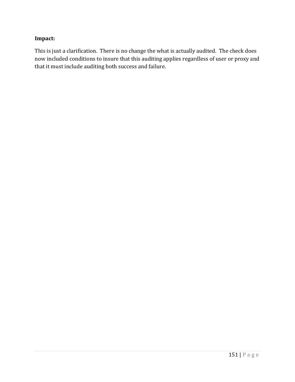#### **Impact:**

This is just a clarification. There is no change the what is actually audited. The check does now included conditions to insure that this auditing applies regardless of user or proxy and that it must include auditing both success and failure.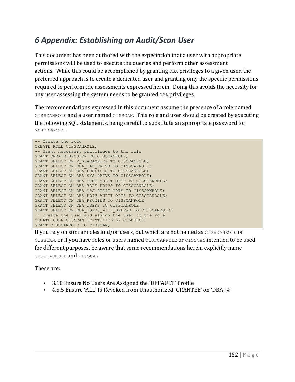## *6 Appendix: Establishing an Audit/Scan User*

This document has been authored with the expectation that a user with appropriate permissions will be used to execute the queries and perform other assessment actions. While this could be accomplished by granting DBA privileges to a given user, the preferred approach is to create a dedicated user and granting only the specific permissions required to perform the assessments expressed herein. Doing this avoids the necessity for any user assessing the system needs to be granted DBA privileges.

The recommendations expressed in this document assume the presence of a role named CISSCANROLE and a user named CISSCAN. This role and user should be created by executing the following SQL statements, being careful to substitute an appropriate password for <password>.

```
-- Create the role
CREATE ROLE CISSCANROLE;
-- Grant necessary privileges to the role
GRANT CREATE SESSION TO CISSCANROLE;
GRANT SELECT ON V $PARAMETER TO CISSCANROLE;
GRANT SELECT ON DBA TAB PRIVS TO CISSCANROLE;
GRANT SELECT ON DBA_PROFILES TO CISSCANROLE;
GRANT SELECT ON DBA_SYS_PRIVS TO CISSCANROLE;
GRANT SELECT ON DBA STMT AUDIT OPTS TO CISSCANROLE;
GRANT SELECT ON DBA ROLE PRIVS TO CISSCANROLE;
GRANT SELECT ON DBA_OBJ_AUDIT_OPTS TO CISSCANROLE;
GRANT SELECT ON DBA PRIV AUDIT OPTS TO CISSCANROLE;
GRANT SELECT ON DBA_PROXIES TO CISSCANROLE;
GRANT SELECT ON DBA_USERS TO CISSCANROLE;
GRANT SELECT ON DBA USERS WITH DEFPWD TO CISSCANROLE;
-- Create the user and assign the user to the role
CREATE USER CISSCAN IDENTIFIED BY C1ph3r00;
GRANT CISSCANROLE TO CISSCAN;
```
If you rely on similar roles and/or users, but which are not named as  $CISSCANROLE$  or CISSCAN, or if you have roles or users named CISSCANROLE or CISSCAN intended to be used for different purposes, be aware that some recommendations herein explicitly name CISSCANROLE and CISSCAN.

These are:

- 3.10 Ensure No Users Are Assigned the 'DEFAULT' Profile
- 4.5.5 Ensure 'ALL' Is Revoked from Unauthorized 'GRANTEE' on 'DBA\_%'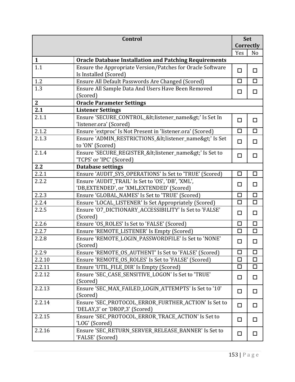|              | <b>Control</b>                                                                                   |        | Set            |
|--------------|--------------------------------------------------------------------------------------------------|--------|----------------|
|              |                                                                                                  | Yes    | Correctly      |
| $\mathbf{1}$ | <b>Oracle Database Installation and Patching Requirements</b>                                    |        | N <sub>o</sub> |
| 1.1          | Ensure the Appropriate Version/Patches for Oracle Software                                       |        |                |
|              | Is Installed (Scored)                                                                            | $\Box$ | □              |
| 1.2          | Ensure All Default Passwords Are Changed (Scored)                                                | $\Box$ | $\Box$         |
| 1.3          | Ensure All Sample Data And Users Have Been Removed<br>(Scored)                                   | $\Box$ | □              |
| $\mathbf{2}$ | <b>Oracle Parameter Settings</b>                                                                 |        |                |
| 2.1          | <b>Listener Settings</b>                                                                         |        |                |
| 2.1.1        | Ensure 'SECURE_CONTROL_ <listener_name>' Is Set In<br/>'listener.ora' (Scored)</listener_name>   | $\Box$ | □              |
| 2.1.2        | Ensure 'extproc' Is Not Present in 'listener.ora' (Scored)                                       | $\Box$ | $\Box$         |
| 2.1.3        | Ensure 'ADMIN_RESTRICTIONS_ <listener_name>' Is Set<br/>to 'ON' (Scored)</listener_name>         | □      | □              |
| 2.1.4        | Ensure 'SECURE_REGISTER_ <listener_name>' Is Set to<br/>'TCPS' or 'IPC' (Scored)</listener_name> | $\Box$ | □              |
| 2.2          | <b>Database settings</b>                                                                         |        |                |
| 2.2.1        | Ensure 'AUDIT_SYS_OPERATIONS' Is Set to 'TRUE' (Scored)                                          | $\Box$ | □              |
| 2.2.2        | Ensure 'AUDIT_TRAIL' Is Set to 'OS', 'DB', 'XML',<br>'DB, EXTENDED', or 'XML, EXTENDED' (Scored) | $\Box$ | $\Box$         |
| 2.2.3        | Ensure 'GLOBAL_NAMES' Is Set to 'TRUE' (Scored)                                                  | $\Box$ | $\Box$         |
| 2.2.4        | Ensure 'LOCAL_LISTENER' Is Set Appropriately (Scored)                                            | $\Box$ | $\Box$         |
| 2.2.5        | Ensure '07_DICTIONARY_ACCESSIBILITY' Is Set to 'FALSE'<br>(Scored)                               | $\Box$ | □              |
| 2.2.6        | Ensure 'OS_ROLES' Is Set to 'FALSE' (Scored)                                                     | $\Box$ | $\Box$         |
| 2.2.7        | Ensure 'REMOTE_LISTENER' Is Empty (Scored)                                                       | $\Box$ | $\Box$         |
| 2.2.8        | Ensure 'REMOTE LOGIN PASSWORDFILE' Is Set to 'NONE'<br>(Scored)                                  | □      | $\Box$         |
| 2.2.9        | Ensure 'REMOTE_OS_AUTHENT' Is Set to 'FALSE' (Scored)                                            | □      | □              |
| 2.2.10       | Ensure 'REMOTE OS ROLES' Is Set to 'FALSE' (Scored)                                              | $\Box$ | $\Box$         |
| 2.2.11       | Ensure 'UTIL_FILE_DIR' Is Empty (Scored)                                                         | $\Box$ | $\Box$         |
| 2.2.12       | Ensure 'SEC_CASE_SENSITIVE_LOGON' Is Set to 'TRUE'<br>(Scored)                                   | $\Box$ | $\Box$         |
| 2.2.13       | Ensure 'SEC MAX FAILED LOGIN ATTEMPTS' Is Set to '10'<br>(Scored)                                | $\Box$ | □              |
| 2.2.14       | Ensure 'SEC_PROTOCOL_ERROR_FURTHER_ACTION' Is Set to<br>'DELAY,3' or 'DROP,3' (Scored)           | $\Box$ | $\Box$         |
| 2.2.15       | Ensure 'SEC_PROTOCOL_ERROR_TRACE_ACTION' Is Set to<br>'LOG' (Scored)                             | $\Box$ | □              |
| 2.2.16       | Ensure 'SEC_RETURN_SERVER_RELEASE_BANNER' Is Set to<br>'FALSE' (Scored)                          | $\Box$ | $\Box$         |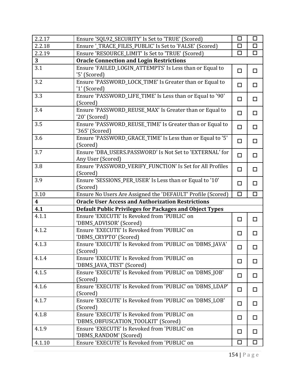| 2.2.17                  | Ensure 'SQL92_SECURITY' Is Set to 'TRUE' (Scored)                                   | $\Box$ | $\Box$ |  |  |
|-------------------------|-------------------------------------------------------------------------------------|--------|--------|--|--|
| 2.2.18                  | Ensure '_TRACE_FILES_PUBLIC' Is Set to 'FALSE' (Scored)                             |        | □      |  |  |
| 2.2.19                  | Ensure 'RESOURCE_LIMIT' Is Set to 'TRUE' (Scored)                                   |        | $\Box$ |  |  |
| 3 <sup>1</sup>          | <b>Oracle Connection and Login Restrictions</b>                                     |        |        |  |  |
| 3.1                     | Ensure 'FAILED_LOGIN_ATTEMPTS' Is Less than or Equal to<br>'5' (Scored)             | $\Box$ | □      |  |  |
| 3.2                     | Ensure 'PASSWORD_LOCK_TIME' Is Greater than or Equal to<br>'1' (Scored)             | $\Box$ | □      |  |  |
| 3.3                     | Ensure 'PASSWORD_LIFE_TIME' Is Less than or Equal to '90'<br>(Scored)               | $\Box$ | $\Box$ |  |  |
| 3.4                     | Ensure 'PASSWORD_REUSE_MAX' Is Greater than or Equal to<br>'20' (Scored)            | $\Box$ | $\Box$ |  |  |
| 3.5                     | Ensure 'PASSWORD_REUSE_TIME' Is Greater than or Equal to<br>'365' (Scored)          | $\Box$ | □      |  |  |
| 3.6                     | Ensure 'PASSWORD_GRACE_TIME' Is Less than or Equal to '5'<br>(Scored)               | $\Box$ | $\Box$ |  |  |
| 3.7                     | Ensure 'DBA_USERS.PASSWORD' Is Not Set to 'EXTERNAL' for<br>Any User (Scored)       | $\Box$ | $\Box$ |  |  |
| 3.8                     | Ensure 'PASSWORD_VERIFY_FUNCTION' Is Set for All Profiles<br>(Scored)               | $\Box$ | $\Box$ |  |  |
| 3.9                     | Ensure 'SESSIONS_PER_USER' Is Less than or Equal to '10'<br>(Scored)                | $\Box$ | $\Box$ |  |  |
| 3.10                    | Ensure No Users Are Assigned the 'DEFAULT' Profile (Scored)                         | П      | □      |  |  |
| $\overline{\mathbf{4}}$ | <b>Oracle User Access and Authorization Restrictions</b>                            |        |        |  |  |
| 4.1                     | <b>Default Public Privileges for Packages and Object Types</b>                      |        |        |  |  |
| 4.1.1                   | Ensure 'EXECUTE' Is Revoked from 'PUBLIC' on<br>'DBMS_ADVISOR' (Scored)             | $\Box$ | □      |  |  |
| 4.1.2                   | Ensure 'EXECUTE' Is Revoked from 'PUBLIC' on<br>'DBMS_CRYPTO' (Scored)              | $\Box$ | $\Box$ |  |  |
| 4.1.3                   | Ensure 'EXECUTE' Is Revoked from 'PUBLIC' on 'DBMS_JAVA'<br>(Scored)                | $\Box$ | $\Box$ |  |  |
| 4.1.4                   | Ensure 'EXECUTE' Is Revoked from 'PUBLIC' on<br>'DBMS_JAVA_TEST' (Scored)           | □      | □      |  |  |
| 4.1.5                   | Ensure 'EXECUTE' Is Revoked from 'PUBLIC' on 'DBMS_JOB'<br>(Scored)                 | $\Box$ | □      |  |  |
| 4.1.6                   | Ensure 'EXECUTE' Is Revoked from 'PUBLIC' on 'DBMS_LDAP'<br>(Scored)                | □      | □      |  |  |
| 4.1.7                   | Ensure 'EXECUTE' Is Revoked from 'PUBLIC' on 'DBMS_LOB'<br>(Scored)                 | $\Box$ | □      |  |  |
| 4.1.8                   | Ensure 'EXECUTE' Is Revoked from 'PUBLIC' on<br>'DBMS_OBFUSCATION_TOOLKIT' (Scored) | □      | □      |  |  |
| 4.1.9                   | Ensure 'EXECUTE' Is Revoked from 'PUBLIC' on<br>'DBMS_RANDOM' (Scored)              | $\Box$ | □      |  |  |
| 4.1.10                  | Ensure 'EXECUTE' Is Revoked from 'PUBLIC' on                                        | $\Box$ | □      |  |  |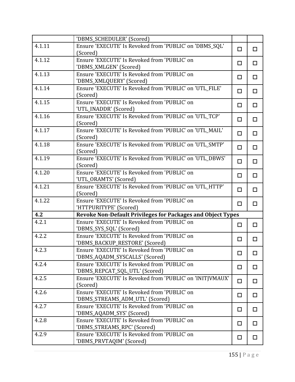|        | 'DBMS_SCHEDULER' (Scored)                                           |        |        |
|--------|---------------------------------------------------------------------|--------|--------|
| 4.1.11 | Ensure 'EXECUTE' Is Revoked from 'PUBLIC' on 'DBMS_SQL'             | $\Box$ | $\Box$ |
|        | (Scored)                                                            |        |        |
| 4.1.12 | Ensure 'EXECUTE' Is Revoked from 'PUBLIC' on                        | $\Box$ | □      |
|        | 'DBMS_XMLGEN' (Scored)                                              |        |        |
| 4.1.13 | Ensure 'EXECUTE' Is Revoked from 'PUBLIC' on                        | $\Box$ | $\Box$ |
|        | 'DBMS_XMLQUERY' (Scored)                                            |        |        |
| 4.1.14 | Ensure 'EXECUTE' Is Revoked from 'PUBLIC' on 'UTL_FILE'<br>(Scored) | $\Box$ | $\Box$ |
| 4.1.15 | Ensure 'EXECUTE' Is Revoked from 'PUBLIC' on                        | $\Box$ | $\Box$ |
|        | 'UTL_INADDR' (Scored)                                               |        |        |
| 4.1.16 | Ensure 'EXECUTE' Is Revoked from 'PUBLIC' on 'UTL_TCP'              | □      | $\Box$ |
|        | (Scored)                                                            |        |        |
| 4.1.17 | Ensure 'EXECUTE' Is Revoked from 'PUBLIC' on 'UTL_MAIL'             | $\Box$ | $\Box$ |
|        | (Scored)                                                            |        |        |
| 4.1.18 | Ensure 'EXECUTE' Is Revoked from 'PUBLIC' on 'UTL_SMTP'             | $\Box$ | $\Box$ |
|        | (Scored)                                                            |        |        |
| 4.1.19 | Ensure 'EXECUTE' Is Revoked from 'PUBLIC' on 'UTL_DBWS'             | $\Box$ | □      |
|        | (Scored)                                                            |        |        |
| 4.1.20 | Ensure 'EXECUTE' Is Revoked from 'PUBLIC' on                        | $\Box$ | □      |
|        | 'UTL_ORAMTS' (Scored)                                               |        |        |
| 4.1.21 | Ensure 'EXECUTE' Is Revoked from 'PUBLIC' on 'UTL_HTTP'<br>(Scored) | $\Box$ | $\Box$ |
| 4.1.22 | Ensure 'EXECUTE' Is Revoked from 'PUBLIC' on                        |        |        |
|        | 'HTTPURITYPE' (Scored)                                              | $\Box$ | $\Box$ |
| 4.2    | <b>Revoke Non-Default Privileges for Packages and Object Types</b>  |        |        |
| 4.2.1  | Ensure 'EXECUTE' Is Revoked from 'PUBLIC' on                        |        |        |
|        | 'DBMS_SYS_SQL' (Scored)                                             | $\Box$ | $\Box$ |
| 4.2.2  | Ensure 'EXECUTE' Is Revoked from 'PUBLIC' on                        |        |        |
|        | 'DBMS_BACKUP_RESTORE' (Scored)                                      | $\Box$ | □      |
| 4.2.3  | Ensure 'EXECUTE' Is Revoked from 'PUBLIC' on                        |        |        |
|        | 'DBMS_AQADM_SYSCALLS' (Scored)                                      | $\Box$ | □      |
| 4.2.4  | Ensure 'EXECUTE' Is Revoked from 'PUBLIC' on                        | $\Box$ | □      |
|        | 'DBMS_REPCAT_SQL_UTL' (Scored)                                      |        |        |
| 4.2.5  | Ensure 'EXECUTE' Is Revoked from 'PUBLIC' on 'INITJVMAUX'           | $\Box$ | $\Box$ |
|        | (Scored)                                                            |        |        |
| 4.2.6  | Ensure 'EXECUTE' Is Revoked from 'PUBLIC' on                        | □      | □      |
|        | 'DBMS_STREAMS_ADM_UTL' (Scored)                                     |        |        |
| 4.2.7  | Ensure 'EXECUTE' Is Revoked from 'PUBLIC' on                        | $\Box$ | □      |
|        | 'DBMS_AQADM_SYS' (Scored)                                           |        |        |
| 4.2.8  | Ensure 'EXECUTE' Is Revoked from 'PUBLIC' on                        | □      | □      |
|        | 'DBMS_STREAMS_RPC' (Scored)                                         |        |        |
| 4.2.9  | Ensure 'EXECUTE' Is Revoked from 'PUBLIC' on                        | □      | $\Box$ |
|        | 'DBMS_PRVTAQIM' (Scored)                                            |        |        |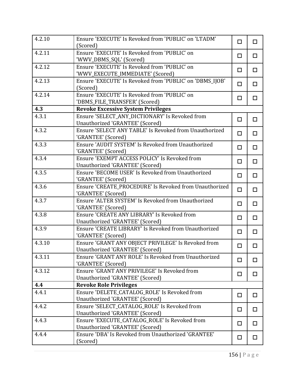| 4.2.10 | Ensure 'EXECUTE' Is Revoked from 'PUBLIC' on 'LTADM'<br>(Scored)                       | $\Box$ | $\Box$ |
|--------|----------------------------------------------------------------------------------------|--------|--------|
| 4.2.11 | Ensure 'EXECUTE' Is Revoked from 'PUBLIC' on<br>'WWV_DBMS_SQL' (Scored)                | □      | $\Box$ |
| 4.2.12 | Ensure 'EXECUTE' Is Revoked from 'PUBLIC' on<br>'WWV_EXECUTE_IMMEDIATE' (Scored)       | $\Box$ | $\Box$ |
| 4.2.13 | Ensure 'EXECUTE' Is Revoked from 'PUBLIC' on 'DBMS_IJOB'<br>(Scored)                   | $\Box$ | □      |
| 4.2.14 | Ensure 'EXECUTE' Is Revoked from 'PUBLIC' on<br>'DBMS_FILE_TRANSFER' (Scored)          | $\Box$ | $\Box$ |
| 4.3    | <b>Revoke Excessive System Privileges</b>                                              |        |        |
| 4.3.1  | Ensure 'SELECT_ANY_DICTIONARY' Is Revoked from<br>Unauthorized 'GRANTEE' (Scored)      | $\Box$ | $\Box$ |
| 4.3.2  | Ensure 'SELECT ANY TABLE' Is Revoked from Unauthorized<br>'GRANTEE' (Scored)           | $\Box$ | $\Box$ |
| 4.3.3  | Ensure 'AUDIT SYSTEM' Is Revoked from Unauthorized<br>'GRANTEE' (Scored)               | $\Box$ | □      |
| 4.3.4  | Ensure 'EXEMPT ACCESS POLICY' Is Revoked from<br>Unauthorized 'GRANTEE' (Scored)       | $\Box$ | $\Box$ |
| 4.3.5  | Ensure 'BECOME USER' Is Revoked from Unauthorized<br>'GRANTEE' (Scored)                | $\Box$ | $\Box$ |
| 4.3.6  | Ensure 'CREATE_PROCEDURE' Is Revoked from Unauthorized<br>'GRANTEE' (Scored)           | $\Box$ | $\Box$ |
| 4.3.7  | Ensure 'ALTER SYSTEM' Is Revoked from Unauthorized<br>'GRANTEE' (Scored)               | $\Box$ | $\Box$ |
| 4.3.8  | Ensure 'CREATE ANY LIBRARY' Is Revoked from<br>Unauthorized 'GRANTEE' (Scored)         | □      | $\Box$ |
| 4.3.9  | Ensure 'CREATE LIBRARY' Is Revoked from Unauthorized<br>'GRANTEE' (Scored)             | $\Box$ | $\Box$ |
| 4.3.10 | Ensure 'GRANT ANY OBJECT PRIVILEGE' Is Revoked from<br>Unauthorized 'GRANTEE' (Scored) | □      | □      |
| 4.3.11 | Ensure 'GRANT ANY ROLE' Is Revoked from Unauthorized<br>'GRANTEE' (Scored)             | □      | □      |
| 4.3.12 | Ensure 'GRANT ANY PRIVILEGE' Is Revoked from<br>Unauthorized 'GRANTEE' (Scored)        | □      | □      |
| 4.4    | <b>Revoke Role Privileges</b>                                                          |        |        |
| 4.4.1  | Ensure 'DELETE_CATALOG_ROLE' Is Revoked from<br>Unauthorized 'GRANTEE' (Scored)        | $\Box$ | □      |
| 4.4.2  | Ensure 'SELECT CATALOG ROLE' Is Revoked from<br>Unauthorized 'GRANTEE' (Scored)        | $\Box$ | □      |
| 4.4.3  | Ensure 'EXECUTE_CATALOG_ROLE' Is Revoked from<br>Unauthorized 'GRANTEE' (Scored)       | □      | □      |
| 4.4.4  | Ensure 'DBA' Is Revoked from Unauthorized 'GRANTEE'<br>(Scored)                        | $\Box$ | □      |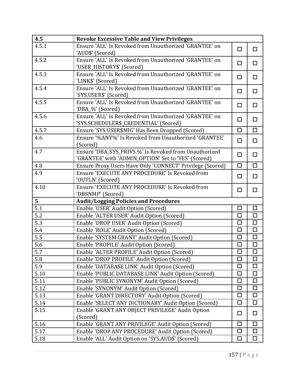| 4.5              | <b>Revoke Excessive Table and View Privileges</b>                               |        |                      |
|------------------|---------------------------------------------------------------------------------|--------|----------------------|
| 4.5.1            | Ensure 'ALL' Is Revoked from Unauthorized 'GRANTEE' on                          | $\Box$ | □                    |
|                  | 'AUD\$' (Scored)                                                                |        |                      |
| 4.5.2            | Ensure 'ALL' Is Revoked from Unauthorized 'GRANTEE' on                          | $\Box$ | $\Box$               |
|                  | 'USER_HISTORY\$' (Scored)                                                       |        |                      |
| 4.5.3            | Ensure 'ALL' Is Revoked from Unauthorized 'GRANTEE' on                          | $\Box$ | □                    |
|                  | 'LINK\$' (Scored)                                                               |        |                      |
| 4.5.4            | Ensure 'ALL' Is Revoked from Unauthorized 'GRANTEE' on<br>'SYS.USER\$' (Scored) | $\Box$ | □                    |
| 4.5.5            | Ensure 'ALL' Is Revoked from Unauthorized 'GRANTEE' on<br>'DBA_%' (Scored)      | $\Box$ | $\Box$               |
| 4.5.6            | Ensure 'ALL' Is Revoked from Unauthorized 'GRANTEE' on                          |        |                      |
|                  | 'SYS.SCHEDULER\$_CREDENTIAL' (Scored)                                           | □      | $\Box$               |
| 4.5.7            | Ensure 'SYS.USER\$MIG' Has Been Dropped (Scored)                                | $\Box$ | $\Box$               |
| 4.6              | Ensure '%ANY%' Is Revoked from Unauthorized 'GRANTEE'                           |        |                      |
|                  | (Scored)                                                                        | □      | □                    |
| 4.7              | Ensure 'DBA_SYS_PRIVS.%' Is Revoked from Unauthorized                           |        |                      |
|                  | 'GRANTEE' with 'ADMIN_OPTION' Set to 'YES' (Scored)                             | $\Box$ | $\Box$               |
| 4.8              | Ensure Proxy Users Have Only 'CONNECT' Privilege (Scored)                       | $\Box$ | $\Box$               |
| 4.9              | Ensure 'EXECUTE ANY PROCEDURE' Is Revoked from                                  | □      | □                    |
|                  | 'OUTLN' (Scored)                                                                |        |                      |
| 4.10             | Ensure 'EXECUTE ANY PROCEDURE' Is Revoked from                                  | $\Box$ | $\Box$               |
|                  | 'DBSNMP' (Scored)                                                               |        |                      |
| 5 <sup>1</sup>   | <b>Audit/Logging Policies and Procedures</b>                                    |        |                      |
| 5.1              | Enable 'USER' Audit Option (Scored)                                             | □      | $\Box$               |
| 5.2              | Enable 'ALTER USER' Audit Option (Scored)                                       | $\Box$ | $\Box$               |
| 5.3              | Enable 'DROP USER' Audit Option (Scored)                                        | $\Box$ | $\Box$               |
| 5.4              | Enable 'ROLE' Audit Option (Scored)                                             | $\Box$ | $\Box$               |
| 5.5              | Enable 'SYSTEM GRANT' Audit Option (Scored)                                     | $\Box$ | $\Box$               |
| 5.6              | Enable 'PROFILE' Audit Option (Scored)                                          | $\Box$ | $\Box$               |
| $\overline{5.7}$ | Enable 'ALTER PROFILE' Audit Option (Scored)                                    | ப      | $\overline{\square}$ |
| 5.8              | Enable 'DROP PROFILE' Audit Option (Scored)                                     | □      | $\Box$               |
| 5.9              | Enable 'DATABASE LINK' Audit Option (Scored)                                    | □      | □                    |
| 5.10             | Enable 'PUBLIC DATABASE LINK' Audit Option (Scored)                             | □      | □                    |
| 5.11             | Enable 'PUBLIC SYNONYM' Audit Option (Scored)                                   | □      | □                    |
| 5.12             | Enable 'SYNONYM' Audit Option (Scored)                                          | □      | $\Box$               |
| 5.13             | Enable 'GRANT DIRECTORY' Audit Option (Scored)                                  | п      | □                    |
| 5.14             | Enable 'SELECT ANY DICTIONARY' Audit Option (Scored)                            | □      | $\Box$               |
| 5.15             | Enable 'GRANT ANY OBJECT PRIVILEGE' Audit Option                                | □      | □                    |
|                  | (Scored)                                                                        |        |                      |
| 5.16             | Enable 'GRANT ANY PRIVILEGE' Audit Option (Scored)                              | $\Box$ | □                    |
| 5.17             | Enable 'DROP ANY PROCEDURE' Audit Option (Scored)                               | □      | $\Box$               |
| 5.18             | Enable 'ALL' Audit Option on 'SYS.AUD\$' (Scored)                               | $\Box$ | $\Box$               |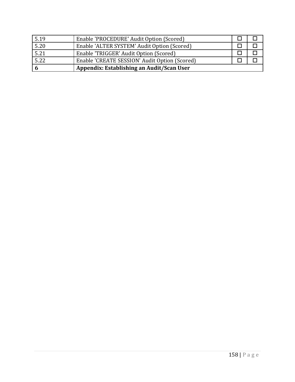| 5.19 | Enable 'PROCEDURE' Audit Option (Scored)      |  |
|------|-----------------------------------------------|--|
| 5.20 | Enable 'ALTER SYSTEM' Audit Option (Scored)   |  |
| 5.21 | Enable 'TRIGGER' Audit Option (Scored)        |  |
| 5.22 | Enable 'CREATE SESSION' Audit Option (Scored) |  |
|      | Appendix: Establishing an Audit/Scan User     |  |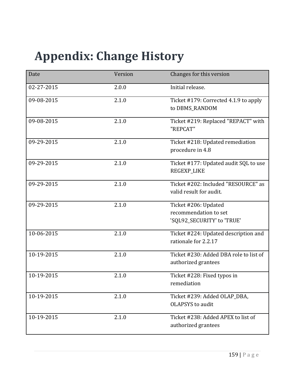# **Appendix: Change History**

| Date       | Version | Changes for this version               |
|------------|---------|----------------------------------------|
| 02-27-2015 | 2.0.0   | Initial release.                       |
| 09-08-2015 | 2.1.0   | Ticket #179: Corrected 4.1.9 to apply  |
|            |         | to DBMS_RANDOM                         |
| 09-08-2015 | 2.1.0   | Ticket #219: Replaced "REPACT" with    |
|            |         | "REPCAT"                               |
| 09-29-2015 | 2.1.0   | Ticket #218: Updated remediation       |
|            |         | procedure in 4.8                       |
| 09-29-2015 | 2.1.0   | Ticket #177: Updated audit SQL to use  |
|            |         | <b>REGEXP_LIKE</b>                     |
| 09-29-2015 | 2.1.0   | Ticket #202: Included "RESOURCE" as    |
|            |         | valid result for audit.                |
| 09-29-2015 | 2.1.0   | Ticket #206: Updated                   |
|            |         | recommendation to set                  |
|            |         | 'SQL92_SECURITY' to 'TRUE'             |
| 10-06-2015 | 2.1.0   | Ticket #224: Updated description and   |
|            |         | rationale for 2.2.17                   |
| 10-19-2015 | 2.1.0   | Ticket #230: Added DBA role to list of |
|            |         | authorized grantees                    |
| 10-19-2015 | 2.1.0   | Ticket #228: Fixed typos in            |
|            |         | remediation                            |
| 10-19-2015 | 2.1.0   | Ticket #239: Added OLAP_DBA,           |
|            |         | <b>OLAPSYS</b> to audit                |
| 10-19-2015 | 2.1.0   | Ticket #238: Added APEX to list of     |
|            |         | authorized grantees                    |